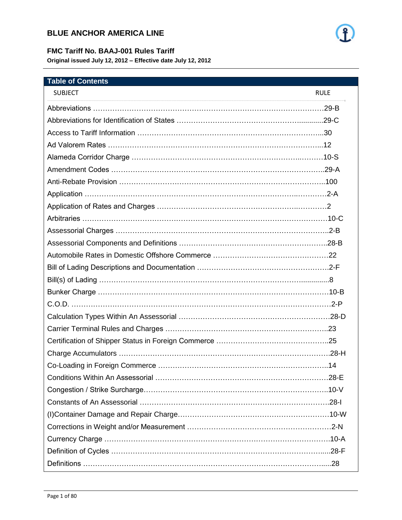

#### **FMC Tariff No. BAAJ-001 Rules Tariff**

**Original issued July 12, 2012 – Effective date July 12, 2012**

| <b>Table of Contents</b>                                 |             |
|----------------------------------------------------------|-------------|
| <b>SUBJECT</b>                                           | <b>RULE</b> |
|                                                          |             |
|                                                          |             |
|                                                          |             |
|                                                          |             |
|                                                          |             |
|                                                          |             |
|                                                          |             |
|                                                          |             |
|                                                          |             |
|                                                          |             |
| Assessorial Charges ………………………………………………………………………………………2-B |             |
|                                                          |             |
|                                                          |             |
|                                                          |             |
|                                                          |             |
|                                                          |             |
|                                                          |             |
|                                                          |             |
|                                                          |             |
|                                                          |             |
|                                                          |             |
|                                                          |             |
|                                                          |             |
|                                                          |             |
|                                                          |             |
|                                                          |             |
|                                                          |             |
|                                                          |             |
|                                                          |             |
|                                                          |             |

- 1 -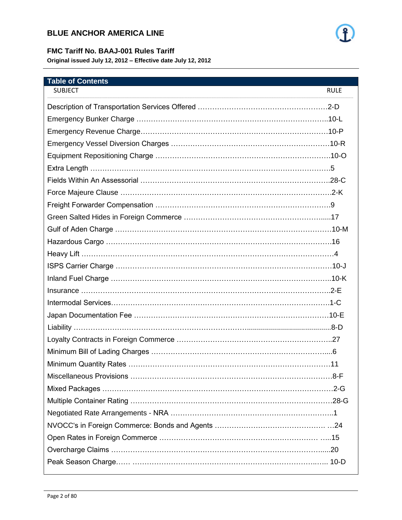

#### **FMC Tariff No. BAAJ-001 Rules Tariff**

**Original issued July 12, 2012 – Effective date July 12, 2012**

| <b>Table of Contents</b> |             |
|--------------------------|-------------|
| <b>SUBJECT</b>           | <b>RULE</b> |
|                          |             |
|                          |             |
|                          |             |
|                          |             |
|                          |             |
|                          |             |
|                          |             |
|                          |             |
|                          |             |
|                          |             |
|                          |             |
|                          |             |
|                          |             |
|                          |             |
|                          |             |
|                          |             |
|                          |             |
|                          |             |
|                          |             |
|                          |             |
|                          |             |
|                          |             |
|                          |             |
|                          |             |
|                          |             |
|                          |             |
|                          |             |
|                          |             |
|                          |             |
|                          |             |

- 2 -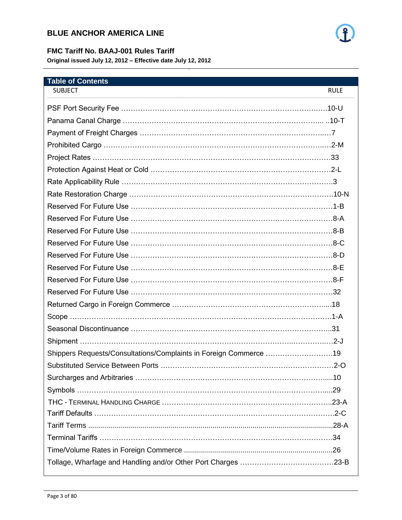

#### **FMC Tariff No. BAAJ-001 Rules Tariff**

**Original issued July 12, 2012 – Effective date July 12, 2012**

| <b>Table of Contents</b>                                          |             |
|-------------------------------------------------------------------|-------------|
| <b>SUBJECT</b>                                                    | <b>RULE</b> |
|                                                                   |             |
|                                                                   |             |
|                                                                   |             |
|                                                                   |             |
|                                                                   |             |
|                                                                   |             |
|                                                                   |             |
|                                                                   |             |
|                                                                   |             |
|                                                                   |             |
|                                                                   |             |
|                                                                   |             |
|                                                                   |             |
|                                                                   |             |
|                                                                   |             |
|                                                                   |             |
|                                                                   |             |
|                                                                   |             |
|                                                                   |             |
|                                                                   |             |
| Shippers Requests/Consultations/Complaints in Foreign Commerce 19 |             |
|                                                                   |             |
|                                                                   |             |
|                                                                   |             |
|                                                                   |             |
|                                                                   |             |
|                                                                   |             |
|                                                                   |             |
|                                                                   |             |
|                                                                   |             |

- 3 -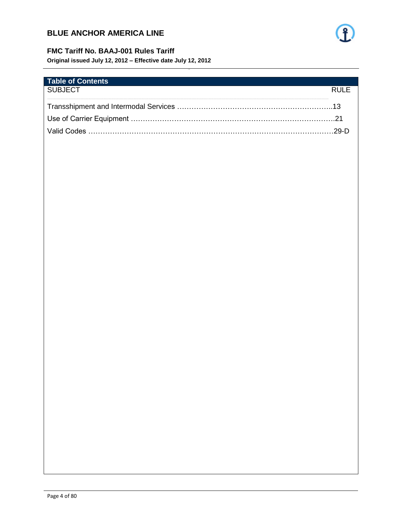

#### FMC Tariff No. BAAJ-001 Rules Tariff

Original issued July 12, 2012 - Effective date July 12, 2012

| <b>Table of Contents</b> |      |
|--------------------------|------|
| SUBJECT                  | RULF |
|                          |      |
|                          |      |
|                          |      |
|                          |      |
|                          |      |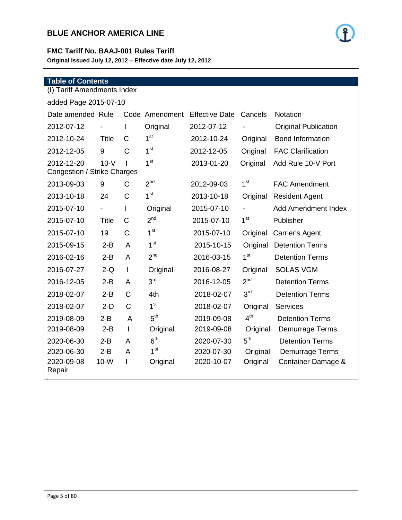

#### **FMC Tariff No. BAAJ-001 Rules Tariff**

**Original issued July 12, 2012 – Effective date July 12, 2012**

| <b>Table of Contents</b>                  |                          |                |                 |                       |                 |                             |
|-------------------------------------------|--------------------------|----------------|-----------------|-----------------------|-----------------|-----------------------------|
| (I) Tariff Amendments Index               |                          |                |                 |                       |                 |                             |
| added Page 2015-07-10                     |                          |                |                 |                       |                 |                             |
| Date amended Rule                         |                          |                | Code Amendment  | <b>Effective Date</b> | Cancels         | <b>Notation</b>             |
| 2012-07-12                                |                          | I              | Original        | 2012-07-12            |                 | <b>Original Publication</b> |
| 2012-10-24                                | <b>Title</b>             | $\mathsf{C}$   | 1 <sup>st</sup> | 2012-10-24            | Original        | <b>Bond Information</b>     |
| 2012-12-05                                | 9                        | $\mathsf C$    | 1 <sup>st</sup> | 2012-12-05            | Original        | <b>FAC Clarification</b>    |
| 2012-12-20<br>Congestion / Strike Charges | $10-V$                   |                | 1 <sup>st</sup> | 2013-01-20            | Original        | Add Rule 10-V Port          |
| 2013-09-03                                | 9                        | $\mathsf{C}$   | 2 <sup>nd</sup> | 2012-09-03            | 1 <sup>st</sup> | <b>FAC Amendment</b>        |
| 2013-10-18                                | 24                       | $\mathsf{C}$   | 1 <sup>st</sup> | 2013-10-18            | Original        | <b>Resident Agent</b>       |
| 2015-07-10                                | $\overline{\phantom{0}}$ | L              | Original        | 2015-07-10            |                 | <b>Add Amendment Index</b>  |
| 2015-07-10                                | <b>Title</b>             | C              | 2 <sup>nd</sup> | 2015-07-10            | 1 <sup>st</sup> | Publisher                   |
| 2015-07-10                                | 19                       | C              | 1 <sup>st</sup> | 2015-07-10            | Original        | Carrier's Agent             |
| 2015-09-15                                | $2-B$                    | A              | 1 <sup>st</sup> | 2015-10-15            | Original        | <b>Detention Terms</b>      |
| 2016-02-16                                | $2 - B$                  | $\overline{A}$ | 2 <sup>nd</sup> | 2016-03-15            | 1 <sup>st</sup> | <b>Detention Terms</b>      |
| 2016-07-27                                | $2-Q$                    | $\mathbf{I}$   | Original        | 2016-08-27            | Original        | <b>SOLAS VGM</b>            |
| 2016-12-05                                | $2-B$                    | A              | 3 <sup>rd</sup> | 2016-12-05            | 2 <sup>nd</sup> | <b>Detention Terms</b>      |
| 2018-02-07                                | $2 - B$                  | $\mathsf{C}$   | 4th             | 2018-02-07            | 3 <sup>rd</sup> | <b>Detention Terms</b>      |
| 2018-02-07                                | $2-D$                    | $\mathsf{C}$   | 1 <sup>st</sup> | 2018-02-07            | Original        | <b>Services</b>             |
| 2019-08-09                                | $2-B$                    | A              | 5 <sup>th</sup> | 2019-09-08            | 4 <sup>th</sup> | <b>Detention Terms</b>      |
| 2019-08-09                                | $2 - B$                  | $\mathsf{I}$   | Original        | 2019-09-08            | Original        | Demurrage Terms             |
| 2020-06-30                                | $2 - B$                  | A              | 6 <sup>th</sup> | 2020-07-30            | 5 <sup>th</sup> | <b>Detention Terms</b>      |
| 2020-06-30                                | $2 - B$                  | A              | 1 <sup>st</sup> | 2020-07-30            | Original        | <b>Demurrage Terms</b>      |
| 2020-09-08<br>Repair                      | $10-W$                   | $\mathsf{I}$   | Original        | 2020-10-07            | Original        | Container Damage &          |
|                                           |                          |                |                 |                       |                 |                             |

- 5 -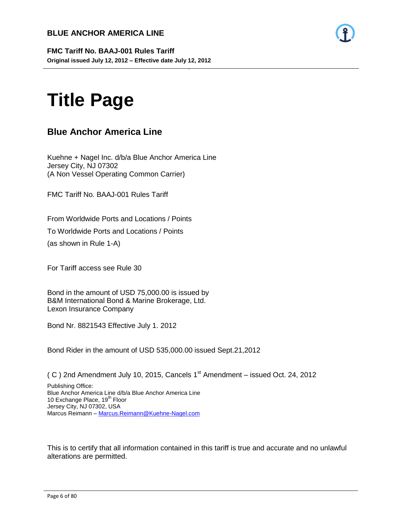

**FMC Tariff No. BAAJ-001 Rules Tariff Original issued July 12, 2012 – Effective date July 12, 2012**

- 6 -

# **Title Page**

# **Blue Anchor America Line**

Kuehne + Nagel Inc. d/b/a Blue Anchor America Line Jersey City, NJ 07302 (A Non Vessel Operating Common Carrier)

FMC Tariff No. BAAJ-001 Rules Tariff

From Worldwide Ports and Locations / Points

To Worldwide Ports and Locations / Points

(as shown in Rule 1-A)

For Tariff access see Rule 30

Bond in the amount of USD 75,000.00 is issued by B&M International Bond & Marine Brokerage, Ltd. Lexon Insurance Company

Bond Nr. 8821543 Effective July 1. 2012

Bond Rider in the amount of USD 535,000.00 issued Sept.21,2012

( C ) 2nd Amendment July 10, 2015, Cancels  $1<sup>st</sup>$  Amendment – issued Oct. 24, 2012

Publishing Office: Blue Anchor America Line d/b/a Blue Anchor America Line 10 Exchange Place, 19<sup>th</sup> Floor Jersey City, NJ 07302, USA Marcus Reimann – [Marcus.Reimann@Kuehne-Nagel.com](mailto:Marcus.Reimann@Kuehne-Nagel.com)

This is to certify that all information contained in this tariff is true and accurate and no unlawful alterations are permitted.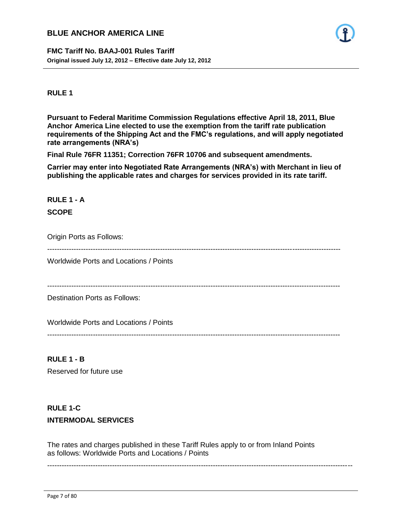**FMC Tariff No. BAAJ-001 Rules Tariff Original issued July 12, 2012 – Effective date July 12, 2012**



#### **RULE 1**

**Pursuant to Federal Maritime Commission Regulations effective April 18, 2011, Blue Anchor America Line elected to use the exemption from the tariff rate publication requirements of the Shipping Act and the FMC's regulations, and will apply negotiated rate arrangements (NRA's)**

- 7 -

**Final Rule 76FR 11351; Correction 76FR 10706 and subsequent amendments.**

**Carrier may enter into Negotiated Rate Arrangements (NRA's) with Merchant in lieu of publishing the applicable rates and charges for services provided in its rate tariff.**

# **RULE 1 - A SCOPE**

Origin Ports as Follows:

--------------------------------------------------------------------------------------------------------------------------

Worldwide Ports and Locations / Points

--------------------------------------------------------------------------------------------------------------------------

Destination Ports as Follows:

Worldwide Ports and Locations / Points

--------------------------------------------------------------------------------------------------------------------------

# **RULE 1 - B**

Reserved for future use

# **RULE 1-C**

#### **INTERMODAL SERVICES**

The rates and charges published in these Tariff Rules apply to or from Inland Points as follows: Worldwide Ports and Locations / Points

-------------------------------------------------------------------------------------------------------------------------------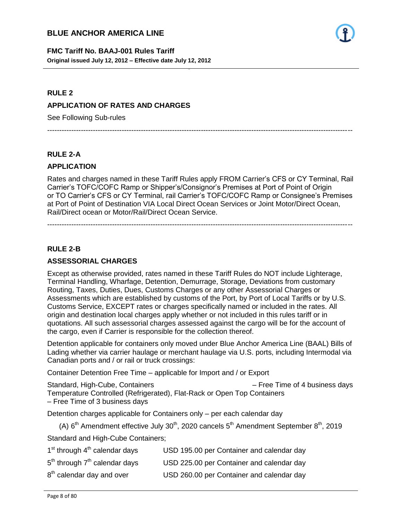

**FMC Tariff No. BAAJ-001 Rules Tariff Original issued July 12, 2012 – Effective date July 12, 2012**

#### **RULE 2**

#### **APPLICATION OF RATES AND CHARGES**

See Following Sub-rules

-------------------------------------------------------------------------------------------------------------------------------

- 8 -

#### **RULE 2-A**

#### **APPLICATION**

Rates and charges named in these Tariff Rules apply FROM Carrier's CFS or CY Terminal, Rail Carrier's TOFC/COFC Ramp or Shipper's/Consignor's Premises at Port of Point of Origin or TO Carrier's CFS or CY Terminal, rail Carrier's TOFC/COFC Ramp or Consignee's Premises at Port of Point of Destination VIA Local Direct Ocean Services or Joint Motor/Direct Ocean, Rail/Direct ocean or Motor/Rail/Direct Ocean Service.

-------------------------------------------------------------------------------------------------------------------------------

**RULE 2-B**

#### **ASSESSORIAL CHARGES**

Except as otherwise provided, rates named in these Tariff Rules do NOT include Lighterage, Terminal Handling, Wharfage, Detention, Demurrage, Storage, Deviations from customary Routing, Taxes, Duties, Dues, Customs Charges or any other Assessorial Charges or Assessments which are established by customs of the Port, by Port of Local Tariffs or by U.S. Customs Service, EXCEPT rates or charges specifically named or included in the rates. All origin and destination local charges apply whether or not included in this rules tariff or in quotations. All such assessorial charges assessed against the cargo will be for the account of the cargo, even if Carrier is responsible for the collection thereof.

Detention applicable for containers only moved under Blue Anchor America Line (BAAL) Bills of Lading whether via carrier haulage or merchant haulage via U.S. ports, including Intermodal via Canadian ports and / or rail or truck crossings:

Container Detention Free Time – applicable for Import and / or Export

Standard, High-Cube, Containers – Free Time of 4 business days Temperature Controlled (Refrigerated), Flat-Rack or Open Top Containers – Free Time of 3 business days

Detention charges applicable for Containers only – per each calendar day

(A)  $6<sup>th</sup>$  Amendment effective July 30<sup>th</sup>, 2020 cancels  $5<sup>th</sup>$  Amendment September  $8<sup>th</sup>$ , 2019

Standard and High-Cube Containers;

| $1st$ through $4th$ calendar days     | USD 195.00 per Container and calendar day |
|---------------------------------------|-------------------------------------------|
| $5th$ through $7th$ calendar days     | USD 225.00 per Container and calendar day |
| 8 <sup>th</sup> calendar day and over | USD 260.00 per Container and calendar day |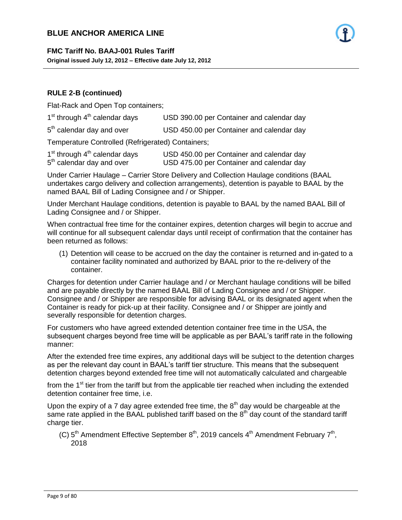# **FMC Tariff No. BAAJ-001 Rules Tariff**

**Original issued July 12, 2012 – Effective date July 12, 2012**

#### **RULE 2-B (continued)**

Flat-Rack and Open Top containers;

| 1 <sup>st</sup> through 4 <sup>th</sup> calendar days | USD 390.00 per Container and calendar day |
|-------------------------------------------------------|-------------------------------------------|
|-------------------------------------------------------|-------------------------------------------|

- 9 -

5<sup>th</sup> calendar day and over USD 450.00 per Container and calendar day

Temperature Controlled (Refrigerated) Containers;

| $1st$ through $4th$ calendar days     | USD 450.00 per Container and calendar day |
|---------------------------------------|-------------------------------------------|
| 5 <sup>th</sup> calendar day and over | USD 475.00 per Container and calendar day |

Under Carrier Haulage – Carrier Store Delivery and Collection Haulage conditions (BAAL undertakes cargo delivery and collection arrangements), detention is payable to BAAL by the named BAAL Bill of Lading Consignee and / or Shipper.

Under Merchant Haulage conditions, detention is payable to BAAL by the named BAAL Bill of Lading Consignee and / or Shipper.

When contractual free time for the container expires, detention charges will begin to accrue and will continue for all subsequent calendar days until receipt of confirmation that the container has been returned as follows:

(1) Detention will cease to be accrued on the day the container is returned and in-gated to a container facility nominated and authorized by BAAL prior to the re-delivery of the container.

Charges for detention under Carrier haulage and / or Merchant haulage conditions will be billed and are payable directly by the named BAAL Bill of Lading Consignee and / or Shipper. Consignee and / or Shipper are responsible for advising BAAL or its designated agent when the Container is ready for pick-up at their facility. Consignee and / or Shipper are jointly and severally responsible for detention charges.

For customers who have agreed extended detention container free time in the USA, the subsequent charges beyond free time will be applicable as per BAAL's tariff rate in the following manner:

After the extended free time expires, any additional days will be subject to the detention charges as per the relevant day count in BAAL's tariff tier structure. This means that the subsequent detention charges beyond extended free time will not automatically calculated and chargeable

from the 1<sup>st</sup> tier from the tariff but from the applicable tier reached when including the extended detention container free time, i.e.

Upon the expiry of a 7 day agree extended free time, the  $8<sup>th</sup>$  day would be chargeable at the same rate applied in the BAAL published tariff based on the  $8<sup>th</sup>$  day count of the standard tariff charge tier.

(C)  $5<sup>th</sup>$  Amendment Effective September  $8<sup>th</sup>$ , 2019 cancels  $4<sup>th</sup>$  Amendment February  $7<sup>th</sup>$ , 2018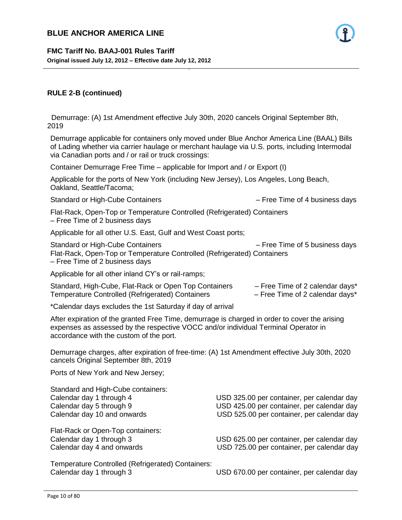

#### **RULE 2-B (continued)**

 Demurrage: (A) 1st Amendment effective July 30th, 2020 cancels Original September 8th, 2019

- 10 -

Demurrage applicable for containers only moved under Blue Anchor America Line (BAAL) Bills of Lading whether via carrier haulage or merchant haulage via U.S. ports, including Intermodal via Canadian ports and / or rail or truck crossings:

Container Demurrage Free Time – applicable for Import and / or Export (I)

Applicable for the ports of New York (including New Jersey), Los Angeles, Long Beach, Oakland, Seattle/Tacoma;

Standard or High-Cube Containers – Free Time of 4 business days

Flat-Rack, Open-Top or Temperature Controlled (Refrigerated) Containers – Free Time of 2 business days

Applicable for all other U.S. East, Gulf and West Coast ports;

Standard or High-Cube Containers **Example 20** - Free Time of 5 business days Flat-Rack, Open-Top or Temperature Controlled (Refrigerated) Containers – Free Time of 2 business days

Applicable for all other inland CY's or rail-ramps;

| Standard, High-Cube, Flat-Rack or Open Top Containers   | $-$ Free Time of 2 calendar days* |
|---------------------------------------------------------|-----------------------------------|
| <b>Temperature Controlled (Refrigerated) Containers</b> | $-$ Free Time of 2 calendar days* |

\*Calendar days excludes the 1st Saturday if day of arrival

After expiration of the granted Free Time, demurrage is charged in order to cover the arising expenses as assessed by the respective VOCC and/or individual Terminal Operator in accordance with the custom of the port.

Demurrage charges, after expiration of free-time: (A) 1st Amendment effective July 30th, 2020 cancels Original September 8th, 2019

Ports of New York and New Jersey;

Standard and High-Cube containers:

Flat-Rack or Open-Top containers:

Calendar day 1 through 4 USD 325.00 per container, per calendar day Calendar day 5 through 9 USD 425.00 per container, per calendar day Calendar day 10 and onwards USD 525.00 per container, per calendar day

Calendar day 1 through 3 USD 625.00 per container, per calendar day Calendar day 4 and onwards USD 725.00 per container, per calendar day

Temperature Controlled (Refrigerated) Containers: Calendar day 1 through 3 USD 670.00 per container, per calendar day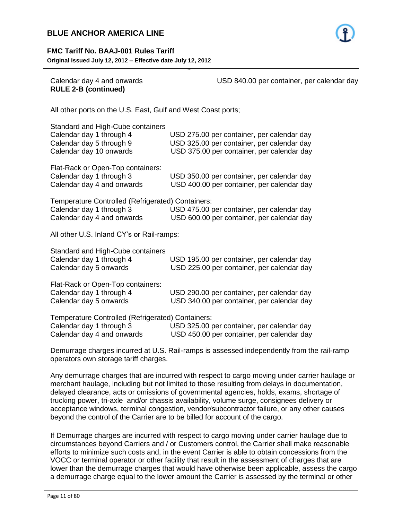



# **RULE 2-B (continued)**

Calendar day 4 and onwards USD 840.00 per container, per calendar day

All other ports on the U.S. East, Gulf and West Coast ports;

| Standard and High-Cube containers<br>Calendar day 1 through 4<br>Calendar day 5 through 9<br>Calendar day 10 onwards | USD 275.00 per container, per calendar day<br>USD 325.00 per container, per calendar day<br>USD 375.00 per container, per calendar day |
|----------------------------------------------------------------------------------------------------------------------|----------------------------------------------------------------------------------------------------------------------------------------|
| Flat-Rack or Open-Top containers:<br>Calendar day 1 through 3<br>Calendar day 4 and onwards                          | USD 350.00 per container, per calendar day<br>USD 400.00 per container, per calendar day                                               |
| Temperature Controlled (Refrigerated) Containers:<br>Calendar day 1 through 3<br>Calendar day 4 and onwards          | USD 475.00 per container, per calendar day<br>USD 600.00 per container, per calendar day                                               |
| All other U.S. Inland CY's or Rail-ramps:                                                                            |                                                                                                                                        |
| Standard and High-Cube containers<br>Calendar day 1 through 4<br>Calendar day 5 onwards                              | USD 195.00 per container, per calendar day<br>USD 225.00 per container, per calendar day                                               |
| Flat-Rack or Open-Top containers:<br>Calendar day 1 through 4<br>Calendar day 5 onwards                              | USD 290.00 per container, per calendar day<br>USD 340.00 per container, per calendar day                                               |
| Temperature Controlled (Refrigerated) Containers:<br>Calendar day 1 through 3<br>Calendar day 4 and onwards          | USD 325.00 per container, per calendar day<br>USD 450.00 per container, per calendar day                                               |

- 11 -

Demurrage charges incurred at U.S. Rail-ramps is assessed independently from the rail-ramp operators own storage tariff charges.

Any demurrage charges that are incurred with respect to cargo moving under carrier haulage or merchant haulage, including but not limited to those resulting from delays in documentation, delayed clearance, acts or omissions of governmental agencies, holds, exams, shortage of trucking power, tri-axle and/or chassis availability, volume surge, consignees delivery or acceptance windows, terminal congestion, vendor/subcontractor failure, or any other causes beyond the control of the Carrier are to be billed for account of the cargo.

If Demurrage charges are incurred with respect to cargo moving under carrier haulage due to circumstances beyond Carriers and / or Customers control, the Carrier shall make reasonable efforts to minimize such costs and, in the event Carrier is able to obtain concessions from the VOCC or terminal operator or other facility that result in the assessment of charges that are lower than the demurrage charges that would have otherwise been applicable, assess the cargo a demurrage charge equal to the lower amount the Carrier is assessed by the terminal or other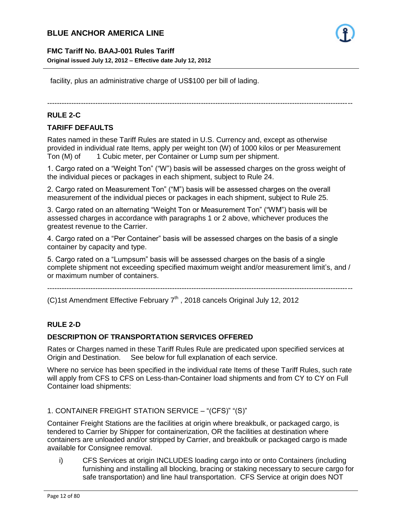# **FMC Tariff No. BAAJ-001 Rules Tariff**

**Original issued July 12, 2012 – Effective date July 12, 2012**

facility, plus an administrative charge of US\$100 per bill of lading.

-------------------------------------------------------------------------------------------------------------------------------

- 12 -

#### **RULE 2-C**

#### **TARIFF DEFAULTS**

Rates named in these Tariff Rules are stated in U.S. Currency and, except as otherwise provided in individual rate Items, apply per weight ton (W) of 1000 kilos or per Measurement Ton (M) of 1 Cubic meter, per Container or Lump sum per shipment.

1. Cargo rated on a "Weight Ton" ("W") basis will be assessed charges on the gross weight of the individual pieces or packages in each shipment, subject to Rule 24.

2. Cargo rated on Measurement Ton" ("M") basis will be assessed charges on the overall measurement of the individual pieces or packages in each shipment, subject to Rule 25.

3. Cargo rated on an alternating "Weight Ton or Measurement Ton" ("WM") basis will be assessed charges in accordance with paragraphs 1 or 2 above, whichever produces the greatest revenue to the Carrier.

4. Cargo rated on a "Per Container" basis will be assessed charges on the basis of a single container by capacity and type.

5. Cargo rated on a "Lumpsum" basis will be assessed charges on the basis of a single complete shipment not exceeding specified maximum weight and/or measurement limit's, and / or maximum number of containers.

-------------------------------------------------------------------------------------------------------------------------------

(C)1st Amendment Effective February  $7<sup>th</sup>$ , 2018 cancels Original July 12, 2012

# **RULE 2-D**

#### **DESCRIPTION OF TRANSPORTATION SERVICES OFFERED**

Rates or Charges named in these Tariff Rules Rule are predicated upon specified services at Origin and Destination. See below for full explanation of each service.

Where no service has been specified in the individual rate Items of these Tariff Rules, such rate will apply from CFS to CFS on Less-than-Container load shipments and from CY to CY on Full Container load shipments:

#### 1. CONTAINER FREIGHT STATION SERVICE – "(CFS)" "(S)"

Container Freight Stations are the facilities at origin where breakbulk, or packaged cargo, is tendered to Carrier by Shipper for containerization, OR the facilities at destination where containers are unloaded and/or stripped by Carrier, and breakbulk or packaged cargo is made available for Consignee removal.

i) CFS Services at origin INCLUDES loading cargo into or onto Containers (including furnishing and installing all blocking, bracing or staking necessary to secure cargo for safe transportation) and line haul transportation. CFS Service at origin does NOT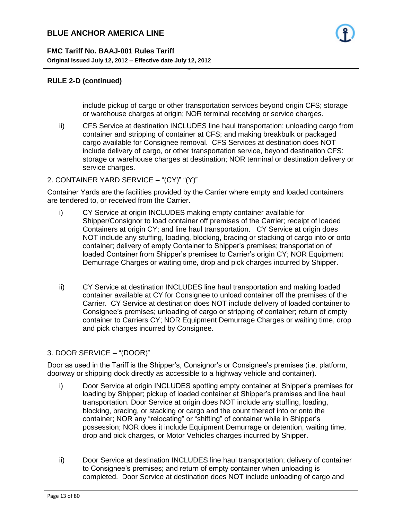# **RULE 2-D (continued)**

include pickup of cargo or other transportation services beyond origin CFS; storage or warehouse charges at origin; NOR terminal receiving or service charges.

ii) CFS Service at destination INCLUDES line haul transportation; unloading cargo from container and stripping of container at CFS; and making breakbulk or packaged cargo available for Consignee removal. CFS Services at destination does NOT include delivery of cargo, or other transportation service, beyond destination CFS: storage or warehouse charges at destination; NOR terminal or destination delivery or service charges.

#### 2. CONTAINER YARD SERVICE – "(CY)" "(Y)"

Container Yards are the facilities provided by the Carrier where empty and loaded containers are tendered to, or received from the Carrier.

- 13 -

- i) CY Service at origin INCLUDES making empty container available for Shipper/Consignor to load container off premises of the Carrier; receipt of loaded Containers at origin CY; and line haul transportation. CY Service at origin does NOT include any stuffing, loading, blocking, bracing or stacking of cargo into or onto container; delivery of empty Container to Shipper's premises; transportation of loaded Container from Shipper's premises to Carrier's origin CY; NOR Equipment Demurrage Charges or waiting time, drop and pick charges incurred by Shipper.
- ii) CY Service at destination INCLUDES line haul transportation and making loaded container available at CY for Consignee to unload container off the premises of the Carrier. CY Service at destination does NOT include delivery of loaded container to Consignee's premises; unloading of cargo or stripping of container; return of empty container to Carriers CY; NOR Equipment Demurrage Charges or waiting time, drop and pick charges incurred by Consignee.

#### 3. DOOR SERVICE – "(DOOR)"

Door as used in the Tariff is the Shipper's, Consignor's or Consignee's premises (i.e. platform, doorway or shipping dock directly as accessible to a highway vehicle and container).

- i) Door Service at origin INCLUDES spotting empty container at Shipper's premises for loading by Shipper; pickup of loaded container at Shipper's premises and line haul transportation. Door Service at origin does NOT include any stuffing, loading, blocking, bracing, or stacking or cargo and the count thereof into or onto the container; NOR any "relocating" or "shifting" of container while in Shipper's possession; NOR does it include Equipment Demurrage or detention, waiting time, drop and pick charges, or Motor Vehicles charges incurred by Shipper.
- ii) Door Service at destination INCLUDES line haul transportation; delivery of container to Consignee's premises; and return of empty container when unloading is completed. Door Service at destination does NOT include unloading of cargo and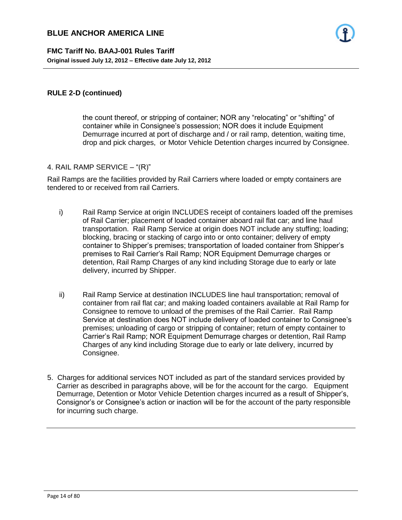#### **RULE 2-D (continued)**

the count thereof, or stripping of container; NOR any "relocating" or "shifting" of container while in Consignee's possession; NOR does it include Equipment Demurrage incurred at port of discharge and / or rail ramp, detention, waiting time, drop and pick charges, or Motor Vehicle Detention charges incurred by Consignee.

#### 4. RAIL RAMP SERVICE – "(R)"

Rail Ramps are the facilities provided by Rail Carriers where loaded or empty containers are tendered to or received from rail Carriers.

- 14 -

- i) Rail Ramp Service at origin INCLUDES receipt of containers loaded off the premises of Rail Carrier; placement of loaded container aboard rail flat car; and line haul transportation. Rail Ramp Service at origin does NOT include any stuffing; loading; blocking, bracing or stacking of cargo into or onto container; delivery of empty container to Shipper's premises; transportation of loaded container from Shipper's premises to Rail Carrier's Rail Ramp; NOR Equipment Demurrage charges or detention, Rail Ramp Charges of any kind including Storage due to early or late delivery, incurred by Shipper.
- ii) Rail Ramp Service at destination INCLUDES line haul transportation; removal of container from rail flat car; and making loaded containers available at Rail Ramp for Consignee to remove to unload of the premises of the Rail Carrier. Rail Ramp Service at destination does NOT include delivery of loaded container to Consignee's premises; unloading of cargo or stripping of container; return of empty container to Carrier's Rail Ramp; NOR Equipment Demurrage charges or detention, Rail Ramp Charges of any kind including Storage due to early or late delivery, incurred by Consignee.
- 5. Charges for additional services NOT included as part of the standard services provided by Carrier as described in paragraphs above, will be for the account for the cargo. Equipment Demurrage, Detention or Motor Vehicle Detention charges incurred as a result of Shipper's, Consignor's or Consignee's action or inaction will be for the account of the party responsible for incurring such charge.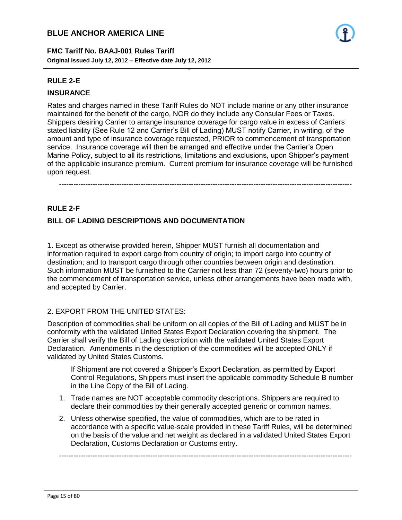

#### **RULE 2-E**

#### **INSURANCE**

Rates and charges named in these Tariff Rules do NOT include marine or any other insurance maintained for the benefit of the cargo, NOR do they include any Consular Fees or Taxes. Shippers desiring Carrier to arrange insurance coverage for cargo value in excess of Carriers stated liability (See Rule 12 and Carrier's Bill of Lading) MUST notify Carrier, in writing, of the amount and type of insurance coverage requested, PRIOR to commencement of transportation service. Insurance coverage will then be arranged and effective under the Carrier's Open Marine Policy, subject to all its restrictions, limitations and exclusions, upon Shipper's payment of the applicable insurance premium. Current premium for insurance coverage will be furnished upon request.

- 15 -

--------------------------------------------------------------------------------------------------------------------------

#### **RULE 2-F**

#### **BILL OF LADING DESCRIPTIONS AND DOCUMENTATION**

1. Except as otherwise provided herein, Shipper MUST furnish all documentation and information required to export cargo from country of origin; to import cargo into country of destination; and to transport cargo through other countries between origin and destination. Such information MUST be furnished to the Carrier not less than 72 (seventy-two) hours prior to the commencement of transportation service, unless other arrangements have been made with, and accepted by Carrier.

#### 2. EXPORT FROM THE UNITED STATES:

Description of commodities shall be uniform on all copies of the Bill of Lading and MUST be in conformity with the validated United States Export Declaration covering the shipment. The Carrier shall verify the Bill of Lading description with the validated United States Export Declaration. Amendments in the description of the commodities will be accepted ONLY if validated by United States Customs.

If Shipment are not covered a Shipper's Export Declaration, as permitted by Export Control Regulations, Shippers must insert the applicable commodity Schedule B number in the Line Copy of the Bill of Lading.

- 1. Trade names are NOT acceptable commodity descriptions. Shippers are required to declare their commodities by their generally accepted generic or common names.
- 2. Unless otherwise specified, the value of commodities, which are to be rated in accordance with a specific value-scale provided in these Tariff Rules, will be determined on the basis of the value and net weight as declared in a validated United States Export Declaration, Customs Declaration or Customs entry.

--------------------------------------------------------------------------------------------------------------------------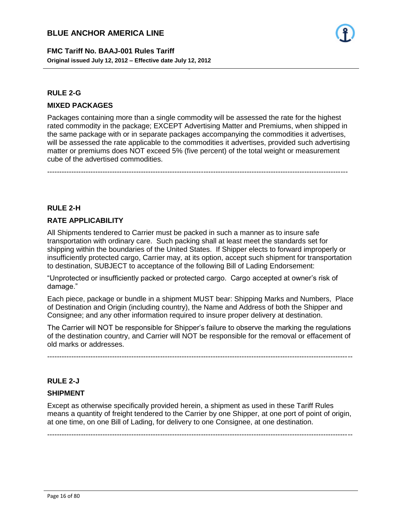**FMC Tariff No. BAAJ-001 Rules Tariff Original issued July 12, 2012 – Effective date July 12, 2012**

#### **RULE 2-G**

#### **MIXED PACKAGES**

Packages containing more than a single commodity will be assessed the rate for the highest rated commodity in the package; EXCEPT Advertising Matter and Premiums, when shipped in the same package with or in separate packages accompanying the commodities it advertises, will be assessed the rate applicable to the commodities it advertises, provided such advertising matter or premiums does NOT exceed 5% (five percent) of the total weight or measurement cube of the advertised commodities.

- 16 -

-----------------------------------------------------------------------------------------------------------------------------

#### **RULE 2-H**

#### **RATE APPLICABILITY**

All Shipments tendered to Carrier must be packed in such a manner as to insure safe transportation with ordinary care. Such packing shall at least meet the standards set for shipping within the boundaries of the United States. If Shipper elects to forward improperly or insufficiently protected cargo, Carrier may, at its option, accept such shipment for transportation to destination, SUBJECT to acceptance of the following Bill of Lading Endorsement:

"Unprotected or insufficiently packed or protected cargo. Cargo accepted at owner's risk of damage."

Each piece, package or bundle in a shipment MUST bear: Shipping Marks and Numbers, Place of Destination and Origin (including country), the Name and Address of both the Shipper and Consignee; and any other information required to insure proper delivery at destination.

The Carrier will NOT be responsible for Shipper's failure to observe the marking the regulations of the destination country, and Carrier will NOT be responsible for the removal or effacement of old marks or addresses.

-------------------------------------------------------------------------------------------------------------------------------

#### **RULE 2-J**

# **SHIPMENT**

Except as otherwise specifically provided herein, a shipment as used in these Tariff Rules means a quantity of freight tendered to the Carrier by one Shipper, at one port of point of origin, at one time, on one Bill of Lading, for delivery to one Consignee, at one destination.

-------------------------------------------------------------------------------------------------------------------------------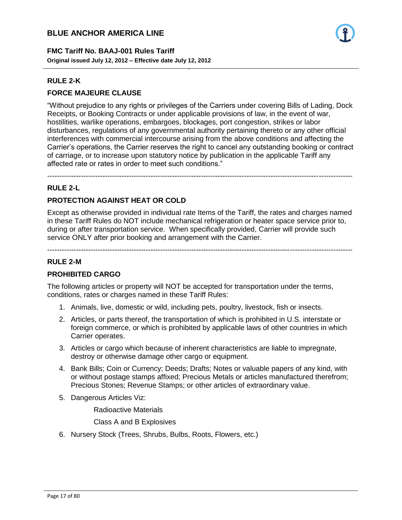**FMC Tariff No. BAAJ-001 Rules Tariff Original issued July 12, 2012 – Effective date July 12, 2012**

#### **RULE 2-K**

# **FORCE MAJEURE CLAUSE**

"Without prejudice to any rights or privileges of the Carriers under covering Bills of Lading, Dock Receipts, or Booking Contracts or under applicable provisions of law, in the event of war, hostilities, warlike operations, embargoes, blockages, port congestion, strikes or labor disturbances, regulations of any governmental authority pertaining thereto or any other official interferences with commercial intercourse arising from the above conditions and affecting the Carrier's operations, the Carrier reserves the right to cancel any outstanding booking or contract of carriage, or to increase upon statutory notice by publication in the applicable Tariff any affected rate or rates in order to meet such conditions."

- 17 -

-------------------------------------------------------------------------------------------------------------------------------

# **RULE 2-L**

# **PROTECTION AGAINST HEAT OR COLD**

Except as otherwise provided in individual rate Items of the Tariff, the rates and charges named in these Tariff Rules do NOT include mechanical refrigeration or heater space service prior to, during or after transportation service. When specifically provided, Carrier will provide such service ONLY after prior booking and arrangement with the Carrier.

-------------------------------------------------------------------------------------------------------------------------------

#### **RULE 2-M**

# **PROHIBITED CARGO**

The following articles or property will NOT be accepted for transportation under the terms, conditions, rates or charges named in these Tariff Rules:

- 1. Animals, live, domestic or wild, including pets, poultry, livestock, fish or insects.
- 2. Articles, or parts thereof, the transportation of which is prohibited in U.S. interstate or foreign commerce, or which is prohibited by applicable laws of other countries in which Carrier operates.
- 3. Articles or cargo which because of inherent characteristics are liable to impregnate, destroy or otherwise damage other cargo or equipment.
- 4. Bank Bills; Coin or Currency; Deeds; Drafts; Notes or valuable papers of any kind, with or without postage stamps affixed; Precious Metals or articles manufactured therefrom; Precious Stones; Revenue Stamps; or other articles of extraordinary value.
- 5. Dangerous Articles Viz:

Radioactive Materials

Class A and B Explosives

6. Nursery Stock (Trees, Shrubs, Bulbs, Roots, Flowers, etc.)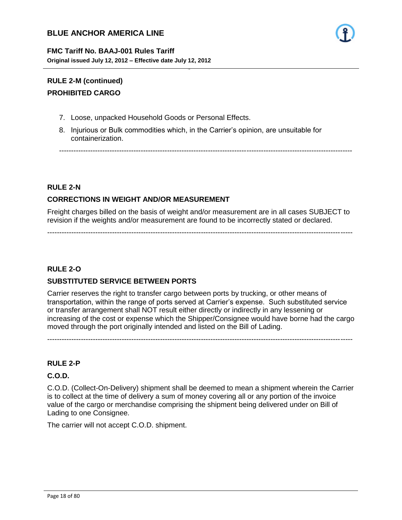

# **RULE 2-M (continued) PROHIBITED CARGO**

- 7. Loose, unpacked Household Goods or Personal Effects.
- 8. Injurious or Bulk commodities which, in the Carrier's opinion, are unsuitable for containerization.

- 18 -

--------------------------------------------------------------------------------------------------------------------------

#### **RULE 2-N**

# **CORRECTIONS IN WEIGHT AND/OR MEASUREMENT**

Freight charges billed on the basis of weight and/or measurement are in all cases SUBJECT to revision if the weights and/or measurement are found to be incorrectly stated or declared.

-------------------------------------------------------------------------------------------------------------------------------

**RULE 2-O**

# **SUBSTITUTED SERVICE BETWEEN PORTS**

Carrier reserves the right to transfer cargo between ports by trucking, or other means of transportation, within the range of ports served at Carrier's expense. Such substituted service or transfer arrangement shall NOT result either directly or indirectly in any lessening or increasing of the cost or expense which the Shipper/Consignee would have borne had the cargo moved through the port originally intended and listed on the Bill of Lading.

-------------------------------------------------------------------------------------------------------------------------------

#### **RULE 2-P**

# **C.O.D.**

C.O.D. (Collect-On-Delivery) shipment shall be deemed to mean a shipment wherein the Carrier is to collect at the time of delivery a sum of money covering all or any portion of the invoice value of the cargo or merchandise comprising the shipment being delivered under on Bill of Lading to one Consignee.

The carrier will not accept C.O.D. shipment.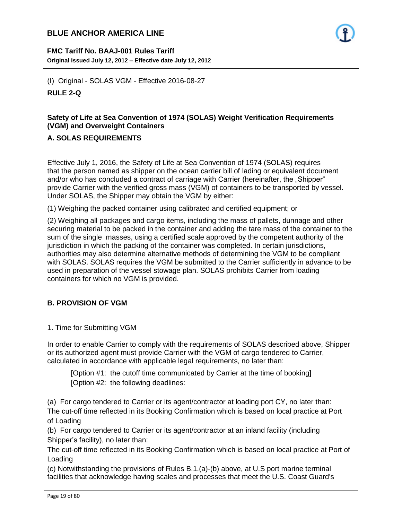**FMC Tariff No. BAAJ-001 Rules Tariff Original issued July 12, 2012 – Effective date July 12, 2012**

(I) Original - SOLAS VGM - Effective 2016-08-27 **RULE 2-Q**

# **Safety of Life at Sea Convention of 1974 (SOLAS) Weight Verification Requirements (VGM) and Overweight Containers**

- 19 -

# **A. SOLAS REQUIREMENTS**

Effective July 1, 2016, the Safety of Life at Sea Convention of 1974 (SOLAS) requires that the person named as shipper on the ocean carrier bill of lading or equivalent document and/or who has concluded a contract of carriage with Carrier (hereinafter, the "Shipper" provide Carrier with the verified gross mass (VGM) of containers to be transported by vessel. Under SOLAS, the Shipper may obtain the VGM by either:

(1) Weighing the packed container using calibrated and certified equipment; or

(2) Weighing all packages and cargo items, including the mass of pallets, dunnage and other securing material to be packed in the container and adding the tare mass of the container to the sum of the single masses, using a certified scale approved by the competent authority of the jurisdiction in which the packing of the container was completed. In certain jurisdictions, authorities may also determine alternative methods of determining the VGM to be compliant with SOLAS. SOLAS requires the VGM be submitted to the Carrier sufficiently in advance to be used in preparation of the vessel stowage plan. SOLAS prohibits Carrier from loading containers for which no VGM is provided.

# **B. PROVISION OF VGM**

1. Time for Submitting VGM

In order to enable Carrier to comply with the requirements of SOLAS described above, Shipper or its authorized agent must provide Carrier with the VGM of cargo tendered to Carrier, calculated in accordance with applicable legal requirements, no later than:

[Option #1: the cutoff time communicated by Carrier at the time of booking] [Option #2: the following deadlines:

(a) For cargo tendered to Carrier or its agent/contractor at loading port CY, no later than: The cut-off time reflected in its Booking Confirmation which is based on local practice at Port of Loading

(b) For cargo tendered to Carrier or its agent/contractor at an inland facility (including Shipper's facility), no later than:

The cut-off time reflected in its Booking Confirmation which is based on local practice at Port of Loading

(c) Notwithstanding the provisions of Rules B.1.(a)-(b) above, at U.S port marine terminal facilities that acknowledge having scales and processes that meet the U.S. Coast Guard's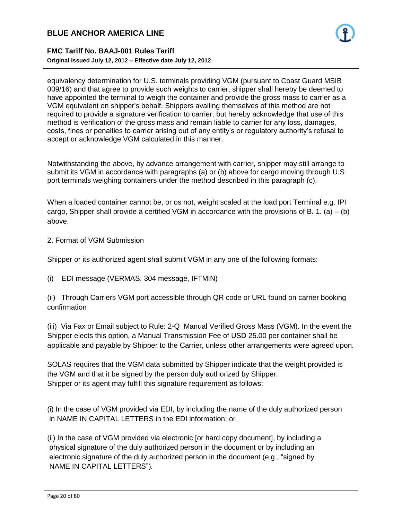#### **FMC Tariff No. BAAJ-001 Rules Tariff Original issued July 12, 2012 – Effective date July 12, 2012**

equivalency determination for U.S. terminals providing VGM (pursuant to Coast Guard MSIB 009/16) and that agree to provide such weights to carrier, shipper shall hereby be deemed to have appointed the terminal to weigh the container and provide the gross mass to carrier as a VGM equivalent on shipper's behalf. Shippers availing themselves of this method are not required to provide a signature verification to carrier, but hereby acknowledge that use of this method is verification of the gross mass and remain liable to carrier for any loss, damages, costs, fines or penalties to carrier arising out of any entity's or regulatory authority's refusal to accept or acknowledge VGM calculated in this manner.

- 20 -

Notwithstanding the above, by advance arrangement with carrier, shipper may still arrange to submit its VGM in accordance with paragraphs (a) or (b) above for cargo moving through U.S port terminals weighing containers under the method described in this paragraph (c).

When a loaded container cannot be, or os not, weight scaled at the load port Terminal e.g. IPI cargo, Shipper shall provide a certified VGM in accordance with the provisions of B. 1. (a) – (b) above.

2. Format of VGM Submission

Shipper or its authorized agent shall submit VGM in any one of the following formats:

(i) EDI message (VERMAS, 304 message, IFTMIN)

(ii) Through Carriers VGM port accessible through QR code or URL found on carrier booking confirmation

(iii) Via Fax or Email subject to Rule: 2-Q Manual Verified Gross Mass (VGM). In the event the Shipper elects this option, a Manual Transmission Fee of USD 25.00 per container shall be applicable and payable by Shipper to the Carrier, unless other arrangements were agreed upon.

SOLAS requires that the VGM data submitted by Shipper indicate that the weight provided is the VGM and that it be signed by the person duly authorized by Shipper. Shipper or its agent may fulfill this signature requirement as follows:

(i) In the case of VGM provided via EDI, by including the name of the duly authorized person in NAME IN CAPITAL LETTERS in the EDI information; or

(ii) In the case of VGM provided via electronic [or hard copy document], by including a physical signature of the duly authorized person in the document or by including an electronic signature of the duly authorized person in the document (e.g., "signed by NAME IN CAPITAL LETTERS").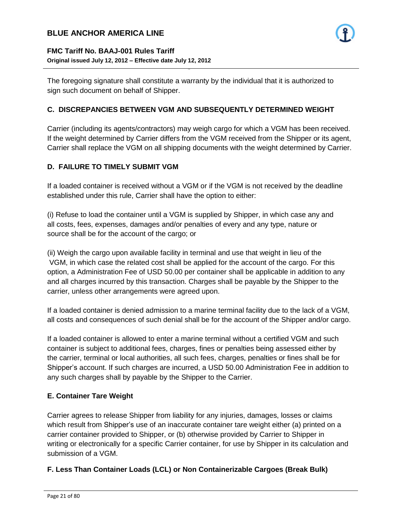

#### **FMC Tariff No. BAAJ-001 Rules Tariff Original issued July 12, 2012 – Effective date July 12, 2012**

The foregoing signature shall constitute a warranty by the individual that it is authorized to sign such document on behalf of Shipper.

- 21 -

#### **C. DISCREPANCIES BETWEEN VGM AND SUBSEQUENTLY DETERMINED WEIGHT**

Carrier (including its agents/contractors) may weigh cargo for which a VGM has been received. If the weight determined by Carrier differs from the VGM received from the Shipper or its agent, Carrier shall replace the VGM on all shipping documents with the weight determined by Carrier.

#### **D. FAILURE TO TIMELY SUBMIT VGM**

If a loaded container is received without a VGM or if the VGM is not received by the deadline established under this rule, Carrier shall have the option to either:

(i) Refuse to load the container until a VGM is supplied by Shipper, in which case any and all costs, fees, expenses, damages and/or penalties of every and any type, nature or source shall be for the account of the cargo; or

(ii) Weigh the cargo upon available facility in terminal and use that weight in lieu of the VGM, in which case the related cost shall be applied for the account of the cargo. For this option, a Administration Fee of USD 50.00 per container shall be applicable in addition to any and all charges incurred by this transaction. Charges shall be payable by the Shipper to the carrier, unless other arrangements were agreed upon.

If a loaded container is denied admission to a marine terminal facility due to the lack of a VGM, all costs and consequences of such denial shall be for the account of the Shipper and/or cargo.

If a loaded container is allowed to enter a marine terminal without a certified VGM and such container is subject to additional fees, charges, fines or penalties being assessed either by the carrier, terminal or local authorities, all such fees, charges, penalties or fines shall be for Shipper's account. If such charges are incurred, a USD 50.00 Administration Fee in addition to any such charges shall by payable by the Shipper to the Carrier.

#### **E. Container Tare Weight**

Carrier agrees to release Shipper from liability for any injuries, damages, losses or claims which result from Shipper's use of an inaccurate container tare weight either (a) printed on a carrier container provided to Shipper, or (b) otherwise provided by Carrier to Shipper in writing or electronically for a specific Carrier container, for use by Shipper in its calculation and submission of a VGM.

#### **F. Less Than Container Loads (LCL) or Non Containerizable Cargoes (Break Bulk)**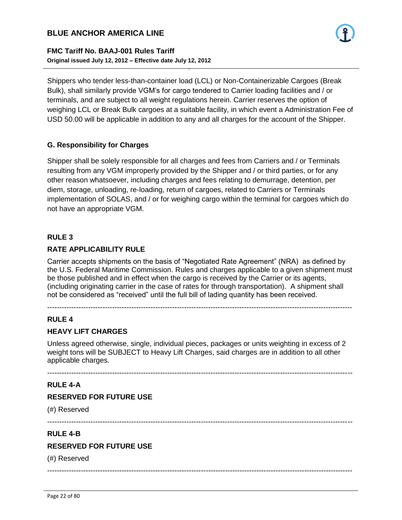#### **FMC Tariff No. BAAJ-001 Rules Tariff Original issued July 12, 2012 – Effective date July 12, 2012**

Shippers who tender less-than-container load (LCL) or Non-Containerizable Cargoes (Break Bulk), shall similarly provide VGM's for cargo tendered to Carrier loading facilities and / or terminals, and are subject to all weight regulations herein. Carrier reserves the option of weighing LCL or Break Bulk cargoes at a suitable facility, in which event a Administration Fee of USD 50.00 will be applicable in addition to any and all charges for the account of the Shipper.

- 22 -

#### **G. Responsibility for Charges**

Shipper shall be solely responsible for all charges and fees from Carriers and / or Terminals resulting from any VGM improperly provided by the Shipper and / or third parties, or for any other reason whatsoever, including charges and fees relating to demurrage, detention, per diem, storage, unloading, re-loading, return of cargoes, related to Carriers or Terminals implementation of SOLAS, and / or for weighing cargo within the terminal for cargoes which do not have an appropriate VGM.

#### **RULE 3**

#### **RATE APPLICABILITY RULE**

Carrier accepts shipments on the basis of "Negotiated Rate Agreement" (NRA) as defined by the U.S. Federal Maritime Commission. Rules and charges applicable to a given shipment must be those published and in effect when the cargo is received by the Carrier or its agents, (including originating carrier in the case of rates for through transportation). A shipment shall not be considered as "received" until the full bill of lading quantity has been received.

-------------------------------------------------------------------------------------------------------------------------------

#### **RULE 4**

#### **HEAVY LIFT CHARGES**

Unless agreed otherwise, single, individual pieces, packages or units weighting in excess of 2 weight tons will be SUBJECT to Heavy Lift Charges, said charges are in addition to all other applicable charges.

-------------------------------------------------------------------------------------------------------------------------------

#### **RULE 4-A**

#### **RESERVED FOR FUTURE USE**

(#) Reserved

-------------------------------------------------------------------------------------------------------------------------------

#### **RULE 4-B**

#### **RESERVED FOR FUTURE USE**

(#) Reserved

-------------------------------------------------------------------------------------------------------------------------------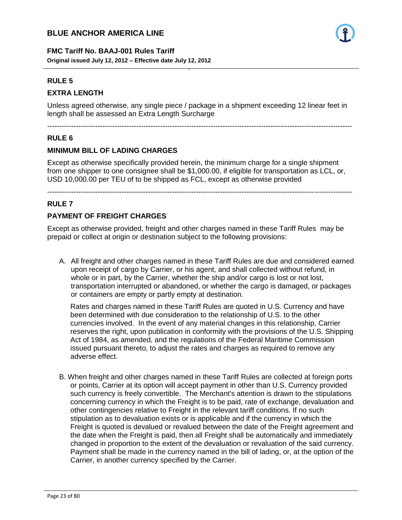**FMC Tariff No. BAAJ-001 Rules Tariff Original issued July 12, 2012 – Effective date July 12, 2012**

#### **RULE 5**

#### **EXTRA LENGTH**

Unless agreed otherwise, any single piece / package in a shipment exceeding 12 linear feet in length shall be assessed an Extra Length Surcharge

- 23 -

-------------------------------------------------------------------------------------------------------------------------------

#### **RULE 6**

#### **MINIMUM BILL OF LADING CHARGES**

Except as otherwise specifically provided herein, the minimum charge for a single shipment from one shipper to one consignee shall be \$1,000.00, if eligible for transportation as LCL, or, USD 10,000.00 per TEU of to be shipped as FCL, except as otherwise provided

-------------------------------------------------------------------------------------------------------------------------------

#### **RULE 7**

#### **PAYMENT OF FREIGHT CHARGES**

Except as otherwise provided, freight and other charges named in these Tariff Rules may be prepaid or collect at origin or destination subject to the following provisions:

A. All freight and other charges named in these Tariff Rules are due and considered earned upon receipt of cargo by Carrier, or his agent, and shall collected without refund, in whole or in part, by the Carrier, whether the ship and/or cargo is lost or not lost, transportation interrupted or abandoned, or whether the cargo is damaged, or packages or containers are empty or partly empty at destination.

Rates and charges named in these Tariff Rules are quoted in U.S. Currency and have been determined with due consideration to the relationship of U.S. to the other currencies involved. In the event of any material changes in this relationship, Carrier reserves the right, upon publication in conformity with the provisions of the U.S. Shipping Act of 1984, as amended, and the regulations of the Federal Maritime Commission issued pursuant thereto, to adjust the rates and charges as required to remove any adverse effect.

B. When freight and other charges named in these Tariff Rules are collected at foreign ports or points, Carrier at its option will accept payment in other than U.S. Currency provided such currency is freely convertible. The Merchant's attention is drawn to the stipulations concerning currency in which the Freight is to be paid, rate of exchange, devaluation and other contingencies relative to Freight in the relevant tariff conditions. If no such stipulation as to devaluation exists or is applicable and if the currency in which the Freight is quoted is devalued or revalued between the date of the Freight agreement and the date when the Freight is paid, then all Freight shall be automatically and immediately changed in proportion to the extent of the devaluation or revaluation of the said currency. Payment shall be made in the currency named in the bill of lading, or, at the option of the Carrier, in another currency specified by the Carrier.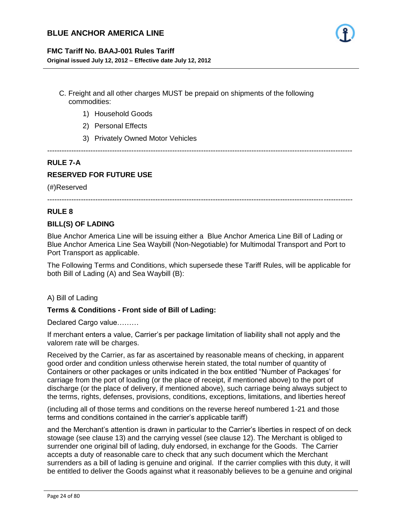#### **FMC Tariff No. BAAJ-001 Rules Tariff**

**Original issued July 12, 2012 – Effective date July 12, 2012**

C. Freight and all other charges MUST be prepaid on shipments of the following commodities:

- 24 -

- 1) Household Goods
- 2) Personal Effects
- 3) Privately Owned Motor Vehicles

# -------------------------------------------------------------------------------------------------------------------------------

#### **RULE 7-A**

# **RESERVED FOR FUTURE USE**

(#)Reserved

-------------------------------------------------------------------------------------------------------------------------------

#### **RULE 8**

#### **BILL(S) OF LADING**

Blue Anchor America Line will be issuing either a Blue Anchor America Line Bill of Lading or Blue Anchor America Line Sea Waybill (Non-Negotiable) for Multimodal Transport and Port to Port Transport as applicable.

The Following Terms and Conditions, which supersede these Tariff Rules, will be applicable for both Bill of Lading (A) and Sea Waybill (B):

#### A) Bill of Lading

#### **Terms & Conditions - Front side of Bill of Lading:**

Declared Cargo value………

If merchant enters a value, Carrier's per package limitation of liability shall not apply and the valorem rate will be charges.

Received by the Carrier, as far as ascertained by reasonable means of checking, in apparent good order and condition unless otherwise herein stated, the total number of quantity of Containers or other packages or units indicated in the box entitled "Number of Packages' for carriage from the port of loading (or the place of receipt, if mentioned above) to the port of discharge (or the place of delivery, if mentioned above), such carriage being always subject to the terms, rights, defenses, provisions, conditions, exceptions, limitations, and liberties hereof

(including all of those terms and conditions on the reverse hereof numbered 1-21 and those terms and conditions contained in the carrier's applicable tariff)

and the Merchant's attention is drawn in particular to the Carrier's liberties in respect of on deck stowage (see clause 13) and the carrying vessel (see clause 12). The Merchant is obliged to surrender one original bill of lading, duly endorsed, in exchange for the Goods. The Carrier accepts a duty of reasonable care to check that any such document which the Merchant surrenders as a bill of lading is genuine and original. If the carrier complies with this duty, it will be entitled to deliver the Goods against what it reasonably believes to be a genuine and original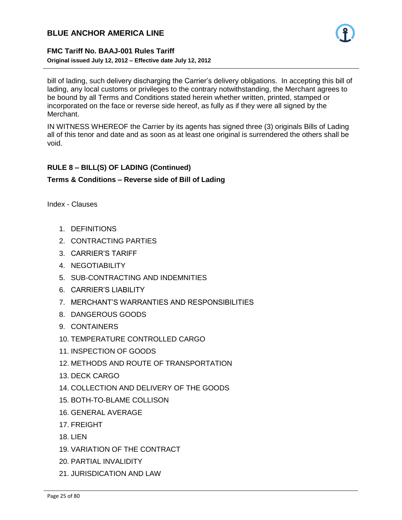

#### **FMC Tariff No. BAAJ-001 Rules Tariff Original issued July 12, 2012 – Effective date July 12, 2012**

bill of lading, such delivery discharging the Carrier's delivery obligations. In accepting this bill of lading, any local customs or privileges to the contrary notwithstanding, the Merchant agrees to be bound by all Terms and Conditions stated herein whether written, printed, stamped or incorporated on the face or reverse side hereof, as fully as if they were all signed by the Merchant.

- 25 -

IN WITNESS WHEREOF the Carrier by its agents has signed three (3) originals Bills of Lading all of this tenor and date and as soon as at least one original is surrendered the others shall be void.

#### **RULE 8 – BILL(S) OF LADING (Continued)**

#### **Terms & Conditions – Reverse side of Bill of Lading**

Index - Clauses

- 1. DEFINITIONS
- 2. CONTRACTING PARTIES
- 3. CARRIER'S TARIFF
- **4. NEGOTIABILITY**
- 5. SUB-CONTRACTING AND INDEMNITIES
- 6. CARRIER'S LIABILITY
- 7. MERCHANT'S WARRANTIES AND RESPONSIBILITIES
- 8. DANGEROUS GOODS
- 9. CONTAINERS
- 10. TEMPERATURE CONTROLLED CARGO
- 11. INSPECTION OF GOODS
- 12. METHODS AND ROUTE OF TRANSPORTATION
- 13. DECK CARGO
- 14. COLLECTION AND DELIVERY OF THE GOODS
- 15. BOTH-TO-BLAME COLLISON
- 16. GENERAL AVERAGE
- 17. FREIGHT
- 18. LIEN
- 19. VARIATION OF THE CONTRACT
- 20. PARTIAL INVALIDITY
- 21. JURISDICATION AND LAW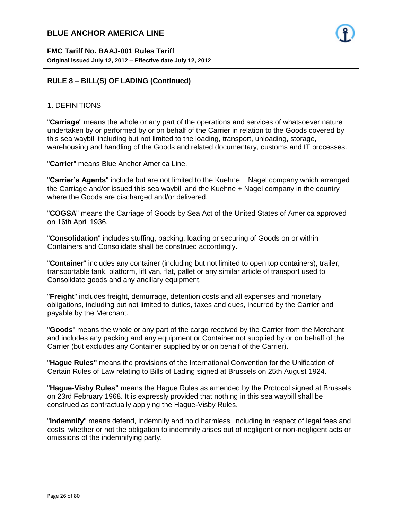

#### 1. DEFINITIONS

"**Carriage**" means the whole or any part of the operations and services of whatsoever nature undertaken by or performed by or on behalf of the Carrier in relation to the Goods covered by this sea waybill including but not limited to the loading, transport, unloading, storage, warehousing and handling of the Goods and related documentary, customs and IT processes.

- 26 -

"**Carrier**" means Blue Anchor America Line.

"**Carrier's Agents**" include but are not limited to the Kuehne + Nagel company which arranged the Carriage and/or issued this sea waybill and the Kuehne + Nagel company in the country where the Goods are discharged and/or delivered.

"**COGSA**" means the Carriage of Goods by Sea Act of the United States of America approved on 16th April 1936.

"**Consolidation**" includes stuffing, packing, loading or securing of Goods on or within Containers and Consolidate shall be construed accordingly.

"**Container**" includes any container (including but not limited to open top containers), trailer, transportable tank, platform, lift van, flat, pallet or any similar article of transport used to Consolidate goods and any ancillary equipment.

"**Freight**" includes freight, demurrage, detention costs and all expenses and monetary obligations, including but not limited to duties, taxes and dues, incurred by the Carrier and payable by the Merchant.

"**Goods**" means the whole or any part of the cargo received by the Carrier from the Merchant and includes any packing and any equipment or Container not supplied by or on behalf of the Carrier (but excludes any Container supplied by or on behalf of the Carrier).

"**Hague Rules"** means the provisions of the International Convention for the Unification of Certain Rules of Law relating to Bills of Lading signed at Brussels on 25th August 1924.

"**Hague-Visby Rules"** means the Hague Rules as amended by the Protocol signed at Brussels on 23rd February 1968. It is expressly provided that nothing in this sea waybill shall be construed as contractually applying the Hague-Visby Rules.

"**Indemnify**" means defend, indemnify and hold harmless, including in respect of legal fees and costs, whether or not the obligation to indemnify arises out of negligent or non-negligent acts or omissions of the indemnifying party.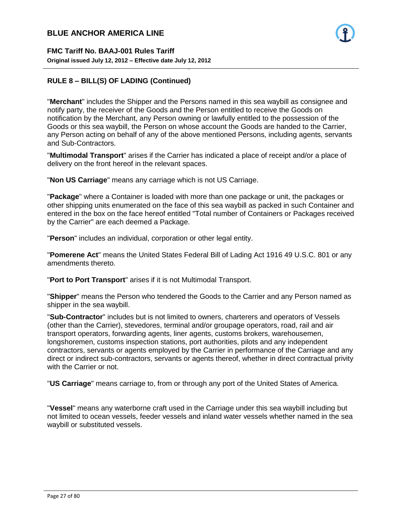

# **RULE 8 – BILL(S) OF LADING (Continued)**

"**Merchant**" includes the Shipper and the Persons named in this sea waybill as consignee and notify party, the receiver of the Goods and the Person entitled to receive the Goods on notification by the Merchant, any Person owning or lawfully entitled to the possession of the Goods or this sea waybill, the Person on whose account the Goods are handed to the Carrier, any Person acting on behalf of any of the above mentioned Persons, including agents, servants and Sub-Contractors.

- 27 -

"**Multimodal Transport**" arises if the Carrier has indicated a place of receipt and/or a place of delivery on the front hereof in the relevant spaces.

"**Non US Carriage**" means any carriage which is not US Carriage.

"**Package**" where a Container is loaded with more than one package or unit, the packages or other shipping units enumerated on the face of this sea waybill as packed in such Container and entered in the box on the face hereof entitled "Total number of Containers or Packages received by the Carrier" are each deemed a Package.

"**Person**" includes an individual, corporation or other legal entity.

"**Pomerene Act**" means the United States Federal Bill of Lading Act 1916 49 U.S.C. 801 or any amendments thereto.

"**Port to Port Transport**" arises if it is not Multimodal Transport.

"**Shipper**" means the Person who tendered the Goods to the Carrier and any Person named as shipper in the sea waybill.

"**Sub-Contractor**" includes but is not limited to owners, charterers and operators of Vessels (other than the Carrier), stevedores, terminal and/or groupage operators, road, rail and air transport operators, forwarding agents, liner agents, customs brokers, warehousemen, longshoremen, customs inspection stations, port authorities, pilots and any independent contractors, servants or agents employed by the Carrier in performance of the Carriage and any direct or indirect sub-contractors, servants or agents thereof, whether in direct contractual privity with the Carrier or not.

"**US Carriage**" means carriage to, from or through any port of the United States of America.

"**Vessel**" means any waterborne craft used in the Carriage under this sea waybill including but not limited to ocean vessels, feeder vessels and inland water vessels whether named in the sea waybill or substituted vessels.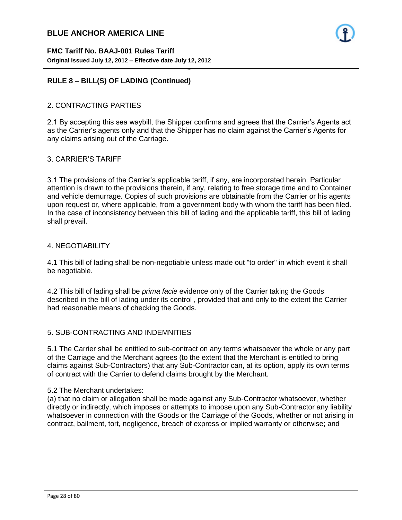

#### **RULE 8 – BILL(S) OF LADING (Continued)**

#### 2. CONTRACTING PARTIES

2.1 By accepting this sea waybill, the Shipper confirms and agrees that the Carrier's Agents act as the Carrier's agents only and that the Shipper has no claim against the Carrier's Agents for any claims arising out of the Carriage.

- 28 -

#### 3. CARRIER'S TARIFF

3.1 The provisions of the Carrier's applicable tariff, if any, are incorporated herein. Particular attention is drawn to the provisions therein, if any, relating to free storage time and to Container and vehicle demurrage. Copies of such provisions are obtainable from the Carrier or his agents upon request or, where applicable, from a government body with whom the tariff has been filed. In the case of inconsistency between this bill of lading and the applicable tariff, this bill of lading shall prevail.

#### 4. NEGOTIABILITY

4.1 This bill of lading shall be non-negotiable unless made out "to order" in which event it shall be negotiable.

4.2 This bill of lading shall be *prima facie* evidence only of the Carrier taking the Goods described in the bill of lading under its control , provided that and only to the extent the Carrier had reasonable means of checking the Goods.

#### 5. SUB-CONTRACTING AND INDEMNITIES

5.1 The Carrier shall be entitled to sub-contract on any terms whatsoever the whole or any part of the Carriage and the Merchant agrees (to the extent that the Merchant is entitled to bring claims against Sub-Contractors) that any Sub-Contractor can, at its option, apply its own terms of contract with the Carrier to defend claims brought by the Merchant.

#### 5.2 The Merchant undertakes:

(a) that no claim or allegation shall be made against any Sub-Contractor whatsoever, whether directly or indirectly, which imposes or attempts to impose upon any Sub-Contractor any liability whatsoever in connection with the Goods or the Carriage of the Goods, whether or not arising in contract, bailment, tort, negligence, breach of express or implied warranty or otherwise; and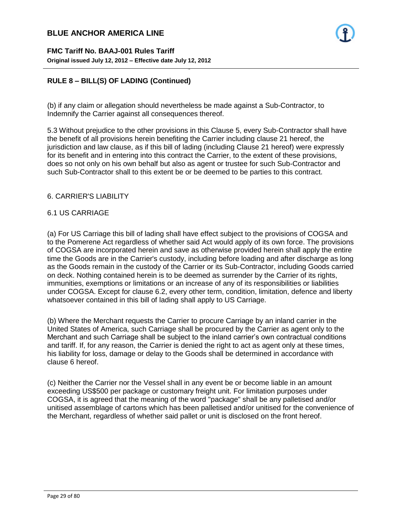# **RULE 8 – BILL(S) OF LADING (Continued)**

(b) if any claim or allegation should nevertheless be made against a Sub-Contractor, to Indemnify the Carrier against all consequences thereof.

- 29 -

5.3 Without prejudice to the other provisions in this Clause 5, every Sub-Contractor shall have the benefit of all provisions herein benefiting the Carrier including clause 21 hereof, the jurisdiction and law clause, as if this bill of lading (including Clause 21 hereof) were expressly for its benefit and in entering into this contract the Carrier, to the extent of these provisions, does so not only on his own behalf but also as agent or trustee for such Sub-Contractor and such Sub-Contractor shall to this extent be or be deemed to be parties to this contract.

#### 6. CARRIER'S LIABILITY

#### 6.1 US CARRIAGE

(a) For US Carriage this bill of lading shall have effect subject to the provisions of COGSA and to the Pomerene Act regardless of whether said Act would apply of its own force. The provisions of COGSA are incorporated herein and save as otherwise provided herein shall apply the entire time the Goods are in the Carrier's custody, including before loading and after discharge as long as the Goods remain in the custody of the Carrier or its Sub-Contractor, including Goods carried on deck. Nothing contained herein is to be deemed as surrender by the Carrier of its rights, immunities, exemptions or limitations or an increase of any of its responsibilities or liabilities under COGSA. Except for clause 6.2, every other term, condition, limitation, defence and liberty whatsoever contained in this bill of lading shall apply to US Carriage.

(b) Where the Merchant requests the Carrier to procure Carriage by an inland carrier in the United States of America, such Carriage shall be procured by the Carrier as agent only to the Merchant and such Carriage shall be subject to the inland carrier's own contractual conditions and tariff. If, for any reason, the Carrier is denied the right to act as agent only at these times, his liability for loss, damage or delay to the Goods shall be determined in accordance with clause 6 hereof.

(c) Neither the Carrier nor the Vessel shall in any event be or become liable in an amount exceeding US\$500 per package or customary freight unit. For limitation purposes under COGSA, it is agreed that the meaning of the word "package" shall be any palletised and/or unitised assemblage of cartons which has been palletised and/or unitised for the convenience of the Merchant, regardless of whether said pallet or unit is disclosed on the front hereof.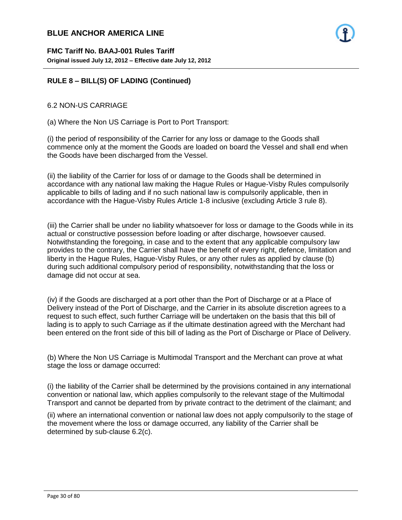

#### **RULE 8 – BILL(S) OF LADING (Continued)**

#### 6.2 NON-US CARRIAGE

(a) Where the Non US Carriage is Port to Port Transport:

(i) the period of responsibility of the Carrier for any loss or damage to the Goods shall commence only at the moment the Goods are loaded on board the Vessel and shall end when the Goods have been discharged from the Vessel.

- 30 -

(ii) the liability of the Carrier for loss of or damage to the Goods shall be determined in accordance with any national law making the Hague Rules or Hague-Visby Rules compulsorily applicable to bills of lading and if no such national law is compulsorily applicable, then in accordance with the Hague-Visby Rules Article 1-8 inclusive (excluding Article 3 rule 8).

(iii) the Carrier shall be under no liability whatsoever for loss or damage to the Goods while in its actual or constructive possession before loading or after discharge, howsoever caused. Notwithstanding the foregoing, in case and to the extent that any applicable compulsory law provides to the contrary, the Carrier shall have the benefit of every right, defence, limitation and liberty in the Hague Rules, Hague-Visby Rules, or any other rules as applied by clause (b) during such additional compulsory period of responsibility, notwithstanding that the loss or damage did not occur at sea.

(iv) if the Goods are discharged at a port other than the Port of Discharge or at a Place of Delivery instead of the Port of Discharge, and the Carrier in its absolute discretion agrees to a request to such effect, such further Carriage will be undertaken on the basis that this bill of lading is to apply to such Carriage as if the ultimate destination agreed with the Merchant had been entered on the front side of this bill of lading as the Port of Discharge or Place of Delivery.

(b) Where the Non US Carriage is Multimodal Transport and the Merchant can prove at what stage the loss or damage occurred:

(i) the liability of the Carrier shall be determined by the provisions contained in any international convention or national law, which applies compulsorily to the relevant stage of the Multimodal Transport and cannot be departed from by private contract to the detriment of the claimant; and

(ii) where an international convention or national law does not apply compulsorily to the stage of the movement where the loss or damage occurred, any liability of the Carrier shall be determined by sub-clause 6.2(c).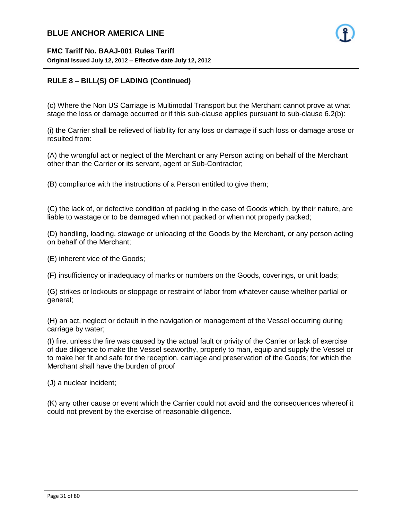

#### **RULE 8 – BILL(S) OF LADING (Continued)**

(c) Where the Non US Carriage is Multimodal Transport but the Merchant cannot prove at what stage the loss or damage occurred or if this sub-clause applies pursuant to sub-clause 6.2(b):

- 31 -

(i) the Carrier shall be relieved of liability for any loss or damage if such loss or damage arose or resulted from:

(A) the wrongful act or neglect of the Merchant or any Person acting on behalf of the Merchant other than the Carrier or its servant, agent or Sub-Contractor;

(B) compliance with the instructions of a Person entitled to give them;

(C) the lack of, or defective condition of packing in the case of Goods which, by their nature, are liable to wastage or to be damaged when not packed or when not properly packed;

(D) handling, loading, stowage or unloading of the Goods by the Merchant, or any person acting on behalf of the Merchant;

(E) inherent vice of the Goods;

(F) insufficiency or inadequacy of marks or numbers on the Goods, coverings, or unit loads;

(G) strikes or lockouts or stoppage or restraint of labor from whatever cause whether partial or general;

(H) an act, neglect or default in the navigation or management of the Vessel occurring during carriage by water;

(I) fire, unless the fire was caused by the actual fault or privity of the Carrier or lack of exercise of due diligence to make the Vessel seaworthy, properly to man, equip and supply the Vessel or to make her fit and safe for the reception, carriage and preservation of the Goods; for which the Merchant shall have the burden of proof

(J) a nuclear incident;

(K) any other cause or event which the Carrier could not avoid and the consequences whereof it could not prevent by the exercise of reasonable diligence.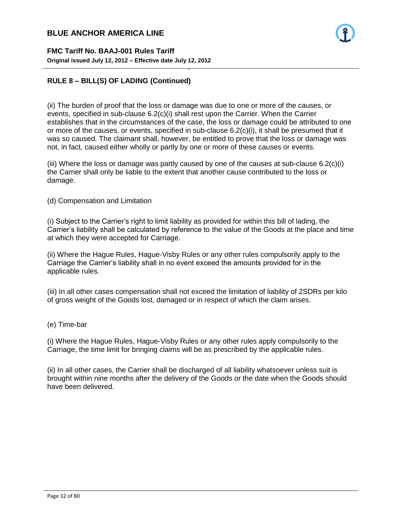

#### **RULE 8 – BILL(S) OF LADING (Continued)**

(ii) The burden of proof that the loss or damage was due to one or more of the causes, or events, specified in sub-clause 6.2(c)(i) shall rest upon the Carrier. When the Carrier establishes that in the circumstances of the case, the loss or damage could be attributed to one or more of the causes, or events, specified in sub-clause  $6.2(c)(i)$ , it shall be presumed that it was so caused. The claimant shall, however, be entitled to prove that the loss or damage was not, in fact, caused either wholly or partly by one or more of these causes or events.

- 32 -

(iii) Where the loss or damage was partly caused by one of the causes at sub-clause  $6.2(c)(i)$ the Carrier shall only be liable to the extent that another cause contributed to the loss or damage.

(d) Compensation and Limitation

(i) Subject to the Carrier's right to limit liability as provided for within this bill of lading, the Carrier's liability shall be calculated by reference to the value of the Goods at the place and time at which they were accepted for Carriage.

(ii) Where the Hague Rules, Hague-Visby Rules or any other rules compulsorily apply to the Carriage the Carrier's liability shall in no event exceed the amounts provided for in the applicable rules.

(iii) In all other cases compensation shall not exceed the limitation of liability of 2SDRs per kilo of gross weight of the Goods lost, damaged or in respect of which the claim arises.

#### (e) Time-bar

(i) Where the Hague Rules, Hague-Visby Rules or any other rules apply compulsorily to the Carriage, the time limit for bringing claims will be as prescribed by the applicable rules.

(ii) In all other cases, the Carrier shall be discharged of all liability whatsoever unless suit is brought within nine months after the delivery of the Goods or the date when the Goods should have been delivered.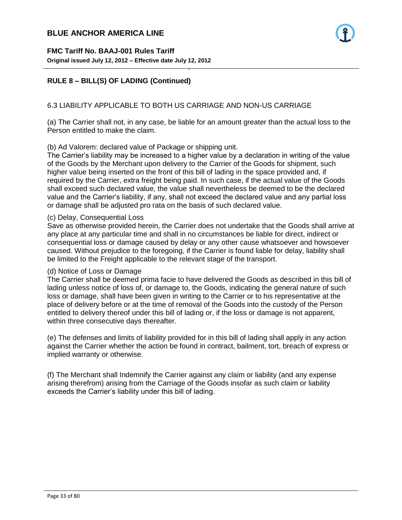#### 6.3 LIABILITY APPLICABLE TO BOTH US CARRIAGE AND NON-US CARRIAGE

- 33 -

(a) The Carrier shall not, in any case, be liable for an amount greater than the actual loss to the Person entitled to make the claim.

#### (b) Ad Valorem: declared value of Package or shipping unit.

The Carrier's liability may be increased to a higher value by a declaration in writing of the value of the Goods by the Merchant upon delivery to the Carrier of the Goods for shipment, such higher value being inserted on the front of this bill of lading in the space provided and, if required by the Carrier, extra freight being paid. In such case, if the actual value of the Goods shall exceed such declared value, the value shall nevertheless be deemed to be the declared value and the Carrier's liability, if any, shall not exceed the declared value and any partial loss or damage shall be adjusted pro rata on the basis of such declared value.

#### (c) Delay, Consequential Loss

Save as otherwise provided herein, the Carrier does not undertake that the Goods shall arrive at any place at any particular time and shall in no circumstances be liable for direct, indirect or consequential loss or damage caused by delay or any other cause whatsoever and howsoever caused. Without prejudice to the foregoing, if the Carrier is found liable for delay, liability shall be limited to the Freight applicable to the relevant stage of the transport.

#### (d) Notice of Loss or Damage

The Carrier shall be deemed prima facie to have delivered the Goods as described in this bill of lading unless notice of loss of, or damage to, the Goods, indicating the general nature of such loss or damage, shall have been given in writing to the Carrier or to his representative at the place of delivery before or at the time of removal of the Goods into the custody of the Person entitled to delivery thereof under this bill of lading or, if the loss or damage is not apparent, within three consecutive days thereafter.

(e) The defenses and limits of liability provided for in this bill of lading shall apply in any action against the Carrier whether the action be found in contract, bailment, tort, breach of express or implied warranty or otherwise.

(f) The Merchant shall Indemnify the Carrier against any claim or liability (and any expense arising therefrom) arising from the Carriage of the Goods insofar as such claim or liability exceeds the Carrier's liability under this bill of lading.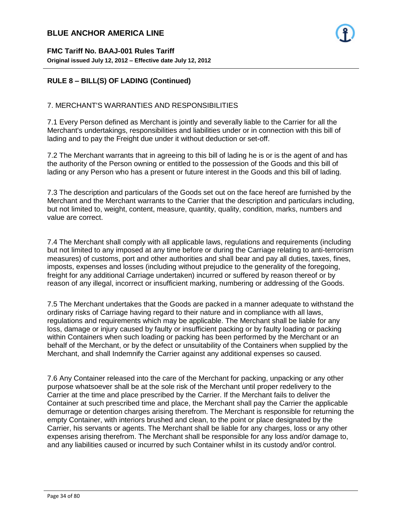# **RULE 8 – BILL(S) OF LADING (Continued)**

#### 7. MERCHANT'S WARRANTIES AND RESPONSIBILITIES

7.1 Every Person defined as Merchant is jointly and severally liable to the Carrier for all the Merchant's undertakings, responsibilities and liabilities under or in connection with this bill of lading and to pay the Freight due under it without deduction or set-off.

- 34 -

7.2 The Merchant warrants that in agreeing to this bill of lading he is or is the agent of and has the authority of the Person owning or entitled to the possession of the Goods and this bill of lading or any Person who has a present or future interest in the Goods and this bill of lading.

7.3 The description and particulars of the Goods set out on the face hereof are furnished by the Merchant and the Merchant warrants to the Carrier that the description and particulars including, but not limited to, weight, content, measure, quantity, quality, condition, marks, numbers and value are correct.

7.4 The Merchant shall comply with all applicable laws, regulations and requirements (including but not limited to any imposed at any time before or during the Carriage relating to anti-terrorism measures) of customs, port and other authorities and shall bear and pay all duties, taxes, fines, imposts, expenses and losses (including without prejudice to the generality of the foregoing, freight for any additional Carriage undertaken) incurred or suffered by reason thereof or by reason of any illegal, incorrect or insufficient marking, numbering or addressing of the Goods.

7.5 The Merchant undertakes that the Goods are packed in a manner adequate to withstand the ordinary risks of Carriage having regard to their nature and in compliance with all laws, regulations and requirements which may be applicable. The Merchant shall be liable for any loss, damage or injury caused by faulty or insufficient packing or by faulty loading or packing within Containers when such loading or packing has been performed by the Merchant or an behalf of the Merchant, or by the defect or unsuitability of the Containers when supplied by the Merchant, and shall Indemnify the Carrier against any additional expenses so caused.

7.6 Any Container released into the care of the Merchant for packing, unpacking or any other purpose whatsoever shall be at the sole risk of the Merchant until proper redelivery to the Carrier at the time and place prescribed by the Carrier. If the Merchant fails to deliver the Container at such prescribed time and place, the Merchant shall pay the Carrier the applicable demurrage or detention charges arising therefrom. The Merchant is responsible for returning the empty Container, with interiors brushed and clean, to the point or place designated by the Carrier, his servants or agents. The Merchant shall be liable for any charges, loss or any other expenses arising therefrom. The Merchant shall be responsible for any loss and/or damage to, and any liabilities caused or incurred by such Container whilst in its custody and/or control.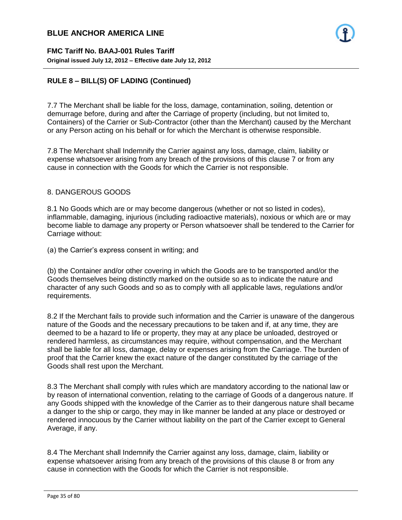**FMC Tariff No. BAAJ-001 Rules Tariff Original issued July 12, 2012 – Effective date July 12, 2012**

# **RULE 8 – BILL(S) OF LADING (Continued)**

7.7 The Merchant shall be liable for the loss, damage, contamination, soiling, detention or demurrage before, during and after the Carriage of property (including, but not limited to, Containers) of the Carrier or Sub-Contractor (other than the Merchant) caused by the Merchant or any Person acting on his behalf or for which the Merchant is otherwise responsible.

7.8 The Merchant shall Indemnify the Carrier against any loss, damage, claim, liability or expense whatsoever arising from any breach of the provisions of this clause 7 or from any cause in connection with the Goods for which the Carrier is not responsible.

- 35 -

#### 8. DANGEROUS GOODS

8.1 No Goods which are or may become dangerous (whether or not so listed in codes), inflammable, damaging, injurious (including radioactive materials), noxious or which are or may become liable to damage any property or Person whatsoever shall be tendered to the Carrier for Carriage without:

(a) the Carrier's express consent in writing; and

(b) the Container and/or other covering in which the Goods are to be transported and/or the Goods themselves being distinctly marked on the outside so as to indicate the nature and character of any such Goods and so as to comply with all applicable laws, regulations and/or requirements.

8.2 If the Merchant fails to provide such information and the Carrier is unaware of the dangerous nature of the Goods and the necessary precautions to be taken and if, at any time, they are deemed to be a hazard to life or property, they may at any place be unloaded, destroyed or rendered harmless, as circumstances may require, without compensation, and the Merchant shall be liable for all loss, damage, delay or expenses arising from the Carriage. The burden of proof that the Carrier knew the exact nature of the danger constituted by the carriage of the Goods shall rest upon the Merchant.

8.3 The Merchant shall comply with rules which are mandatory according to the national law or by reason of international convention, relating to the carriage of Goods of a dangerous nature. If any Goods shipped with the knowledge of the Carrier as to their dangerous nature shall became a danger to the ship or cargo, they may in like manner be landed at any place or destroyed or rendered innocuous by the Carrier without liability on the part of the Carrier except to General Average, if any.

8.4 The Merchant shall Indemnify the Carrier against any loss, damage, claim, liability or expense whatsoever arising from any breach of the provisions of this clause 8 or from any cause in connection with the Goods for which the Carrier is not responsible.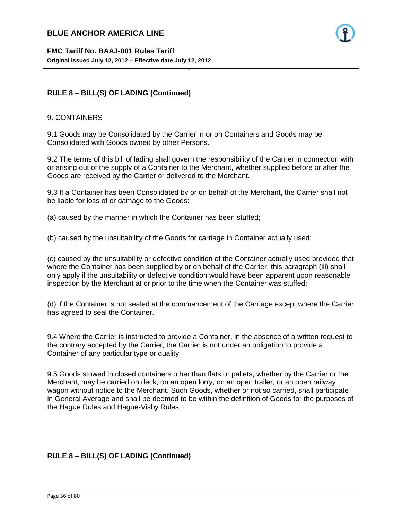# **RULE 8 – BILL(S) OF LADING (Continued)**

#### 9. CONTAINERS

9.1 Goods may be Consolidated by the Carrier in or on Containers and Goods may be Consolidated with Goods owned by other Persons.

- 36 -

9.2 The terms of this bill of lading shall govern the responsibility of the Carrier in connection with or arising out of the supply of a Container to the Merchant, whether supplied before or after the Goods are received by the Carrier or delivered to the Merchant.

9.3 If a Container has been Consolidated by or on behalf of the Merchant, the Carrier shall not be liable for loss of or damage to the Goods:

(a) caused by the manner in which the Container has been stuffed;

(b) caused by the unsuitability of the Goods for carriage in Container actually used;

(c) caused by the unsuitability or defective condition of the Container actually used provided that where the Container has been supplied by or on behalf of the Carrier, this paragraph (iii) shall only apply if the unsuitability or defective condition would have been apparent upon reasonable inspection by the Merchant at or prior to the time when the Container was stuffed;

(d) if the Container is not sealed at the commencement of the Carriage except where the Carrier has agreed to seal the Container.

9.4 Where the Carrier is instructed to provide a Container, in the absence of a written request to the contrary accepted by the Carrier, the Carrier is not under an obligation to provide a Container of any particular type or quality.

9.5 Goods stowed in closed containers other than flats or pallets, whether by the Carrier or the Merchant, may be carried on deck, on an open lorry, on an open trailer, or an open railway wagon without notice to the Merchant. Such Goods, whether or not so carried, shall participate in General Average and shall be deemed to be within the definition of Goods for the purposes of the Hague Rules and Hague-Visby Rules.

# **RULE 8 – BILL(S) OF LADING (Continued)**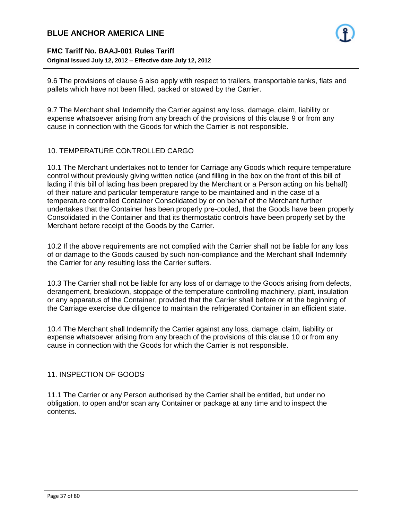

### **FMC Tariff No. BAAJ-001 Rules Tariff Original issued July 12, 2012 – Effective date July 12, 2012**

9.6 The provisions of clause 6 also apply with respect to trailers, transportable tanks, flats and pallets which have not been filled, packed or stowed by the Carrier.

- 37 -

9.7 The Merchant shall Indemnify the Carrier against any loss, damage, claim, liability or expense whatsoever arising from any breach of the provisions of this clause 9 or from any cause in connection with the Goods for which the Carrier is not responsible.

### 10. TEMPERATURE CONTROLLED CARGO

10.1 The Merchant undertakes not to tender for Carriage any Goods which require temperature control without previously giving written notice (and filling in the box on the front of this bill of lading if this bill of lading has been prepared by the Merchant or a Person acting on his behalf) of their nature and particular temperature range to be maintained and in the case of a temperature controlled Container Consolidated by or on behalf of the Merchant further undertakes that the Container has been properly pre-cooled, that the Goods have been properly Consolidated in the Container and that its thermostatic controls have been properly set by the Merchant before receipt of the Goods by the Carrier.

10.2 If the above requirements are not complied with the Carrier shall not be liable for any loss of or damage to the Goods caused by such non-compliance and the Merchant shall Indemnify the Carrier for any resulting loss the Carrier suffers.

10.3 The Carrier shall not be liable for any loss of or damage to the Goods arising from defects, derangement, breakdown, stoppage of the temperature controlling machinery, plant, insulation or any apparatus of the Container, provided that the Carrier shall before or at the beginning of the Carriage exercise due diligence to maintain the refrigerated Container in an efficient state.

10.4 The Merchant shall Indemnify the Carrier against any loss, damage, claim, liability or expense whatsoever arising from any breach of the provisions of this clause 10 or from any cause in connection with the Goods for which the Carrier is not responsible.

### 11. INSPECTION OF GOODS

11.1 The Carrier or any Person authorised by the Carrier shall be entitled, but under no obligation, to open and/or scan any Container or package at any time and to inspect the contents.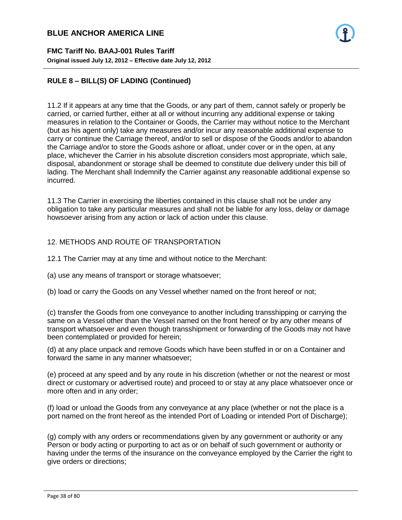**FMC Tariff No. BAAJ-001 Rules Tariff Original issued July 12, 2012 – Effective date July 12, 2012**

### **RULE 8 – BILL(S) OF LADING (Continued)**

11.2 If it appears at any time that the Goods, or any part of them, cannot safely or properly be carried, or carried further, either at all or without incurring any additional expense or taking measures in relation to the Container or Goods, the Carrier may without notice to the Merchant (but as his agent only) take any measures and/or incur any reasonable additional expense to carry or continue the Carriage thereof, and/or to sell or dispose of the Goods and/or to abandon the Carriage and/or to store the Goods ashore or afloat, under cover or in the open, at any place, whichever the Carrier in his absolute discretion considers most appropriate, which sale, disposal, abandonment or storage shall be deemed to constitute due delivery under this bill of lading. The Merchant shall Indemnify the Carrier against any reasonable additional expense so incurred.

- 38 -

11.3 The Carrier in exercising the liberties contained in this clause shall not be under any obligation to take any particular measures and shall not be liable for any loss, delay or damage howsoever arising from any action or lack of action under this clause.

#### 12. METHODS AND ROUTE OF TRANSPORTATION

- 12.1 The Carrier may at any time and without notice to the Merchant:
- (a) use any means of transport or storage whatsoever;
- (b) load or carry the Goods on any Vessel whether named on the front hereof or not;

(c) transfer the Goods from one conveyance to another including transshipping or carrying the same on a Vessel other than the Vessel named on the front hereof or by any other means of transport whatsoever and even though transshipment or forwarding of the Goods may not have been contemplated or provided for herein;

(d) at any place unpack and remove Goods which have been stuffed in or on a Container and forward the same in any manner whatsoever;

(e) proceed at any speed and by any route in his discretion (whether or not the nearest or most direct or customary or advertised route) and proceed to or stay at any place whatsoever once or more often and in any order;

(f) load or unload the Goods from any conveyance at any place (whether or not the place is a port named on the front hereof as the intended Port of Loading or intended Port of Discharge);

(g) comply with any orders or recommendations given by any government or authority or any Person or body acting or purporting to act as or on behalf of such government or authority or having under the terms of the insurance on the conveyance employed by the Carrier the right to give orders or directions;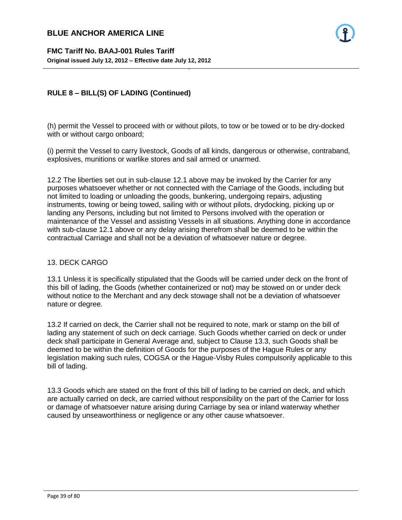

### **RULE 8 – BILL(S) OF LADING (Continued)**

(h) permit the Vessel to proceed with or without pilots, to tow or be towed or to be dry-docked with or without cargo onboard;

- 39 -

(i) permit the Vessel to carry livestock, Goods of all kinds, dangerous or otherwise, contraband, explosives, munitions or warlike stores and sail armed or unarmed.

12.2 The liberties set out in sub-clause 12.1 above may be invoked by the Carrier for any purposes whatsoever whether or not connected with the Carriage of the Goods, including but not limited to loading or unloading the goods, bunkering, undergoing repairs, adjusting instruments, towing or being towed, sailing with or without pilots, drydocking, picking up or landing any Persons, including but not limited to Persons involved with the operation or maintenance of the Vessel and assisting Vessels in all situations. Anything done in accordance with sub-clause 12.1 above or any delay arising therefrom shall be deemed to be within the contractual Carriage and shall not be a deviation of whatsoever nature or degree.

#### 13. DECK CARGO

13.1 Unless it is specifically stipulated that the Goods will be carried under deck on the front of this bill of lading, the Goods (whether containerized or not) may be stowed on or under deck without notice to the Merchant and any deck stowage shall not be a deviation of whatsoever nature or degree.

13.2 If carried on deck, the Carrier shall not be required to note, mark or stamp on the bill of lading any statement of such on deck carriage. Such Goods whether carried on deck or under deck shall participate in General Average and, subject to Clause 13.3, such Goods shall be deemed to be within the definition of Goods for the purposes of the Hague Rules or any legislation making such rules, COGSA or the Hague-Visby Rules compulsorily applicable to this bill of lading.

13.3 Goods which are stated on the front of this bill of lading to be carried on deck, and which are actually carried on deck, are carried without responsibility on the part of the Carrier for loss or damage of whatsoever nature arising during Carriage by sea or inland waterway whether caused by unseaworthiness or negligence or any other cause whatsoever.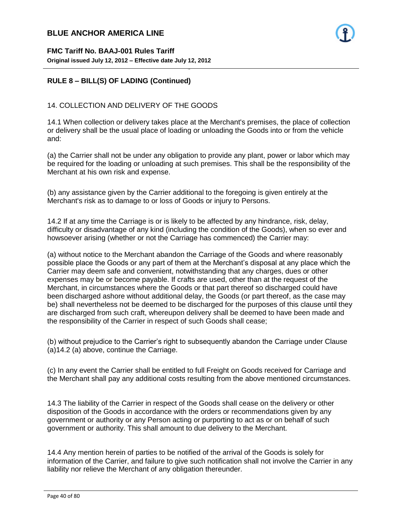

### **RULE 8 – BILL(S) OF LADING (Continued)**

#### 14. COLLECTION AND DELIVERY OF THE GOODS

14.1 When collection or delivery takes place at the Merchant's premises, the place of collection or delivery shall be the usual place of loading or unloading the Goods into or from the vehicle and:

- 40 -

(a) the Carrier shall not be under any obligation to provide any plant, power or labor which may be required for the loading or unloading at such premises. This shall be the responsibility of the Merchant at his own risk and expense.

(b) any assistance given by the Carrier additional to the foregoing is given entirely at the Merchant's risk as to damage to or loss of Goods or injury to Persons.

14.2 If at any time the Carriage is or is likely to be affected by any hindrance, risk, delay, difficulty or disadvantage of any kind (including the condition of the Goods), when so ever and howsoever arising (whether or not the Carriage has commenced) the Carrier may:

(a) without notice to the Merchant abandon the Carriage of the Goods and where reasonably possible place the Goods or any part of them at the Merchant's disposal at any place which the Carrier may deem safe and convenient, notwithstanding that any charges, dues or other expenses may be or become payable. If crafts are used, other than at the request of the Merchant, in circumstances where the Goods or that part thereof so discharged could have been discharged ashore without additional delay, the Goods (or part thereof, as the case may be) shall nevertheless not be deemed to be discharged for the purposes of this clause until they are discharged from such craft, whereupon delivery shall be deemed to have been made and the responsibility of the Carrier in respect of such Goods shall cease;

(b) without prejudice to the Carrier's right to subsequently abandon the Carriage under Clause (a)14.2 (a) above, continue the Carriage.

(c) In any event the Carrier shall be entitled to full Freight on Goods received for Carriage and the Merchant shall pay any additional costs resulting from the above mentioned circumstances.

14.3 The liability of the Carrier in respect of the Goods shall cease on the delivery or other disposition of the Goods in accordance with the orders or recommendations given by any government or authority or any Person acting or purporting to act as or on behalf of such government or authority. This shall amount to due delivery to the Merchant.

14.4 Any mention herein of parties to be notified of the arrival of the Goods is solely for information of the Carrier, and failure to give such notification shall not involve the Carrier in any liability nor relieve the Merchant of any obligation thereunder.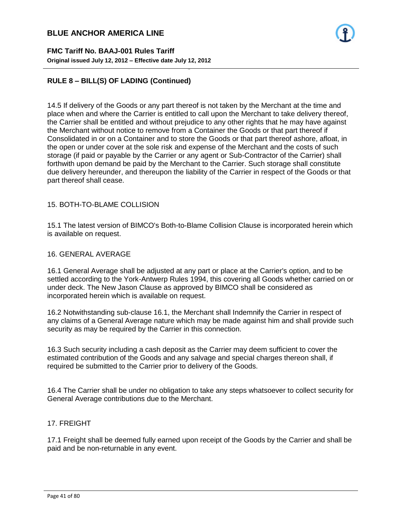**FMC Tariff No. BAAJ-001 Rules Tariff Original issued July 12, 2012 – Effective date July 12, 2012**

### **RULE 8 – BILL(S) OF LADING (Continued)**

14.5 If delivery of the Goods or any part thereof is not taken by the Merchant at the time and place when and where the Carrier is entitled to call upon the Merchant to take delivery thereof, the Carrier shall be entitled and without prejudice to any other rights that he may have against the Merchant without notice to remove from a Container the Goods or that part thereof if Consolidated in or on a Container and to store the Goods or that part thereof ashore, afloat, in the open or under cover at the sole risk and expense of the Merchant and the costs of such storage (if paid or payable by the Carrier or any agent or Sub-Contractor of the Carrier) shall forthwith upon demand be paid by the Merchant to the Carrier. Such storage shall constitute due delivery hereunder, and thereupon the liability of the Carrier in respect of the Goods or that part thereof shall cease.

- 41 -

#### 15. BOTH-TO-BLAME COLLISION

15.1 The latest version of BIMCO's Both-to-Blame Collision Clause is incorporated herein which is available on request.

### 16. GENERAL AVERAGE

16.1 General Average shall be adjusted at any part or place at the Carrier's option, and to be settled according to the York-Antwerp Rules 1994, this covering all Goods whether carried on or under deck. The New Jason Clause as approved by BIMCO shall be considered as incorporated herein which is available on request.

16.2 Notwithstanding sub-clause 16.1, the Merchant shall Indemnify the Carrier in respect of any claims of a General Average nature which may be made against him and shall provide such security as may be required by the Carrier in this connection.

16.3 Such security including a cash deposit as the Carrier may deem sufficient to cover the estimated contribution of the Goods and any salvage and special charges thereon shall, if required be submitted to the Carrier prior to delivery of the Goods.

16.4 The Carrier shall be under no obligation to take any steps whatsoever to collect security for General Average contributions due to the Merchant.

#### 17. FREIGHT

17.1 Freight shall be deemed fully earned upon receipt of the Goods by the Carrier and shall be paid and be non-returnable in any event.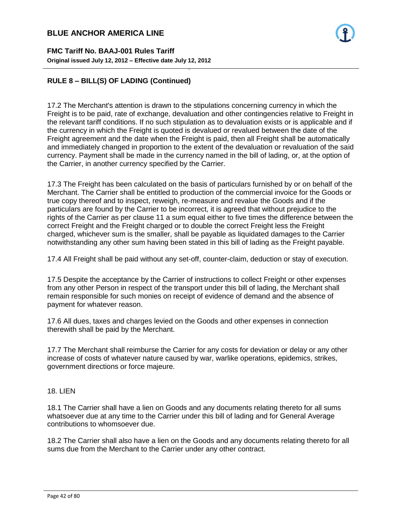**FMC Tariff No. BAAJ-001 Rules Tariff Original issued July 12, 2012 – Effective date July 12, 2012**

### **RULE 8 – BILL(S) OF LADING (Continued)**

17.2 The Merchant's attention is drawn to the stipulations concerning currency in which the Freight is to be paid, rate of exchange, devaluation and other contingencies relative to Freight in the relevant tariff conditions. If no such stipulation as to devaluation exists or is applicable and if the currency in which the Freight is quoted is devalued or revalued between the date of the Freight agreement and the date when the Freight is paid, then all Freight shall be automatically and immediately changed in proportion to the extent of the devaluation or revaluation of the said currency. Payment shall be made in the currency named in the bill of lading, or, at the option of the Carrier, in another currency specified by the Carrier.

- 42 -

17.3 The Freight has been calculated on the basis of particulars furnished by or on behalf of the Merchant. The Carrier shall be entitled to production of the commercial invoice for the Goods or true copy thereof and to inspect, reweigh, re-measure and revalue the Goods and if the particulars are found by the Carrier to be incorrect, it is agreed that without prejudice to the rights of the Carrier as per clause 11 a sum equal either to five times the difference between the correct Freight and the Freight charged or to double the correct Freight less the Freight charged, whichever sum is the smaller, shall be payable as liquidated damages to the Carrier notwithstanding any other sum having been stated in this bill of lading as the Freight payable.

17.4 All Freight shall be paid without any set-off, counter-claim, deduction or stay of execution.

17.5 Despite the acceptance by the Carrier of instructions to collect Freight or other expenses from any other Person in respect of the transport under this bill of lading, the Merchant shall remain responsible for such monies on receipt of evidence of demand and the absence of payment for whatever reason.

17.6 All dues, taxes and charges levied on the Goods and other expenses in connection therewith shall be paid by the Merchant.

17.7 The Merchant shall reimburse the Carrier for any costs for deviation or delay or any other increase of costs of whatever nature caused by war, warlike operations, epidemics, strikes, government directions or force majeure.

### 18. LIEN

18.1 The Carrier shall have a lien on Goods and any documents relating thereto for all sums whatsoever due at any time to the Carrier under this bill of lading and for General Average contributions to whomsoever due.

18.2 The Carrier shall also have a lien on the Goods and any documents relating thereto for all sums due from the Merchant to the Carrier under any other contract.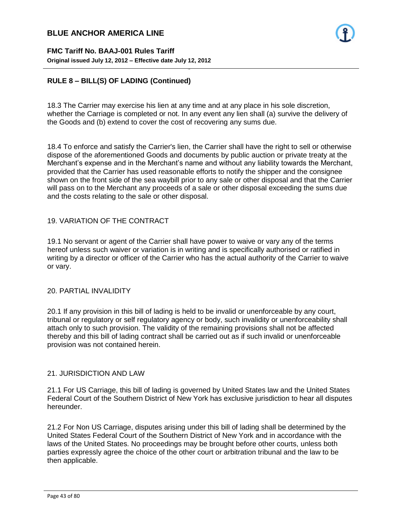**FMC Tariff No. BAAJ-001 Rules Tariff Original issued July 12, 2012 – Effective date July 12, 2012**

### **RULE 8 – BILL(S) OF LADING (Continued)**

18.3 The Carrier may exercise his lien at any time and at any place in his sole discretion, whether the Carriage is completed or not. In any event any lien shall (a) survive the delivery of the Goods and (b) extend to cover the cost of recovering any sums due.

- 43 -

18.4 To enforce and satisfy the Carrier's lien, the Carrier shall have the right to sell or otherwise dispose of the aforementioned Goods and documents by public auction or private treaty at the Merchant's expense and in the Merchant's name and without any liability towards the Merchant, provided that the Carrier has used reasonable efforts to notify the shipper and the consignee shown on the front side of the sea waybill prior to any sale or other disposal and that the Carrier will pass on to the Merchant any proceeds of a sale or other disposal exceeding the sums due and the costs relating to the sale or other disposal.

#### 19. VARIATION OF THE CONTRACT

19.1 No servant or agent of the Carrier shall have power to waive or vary any of the terms hereof unless such waiver or variation is in writing and is specifically authorised or ratified in writing by a director or officer of the Carrier who has the actual authority of the Carrier to waive or vary.

#### 20. PARTIAL INVALIDITY

20.1 If any provision in this bill of lading is held to be invalid or unenforceable by any court, tribunal or regulatory or self regulatory agency or body, such invalidity or unenforceability shall attach only to such provision. The validity of the remaining provisions shall not be affected thereby and this bill of lading contract shall be carried out as if such invalid or unenforceable provision was not contained herein.

#### 21. JURISDICTION AND LAW

21.1 For US Carriage, this bill of lading is governed by United States law and the United States Federal Court of the Southern District of New York has exclusive jurisdiction to hear all disputes hereunder.

21.2 For Non US Carriage, disputes arising under this bill of lading shall be determined by the United States Federal Court of the Southern District of New York and in accordance with the laws of the United States. No proceedings may be brought before other courts, unless both parties expressly agree the choice of the other court or arbitration tribunal and the law to be then applicable.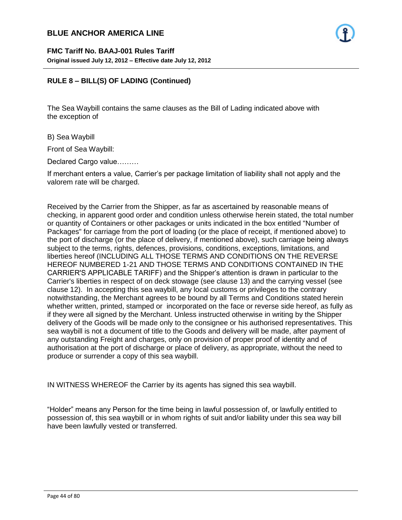### **RULE 8 – BILL(S) OF LADING (Continued)**

The Sea Waybill contains the same clauses as the Bill of Lading indicated above with the exception of

- 44 -

B) Sea Waybill

Front of Sea Waybill:

Declared Cargo value………

If merchant enters a value, Carrier's per package limitation of liability shall not apply and the valorem rate will be charged.

Received by the Carrier from the Shipper, as far as ascertained by reasonable means of checking, in apparent good order and condition unless otherwise herein stated, the total number or quantity of Containers or other packages or units indicated in the box entitled "Number of Packages" for carriage from the port of loading (or the place of receipt, if mentioned above) to the port of discharge (or the place of delivery, if mentioned above), such carriage being always subject to the terms, rights, defences, provisions, conditions, exceptions, limitations, and liberties hereof (INCLUDING ALL THOSE TERMS AND CONDITIONS ON THE REVERSE HEREOF NUMBERED 1-21 AND THOSE TERMS AND CONDITIONS CONTAINED IN THE CARRIER'S APPLICABLE TARIFF) and the Shipper's attention is drawn in particular to the Carrier's liberties in respect of on deck stowage (see clause 13) and the carrying vessel (see clause 12). In accepting this sea waybill, any local customs or privileges to the contrary notwithstanding, the Merchant agrees to be bound by all Terms and Conditions stated herein whether written, printed, stamped or incorporated on the face or reverse side hereof, as fully as if they were all signed by the Merchant. Unless instructed otherwise in writing by the Shipper delivery of the Goods will be made only to the consignee or his authorised representatives. This sea waybill is not a document of title to the Goods and delivery will be made, after payment of any outstanding Freight and charges, only on provision of proper proof of identity and of authorisation at the port of discharge or place of delivery, as appropriate, without the need to produce or surrender a copy of this sea waybill.

IN WITNESS WHEREOF the Carrier by its agents has signed this sea waybill.

"Holder" means any Person for the time being in lawful possession of, or lawfully entitled to possession of, this sea waybill or in whom rights of suit and/or liability under this sea way bill have been lawfully vested or transferred.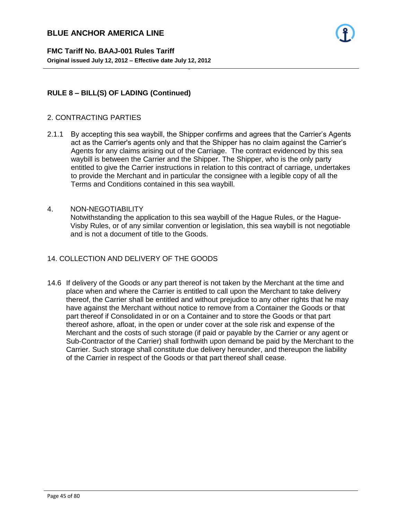**FMC Tariff No. BAAJ-001 Rules Tariff Original issued July 12, 2012 – Effective date July 12, 2012**

### **RULE 8 – BILL(S) OF LADING (Continued)**

#### 2. CONTRACTING PARTIES

2.1.1 By accepting this sea waybill, the Shipper confirms and agrees that the Carrier's Agents act as the Carrier's agents only and that the Shipper has no claim against the Carrier's Agents for any claims arising out of the Carriage. The contract evidenced by this sea waybill is between the Carrier and the Shipper. The Shipper, who is the only party entitled to give the Carrier instructions in relation to this contract of carriage, undertakes to provide the Merchant and in particular the consignee with a legible copy of all the Terms and Conditions contained in this sea waybill.

- 45 -

### 4. NON-NEGOTIABILITY

Notwithstanding the application to this sea waybill of the Hague Rules, or the Hague-Visby Rules, or of any similar convention or legislation, this sea waybill is not negotiable and is not a document of title to the Goods.

#### 14. COLLECTION AND DELIVERY OF THE GOODS

14.6 If delivery of the Goods or any part thereof is not taken by the Merchant at the time and place when and where the Carrier is entitled to call upon the Merchant to take delivery thereof, the Carrier shall be entitled and without prejudice to any other rights that he may have against the Merchant without notice to remove from a Container the Goods or that part thereof if Consolidated in or on a Container and to store the Goods or that part thereof ashore, afloat, in the open or under cover at the sole risk and expense of the Merchant and the costs of such storage (if paid or payable by the Carrier or any agent or Sub-Contractor of the Carrier) shall forthwith upon demand be paid by the Merchant to the Carrier. Such storage shall constitute due delivery hereunder, and thereupon the liability of the Carrier in respect of the Goods or that part thereof shall cease.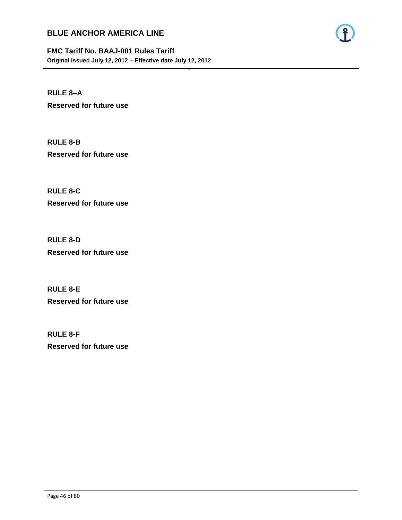

**FMC Tariff No. BAAJ-001 Rules Tariff Original issued July 12, 2012 – Effective date July 12, 2012**

- 46 -

**RULE 8–A Reserved for future use**

**RULE 8-B Reserved for future use**

**RULE 8-C Reserved for future use**

**RULE 8-D Reserved for future use**

**RULE 8-E Reserved for future use**

**RULE 8-F Reserved for future use**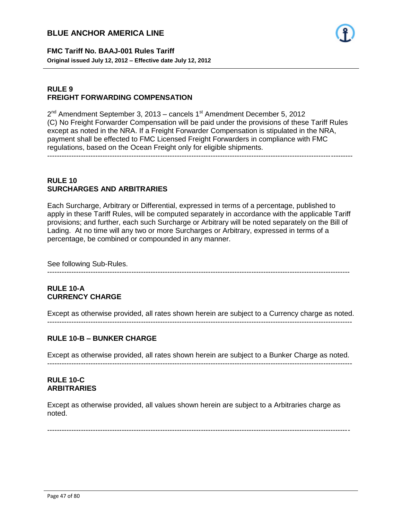

**FMC Tariff No. BAAJ-001 Rules Tariff Original issued July 12, 2012 – Effective date July 12, 2012**

### **RULE 9 FREIGHT FORWARDING COMPENSATION**

2<sup>nd</sup> Amendment September 3, 2013 – cancels 1<sup>st</sup> Amendment December 5, 2012 (C) No Freight Forwarder Compensation will be paid under the provisions of these Tariff Rules except as noted in the NRA. If a Freight Forwarder Compensation is stipulated in the NRA, payment shall be effected to FMC Licensed Freight Forwarders in compliance with FMC regulations, based on the Ocean Freight only for eligible shipments.

- 47 -

-------------------------------------------------------------------------------------------------------------------------------

### **RULE 10 SURCHARGES AND ARBITRARIES**

Each Surcharge, Arbitrary or Differential, expressed in terms of a percentage, published to apply in these Tariff Rules, will be computed separately in accordance with the applicable Tariff provisions; and further, each such Surcharge or Arbitrary will be noted separately on the Bill of Lading. At no time will any two or more Surcharges or Arbitrary, expressed in terms of a percentage, be combined or compounded in any manner.

See following Sub-Rules.

------------------------------------------------------------------------------------------------------------------------------

### **RULE 10-A CURRENCY CHARGE**

Except as otherwise provided, all rates shown herein are subject to a Currency charge as noted. -------------------------------------------------------------------------------------------------------------------------------

### **RULE 10-B – BUNKER CHARGE**

Except as otherwise provided, all rates shown herein are subject to a Bunker Charge as noted. -------------------------------------------------------------------------------------------------------------------------------

### **RULE 10-C ARBITRARIES**

Except as otherwise provided, all values shown herein are subject to a Arbitraries charge as noted.

------------------------------------------------------------------------------------------------------------------------------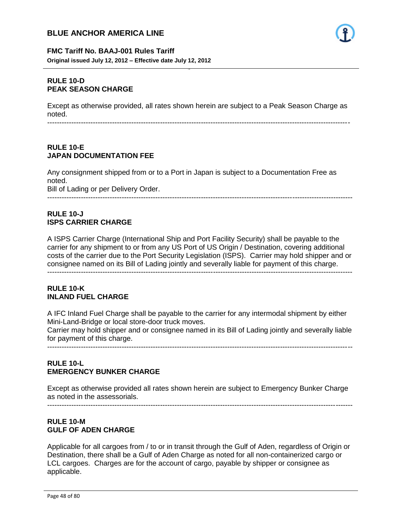

### **FMC Tariff No. BAAJ-001 Rules Tariff Original issued July 12, 2012 – Effective date July 12, 2012**

### **RULE 10-D PEAK SEASON CHARGE**

Except as otherwise provided, all rates shown herein are subject to a Peak Season Charge as noted.

- 48 -

------------------------------------------------------------------------------------------------------------------------------

### **RULE 10-E JAPAN DOCUMENTATION FEE**

Any consignment shipped from or to a Port in Japan is subject to a Documentation Free as noted. Bill of Lading or per Delivery Order.

-------------------------------------------------------------------------------------------------------------------------------

### **RULE 10-J ISPS CARRIER CHARGE**

A ISPS Carrier Charge (International Ship and Port Facility Security) shall be payable to the carrier for any shipment to or from any US Port of US Origin / Destination, covering additional costs of the carrier due to the Port Security Legislation (ISPS). Carrier may hold shipper and or consignee named on its Bill of Lading jointly and severally liable for payment of this charge.

#### -------------------------------------------------------------------------------------------------------------------------------

### **RULE 10-K INLAND FUEL CHARGE**

A IFC Inland Fuel Charge shall be payable to the carrier for any intermodal shipment by either Mini-Land-Bridge or local store-door truck moves.

Carrier may hold shipper and or consignee named in its Bill of Lading jointly and severally liable for payment of this charge. -------------------------------------------------------------------------------------------------------------------------------

### **RULE 10-L EMERGENCY BUNKER CHARGE**

Except as otherwise provided all rates shown herein are subject to Emergency Bunker Charge as noted in the assessorials. -------------------------------------------------------------------------------------------------------------------------------

# **RULE 10-M**

# **GULF OF ADEN CHARGE**

Applicable for all cargoes from / to or in transit through the Gulf of Aden, regardless of Origin or Destination, there shall be a Gulf of Aden Charge as noted for all non-containerized cargo or LCL cargoes. Charges are for the account of cargo, payable by shipper or consignee as applicable.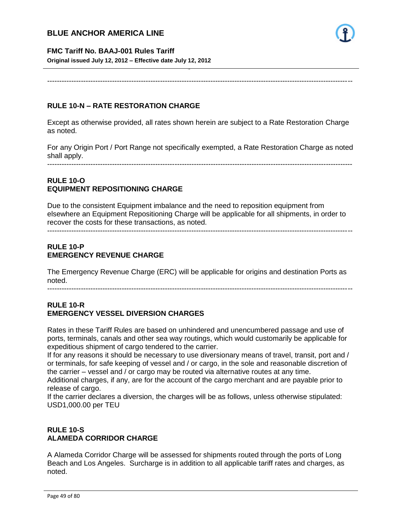

#### **FMC Tariff No. BAAJ-001 Rules Tariff**

**Original issued July 12, 2012 – Effective date July 12, 2012**

-------------------------------------------------------------------------------------------------------------------------------

- 49 -

### **RULE 10-N – RATE RESTORATION CHARGE**

Except as otherwise provided, all rates shown herein are subject to a Rate Restoration Charge as noted.

For any Origin Port / Port Range not specifically exempted, a Rate Restoration Charge as noted shall apply.

-------------------------------------------------------------------------------------------------------------------------------

### **RULE 10-O EQUIPMENT REPOSITIONING CHARGE**

Due to the consistent Equipment imbalance and the need to reposition equipment from elsewhere an Equipment Repositioning Charge will be applicable for all shipments, in order to recover the costs for these transactions, as noted.

-------------------------------------------------------------------------------------------------------------------------------

### **RULE 10-P EMERGENCY REVENUE CHARGE**

The Emergency Revenue Charge (ERC) will be applicable for origins and destination Ports as noted.

-------------------------------------------------------------------------------------------------------------------------------

#### **RULE 10-R EMERGENCY VESSEL DIVERSION CHARGES**

Rates in these Tariff Rules are based on unhindered and unencumbered passage and use of ports, terminals, canals and other sea way routings, which would customarily be applicable for expeditious shipment of cargo tendered to the carrier.

If for any reasons it should be necessary to use diversionary means of travel, transit, port and / or terminals, for safe keeping of vessel and / or cargo, in the sole and reasonable discretion of the carrier – vessel and / or cargo may be routed via alternative routes at any time.

Additional charges, if any, are for the account of the cargo merchant and are payable prior to release of cargo.

If the carrier declares a diversion, the charges will be as follows, unless otherwise stipulated: USD1,000.00 per TEU

### **RULE 10-S ALAMEDA CORRIDOR CHARGE**

A Alameda Corridor Charge will be assessed for shipments routed through the ports of Long Beach and Los Angeles. Surcharge is in addition to all applicable tariff rates and charges, as noted.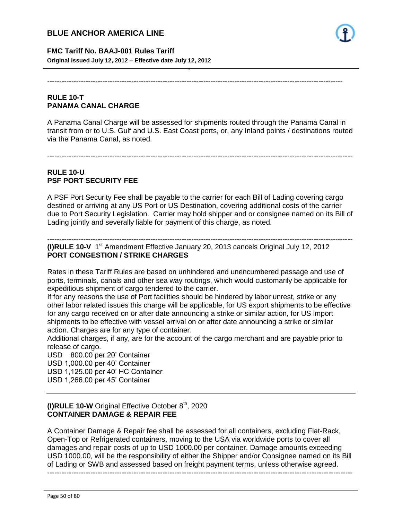

**FMC Tariff No. BAAJ-001 Rules Tariff Original issued July 12, 2012 – Effective date July 12, 2012**

---------------------------------------------------------------------------------------------------------------------------

- 50 -

### **RULE 10-T PANAMA CANAL CHARGE**

A Panama Canal Charge will be assessed for shipments routed through the Panama Canal in transit from or to U.S. Gulf and U.S. East Coast ports, or, any Inland points / destinations routed via the Panama Canal, as noted.

-------------------------------------------------------------------------------------------------------------------------------

### **RULE 10-U PSF PORT SECURITY FEE**

A PSF Port Security Fee shall be payable to the carrier for each Bill of Lading covering cargo destined or arriving at any US Port or US Destination, covering additional costs of the carrier due to Port Security Legislation. Carrier may hold shipper and or consignee named on its Bill of Lading jointly and severally liable for payment of this charge, as noted.

------------------------------------------------------------------------------------------------------------------------------- (I)RULE 10-V 1<sup>st</sup> Amendment Effective January 20, 2013 cancels Original July 12, 2012 **PORT CONGESTION / STRIKE CHARGES**

Rates in these Tariff Rules are based on unhindered and unencumbered passage and use of ports, terminals, canals and other sea way routings, which would customarily be applicable for expeditious shipment of cargo tendered to the carrier.

If for any reasons the use of Port facilities should be hindered by labor unrest, strike or any other labor related issues this charge will be applicable, for US export shipments to be effective for any cargo received on or after date announcing a strike or similar action, for US import shipments to be effective with vessel arrival on or after date announcing a strike or similar action. Charges are for any type of container.

Additional charges, if any, are for the account of the cargo merchant and are payable prior to release of cargo.

USD 800.00 per 20' Container USD 1,000.00 per 40' Container USD 1,125.00 per 40' HC Container

USD 1,266.00 per 45' Container

### **(I)RULE 10-W** Original Effective October 8<sup>th</sup>, 2020 **CONTAINER DAMAGE & REPAIR FEE**

A Container Damage & Repair fee shall be assessed for all containers, excluding Flat-Rack, Open-Top or Refrigerated containers, moving to the USA via worldwide ports to cover all damages and repair costs of up to USD 1000.00 per container. Damage amounts exceeding USD 1000.00, will be the responsibility of either the Shipper and/or Consignee named on its Bill of Lading or SWB and assessed based on freight payment terms, unless otherwise agreed.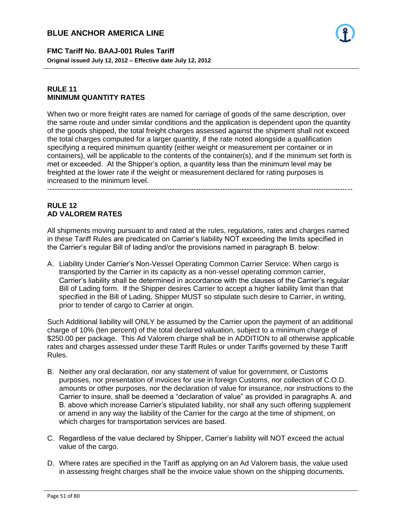**FMC Tariff No. BAAJ-001 Rules Tariff Original issued July 12, 2012 – Effective date July 12, 2012**

### **RULE 11 MINIMUM QUANTITY RATES**

When two or more freight rates are named for carriage of goods of the same description, over the same route and under similar conditions and the application is dependent upon the quantity of the goods shipped, the total freight charges assessed against the shipment shall not exceed the total charges computed for a larger quantity, if the rate noted alongside a qualification specifying a required minimum quantity (either weight or measurement per container or in containers), will be applicable to the contents of the container(s), and if the minimum set forth is met or exceeded. At the Shipper's option, a quantity less than the minimum level may be freighted at the lower rate if the weight or measurement declared for rating purposes is increased to the minimum level.

- 51 -

### **RULE 12 AD VALOREM RATES**

All shipments moving pursuant to and rated at the rules, regulations, rates and charges named in these Tariff Rules are predicated on Carrier's liability NOT exceeding the limits specified in the Carrier's regular Bill of lading and/or the provisions named in paragraph B. below:

A. Liability Under Carrier's Non-Vessel Operating Common Carrier Service: When cargo is transported by the Carrier in its capacity as a non-vessel operating common carrier, Carrier's liability shall be determined in accordance with the clauses of the Carrier's regular Bill of Lading form. If the Shipper desires Carrier to accept a higher liability limit than that specified in the Bill of Lading, Shipper MUST so stipulate such desire to Carrier, in writing, prior to tender of cargo to Carrier at origin.

Such Additional liability will ONLY be assumed by the Carrier upon the payment of an additional charge of 10% (ten percent) of the total declared valuation, subject to a minimum charge of \$250.00 per package. This Ad Valorem charge shall be in ADDITION to all otherwise applicable rates and charges assessed under these Tariff Rules or under Tariffs governed by these Tariff Rules.

- B. Neither any oral declaration, nor any statement of value for government, or Customs purposes, nor presentation of invoices for use in foreign Customs, nor collection of C.O.D. amounts or other purposes, nor the declaration of value for insurance, nor instructions to the Carrier to insure, shall be deemed a "declaration of value" as provided in paragraphs A. and B. above which increase Carrier's stipulated liability, nor shall any such offering supplement or amend in any way the liability of the Carrier for the cargo at the time of shipment, on which charges for transportation services are based.
- C. Regardless of the value declared by Shipper, Carrier's liability will NOT exceed the actual value of the cargo.
- D. Where rates are specified in the Tariff as applying on an Ad Valorem basis, the value used in assessing freight charges shall be the invoice value shown on the shipping documents.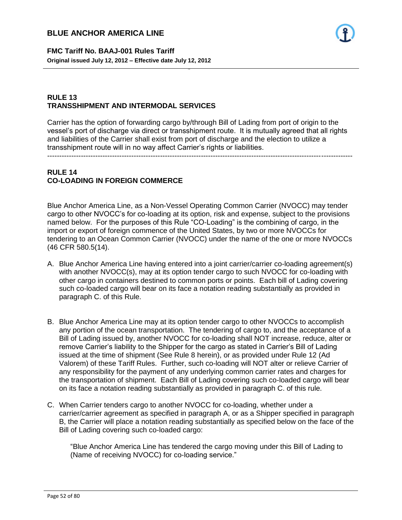

**FMC Tariff No. BAAJ-001 Rules Tariff Original issued July 12, 2012 – Effective date July 12, 2012**

### **RULE 13 TRANSSHIPMENT AND INTERMODAL SERVICES**

Carrier has the option of forwarding cargo by/through Bill of Lading from port of origin to the vessel's port of discharge via direct or transshipment route. It is mutually agreed that all rights and liabilities of the Carrier shall exist from port of discharge and the election to utilize a transshipment route will in no way affect Carrier's rights or liabilities.

- 52 -

-------------------------------------------------------------------------------------------------------------------------------

### **RULE 14 CO-LOADING IN FOREIGN COMMERCE**

Blue Anchor America Line, as a Non-Vessel Operating Common Carrier (NVOCC) may tender cargo to other NVOCC's for co-loading at its option, risk and expense, subject to the provisions named below. For the purposes of this Rule "CO-Loading" is the combining of cargo, in the import or export of foreign commence of the United States, by two or more NVOCCs for tendering to an Ocean Common Carrier (NVOCC) under the name of the one or more NVOCCs (46 CFR 580.5(14).

- A. Blue Anchor America Line having entered into a joint carrier/carrier co-loading agreement(s) with another NVOCC(s), may at its option tender cargo to such NVOCC for co-loading with other cargo in containers destined to common ports or points. Each bill of Lading covering such co-loaded cargo will bear on its face a notation reading substantially as provided in paragraph C. of this Rule.
- B. Blue Anchor America Line may at its option tender cargo to other NVOCCs to accomplish any portion of the ocean transportation. The tendering of cargo to, and the acceptance of a Bill of Lading issued by, another NVOCC for co-loading shall NOT increase, reduce, alter or remove Carrier's liability to the Shipper for the cargo as stated in Carrier's Bill of Lading issued at the time of shipment (See Rule 8 herein), or as provided under Rule 12 (Ad Valorem) of these Tariff Rules. Further, such co-loading will NOT alter or relieve Carrier of any responsibility for the payment of any underlying common carrier rates and charges for the transportation of shipment. Each Bill of Lading covering such co-loaded cargo will bear on its face a notation reading substantially as provided in paragraph C. of this rule.
- C. When Carrier tenders cargo to another NVOCC for co-loading, whether under a carrier/carrier agreement as specified in paragraph A, or as a Shipper specified in paragraph B, the Carrier will place a notation reading substantially as specified below on the face of the Bill of Lading covering such co-loaded cargo:

"Blue Anchor America Line has tendered the cargo moving under this Bill of Lading to (Name of receiving NVOCC) for co-loading service."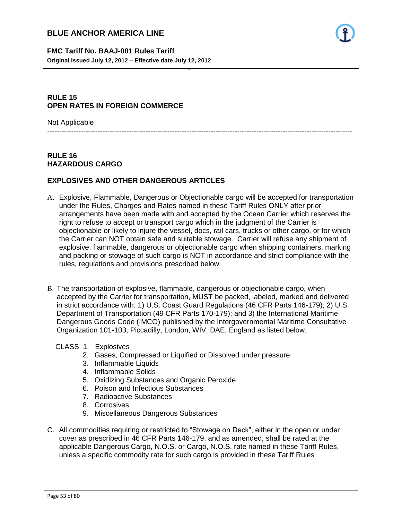

### **RULE 15 OPEN RATES IN FOREIGN COMMERCE**

Not Applicable

-------------------------------------------------------------------------------------------------------------------------------

- 53 -

### **RULE 16 HAZARDOUS CARGO**

### **EXPLOSIVES AND OTHER DANGEROUS ARTICLES**

- A. Explosive, Flammable, Dangerous or Objectionable cargo will be accepted for transportation under the Rules, Charges and Rates named in these Tariff Rules ONLY after prior arrangements have been made with and accepted by the Ocean Carrier which reserves the right to refuse to accept or transport cargo which in the judgment of the Carrier is objectionable or likely to injure the vessel, docs, rail cars, trucks or other cargo, or for which the Carrier can NOT obtain safe and suitable stowage. Carrier will refuse any shipment of explosive, flammable, dangerous or objectionable cargo when shipping containers, marking and packing or stowage of such cargo is NOT in accordance and strict compliance with the rules, regulations and provisions prescribed below.
- B. The transportation of explosive, flammable, dangerous or objectionable cargo, when accepted by the Carrier for transportation, MUST be packed, labeled, marked and delivered in strict accordance with: 1) U.S. Coast Guard Regulations (46 CFR Parts 146-179); 2) U.S. Department of Transportation (49 CFR Parts 170-179); and 3) the International Maritime Dangerous Goods Code (IMCO) published by the Intergovernmental Maritime Consultative Organization 101-103, Piccadilly, London, WIV, DAE, England as listed below:
	- CLASS 1. Explosives
		- 2. Gases, Compressed or Liquified or Dissolved under pressure
		- 3. Inflammable Liquids
		- 4. Inflammable Solids
		- 5. Oxidizing Substances and Organic Peroxide
		- 6. Poison and Infectious Substances
		- 7. Radioactive Substances
		- 8. Corrosives
		- 9. Miscellaneous Dangerous Substances
- C. All commodities requiring or restricted to "Stowage on Deck", either in the open or under cover as prescribed in 46 CFR Parts 146-179, and as amended, shall be rated at the applicable Dangerous Cargo, N.O.S. or Cargo, N.O.S. rate named in these Tariff Rules, unless a specific commodity rate for such cargo is provided in these Tariff Rules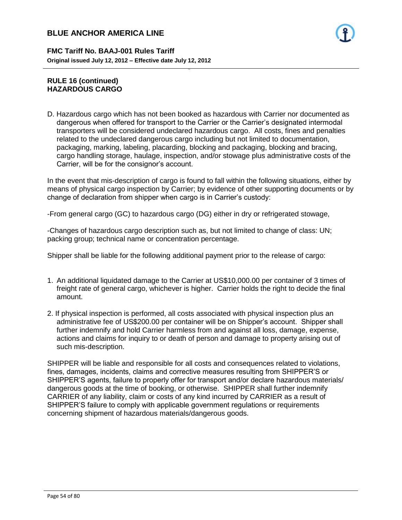**FMC Tariff No. BAAJ-001 Rules Tariff Original issued July 12, 2012 – Effective date July 12, 2012**

### **RULE 16 (continued) HAZARDOUS CARGO**

D. Hazardous cargo which has not been booked as hazardous with Carrier nor documented as dangerous when offered for transport to the Carrier or the Carrier's designated intermodal transporters will be considered undeclared hazardous cargo. All costs, fines and penalties related to the undeclared dangerous cargo including but not limited to documentation, packaging, marking, labeling, placarding, blocking and packaging, blocking and bracing, cargo handling storage, haulage, inspection, and/or stowage plus administrative costs of the Carrier, will be for the consignor's account.

- 54 -

In the event that mis-description of cargo is found to fall within the following situations, either by means of physical cargo inspection by Carrier; by evidence of other supporting documents or by change of declaration from shipper when cargo is in Carrier's custody:

-From general cargo (GC) to hazardous cargo (DG) either in dry or refrigerated stowage,

-Changes of hazardous cargo description such as, but not limited to change of class: UN; packing group; technical name or concentration percentage.

Shipper shall be liable for the following additional payment prior to the release of cargo:

- 1. An additional liquidated damage to the Carrier at US\$10,000.00 per container of 3 times of freight rate of general cargo, whichever is higher. Carrier holds the right to decide the final amount.
- 2. If physical inspection is performed, all costs associated with physical inspection plus an administrative fee of US\$200.00 per container will be on Shipper's account. Shipper shall further indemnify and hold Carrier harmless from and against all loss, damage, expense, actions and claims for inquiry to or death of person and damage to property arising out of such mis-description.

SHIPPER will be liable and responsible for all costs and consequences related to violations, fines, damages, incidents, claims and corrective measures resulting from SHIPPER'S or SHIPPER'S agents, failure to properly offer for transport and/or declare hazardous materials/ dangerous goods at the time of booking, or otherwise. SHIPPER shall further indemnify CARRIER of any liability, claim or costs of any kind incurred by CARRIER as a result of SHIPPER'S failure to comply with applicable government regulations or requirements concerning shipment of hazardous materials/dangerous goods.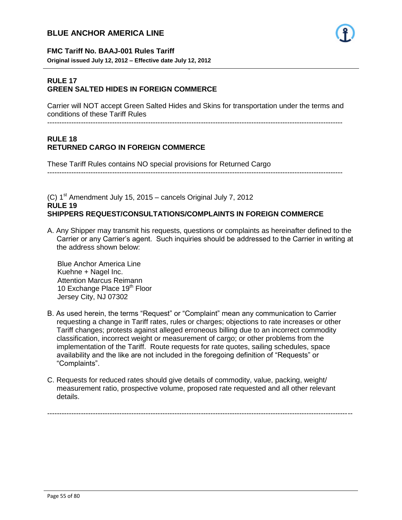

#### **FMC Tariff No. BAAJ-001 Rules Tariff**

**Original issued July 12, 2012 – Effective date July 12, 2012**

#### **RULE 17 GREEN SALTED HIDES IN FOREIGN COMMERCE**

Carrier will NOT accept Green Salted Hides and Skins for transportation under the terms and conditions of these Tariff Rules

- 55 -

---------------------------------------------------------------------------------------------------------------------------

### **RULE 18 RETURNED CARGO IN FOREIGN COMMERCE**

These Tariff Rules contains NO special provisions for Returned Cargo ---------------------------------------------------------------------------------------------------------------------------

(C)  $1<sup>st</sup>$  Amendment July 15, 2015 – cancels Original July 7, 2012 **RULE 19 SHIPPERS REQUEST/CONSULTATIONS/COMPLAINTS IN FOREIGN COMMERCE**

A. Any Shipper may transmit his requests, questions or complaints as hereinafter defined to the Carrier or any Carrier's agent. Such inquiries should be addressed to the Carrier in writing at the address shown below:

 Blue Anchor America Line Kuehne + Nagel Inc. Attention Marcus Reimann 10 Exchange Place 19<sup>th</sup> Floor Jersey City, NJ 07302

- B. As used herein, the terms "Request" or "Complaint" mean any communication to Carrier requesting a change in Tariff rates, rules or charges; objections to rate increases or other Tariff changes; protests against alleged erroneous billing due to an incorrect commodity classification, incorrect weight or measurement of cargo; or other problems from the implementation of the Tariff. Route requests for rate quotes, sailing schedules, space availability and the like are not included in the foregoing definition of "Requests" or "Complaints".
- C. Requests for reduced rates should give details of commodity, value, packing, weight/ measurement ratio, prospective volume, proposed rate requested and all other relevant details.

-------------------------------------------------------------------------------------------------------------------------------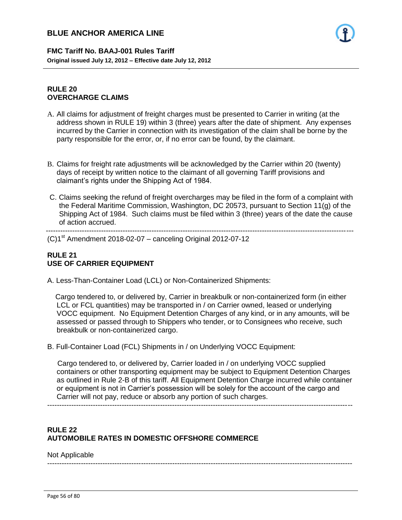**FMC Tariff No. BAAJ-001 Rules Tariff Original issued July 12, 2012 – Effective date July 12, 2012**

#### **RULE 20 OVERCHARGE CLAIMS**

A. All claims for adjustment of freight charges must be presented to Carrier in writing (at the address shown in RULE 19) within 3 (three) years after the date of shipment. Any expenses incurred by the Carrier in connection with its investigation of the claim shall be borne by the party responsible for the error, or, if no error can be found, by the claimant.

- 56 -

- B. Claims for freight rate adjustments will be acknowledged by the Carrier within 20 (twenty) days of receipt by written notice to the claimant of all governing Tariff provisions and claimant's rights under the Shipping Act of 1984.
- C. Claims seeking the refund of freight overcharges may be filed in the form of a complaint with the Federal Maritime Commission, Washington, DC 20573, pursuant to Section 11(g) of the Shipping Act of 1984. Such claims must be filed within 3 (three) years of the date the cause of action accrued.

 --------------------------------------------------------------------------------------------------------------------------------  $(C)1<sup>st</sup>$  Amendment 2018-02-07 – canceling Original 2012-07-12

### **RULE 21 USE OF CARRIER EQUIPMENT**

A. Less-Than-Container Load (LCL) or Non-Containerized Shipments:

 Cargo tendered to, or delivered by, Carrier in breakbulk or non-containerized form (in either LCL or FCL quantities) may be transported in / on Carrier owned, leased or underlying VOCC equipment. No Equipment Detention Charges of any kind, or in any amounts, will be assessed or passed through to Shippers who tender, or to Consignees who receive, such breakbulk or non-containerized cargo.

B. Full-Container Load (FCL) Shipments in / on Underlying VOCC Equipment:

 Cargo tendered to, or delivered by, Carrier loaded in / on underlying VOCC supplied containers or other transporting equipment may be subject to Equipment Detention Charges as outlined in Rule 2-B of this tariff. All Equipment Detention Charge incurred while container or equipment is not in Carrier's possession will be solely for the account of the cargo and Carrier will not pay, reduce or absorb any portion of such charges.

-------------------------------------------------------------------------------------------------------------------------------

### **RULE 22 AUTOMOBILE RATES IN DOMESTIC OFFSHORE COMMERCE**

#### Not Applicable

-------------------------------------------------------------------------------------------------------------------------------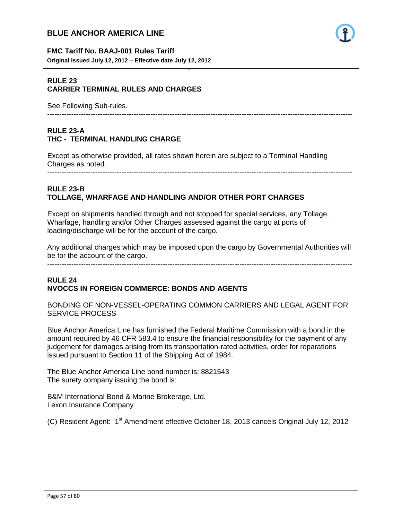

#### **FMC Tariff No. BAAJ-001 Rules Tariff**

**Original issued July 12, 2012 – Effective date July 12, 2012**

### **RULE 23 CARRIER TERMINAL RULES AND CHARGES**

See Following Sub-rules.

#### -------------------------------------------------------------------------------------------------------------------------------

#### **RULE 23-A THC - TERMINAL HANDLING CHARGE**

Except as otherwise provided, all rates shown herein are subject to a Terminal Handling Charges as noted.

- 57 -

-------------------------------------------------------------------------------------------------------------------------------

#### **RULE 23-B TOLLAGE, WHARFAGE AND HANDLING AND/OR OTHER PORT CHARGES**

Except on shipments handled through and not stopped for special services, any Tollage, Wharfage, handling and/or Other Charges assessed against the cargo at ports of loading/discharge will be for the account of the cargo.

Any additional charges which may be imposed upon the cargo by Governmental Authorities will be for the account of the cargo.

-------------------------------------------------------------------------------------------------------------------------------

### **RULE 24 NVOCCS IN FOREIGN COMMERCE: BONDS AND AGENTS**

BONDING OF NON-VESSEL-OPERATING COMMON CARRIERS AND LEGAL AGENT FOR SERVICE PROCESS

Blue Anchor America Line has furnished the Federal Maritime Commission with a bond in the amount required by 46 CFR 583.4 to ensure the financial responsibility for the payment of any judgement for damages arising from its transportation-rated activities, order for reparations issued pursuant to Section 11 of the Shipping Act of 1984.

The Blue Anchor America Line bond number is: 8821543 The surety company issuing the bond is:

B&M International Bond & Marine Brokerage, Ltd. Lexon Insurance Company

(C) Resident Agent: 1<sup>st</sup> Amendment effective October 18, 2013 cancels Original July 12, 2012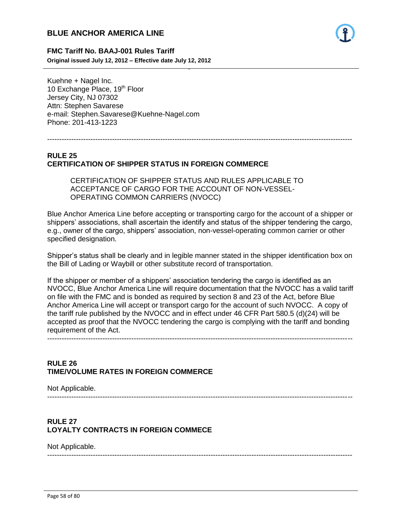

#### **FMC Tariff No. BAAJ-001 Rules Tariff**

**Original issued July 12, 2012 – Effective date July 12, 2012**

Kuehne + Nagel Inc. 10 Exchange Place, 19<sup>th</sup> Floor Jersey City, NJ 07302 Attn: Stephen Savarese e-mail: Stephen.Savarese@Kuehne-Nagel.com Phone: 201-413-1223

-------------------------------------------------------------------------------------------------------------------------------

- 58 -

### **RULE 25 CERTIFICATION OF SHIPPER STATUS IN FOREIGN COMMERCE**

CERTIFICATION OF SHIPPER STATUS AND RULES APPLICABLE TO ACCEPTANCE OF CARGO FOR THE ACCOUNT OF NON-VESSEL-OPERATING COMMON CARRIERS (NVOCC)

Blue Anchor America Line before accepting or transporting cargo for the account of a shipper or shippers' associations, shall ascertain the identify and status of the shipper tendering the cargo, e.g., owner of the cargo, shippers' association, non-vessel-operating common carrier or other specified designation.

Shipper's status shall be clearly and in legible manner stated in the shipper identification box on the Bill of Lading or Waybill or other substitute record of transportation.

If the shipper or member of a shippers' association tendering the cargo is identified as an NVOCC, Blue Anchor America Line will require documentation that the NVOCC has a valid tariff on file with the FMC and is bonded as required by section 8 and 23 of the Act, before Blue Anchor America Line will accept or transport cargo for the account of such NVOCC. A copy of the tariff rule published by the NVOCC and in effect under 46 CFR Part 580.5 (d)(24) will be accepted as proof that the NVOCC tendering the cargo is complying with the tariff and bonding requirement of the Act.

-------------------------------------------------------------------------------------------------------------------------------

### **RULE 26 TIME/VOLUME RATES IN FOREIGN COMMERCE**

Not Applicable.

-------------------------------------------------------------------------------------------------------------------------------

### **RULE 27 LOYALTY CONTRACTS IN FOREIGN COMMECE**

Not Applicable.

-------------------------------------------------------------------------------------------------------------------------------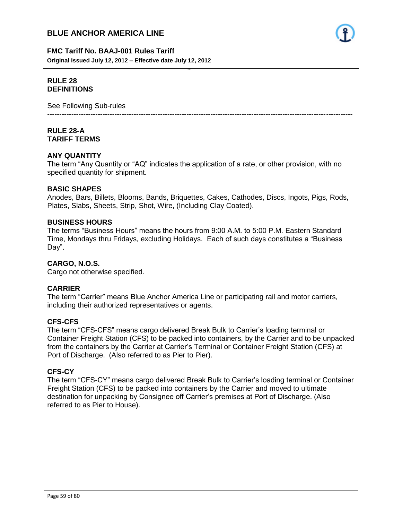

#### **FMC Tariff No. BAAJ-001 Rules Tariff**

**Original issued July 12, 2012 – Effective date July 12, 2012**

#### **RULE 28 DEFINITIONS**

See Following Sub-rules

### **RULE 28-A TARIFF TERMS**

### **ANY QUANTITY**

The term "Any Quantity or "AQ" indicates the application of a rate, or other provision, with no specified quantity for shipment.

- 59 -

-------------------------------------------------------------------------------------------------------------------------------

#### **BASIC SHAPES**

Anodes, Bars, Billets, Blooms, Bands, Briquettes, Cakes, Cathodes, Discs, Ingots, Pigs, Rods, Plates, Slabs, Sheets, Strip, Shot, Wire, (Including Clay Coated).

#### **BUSINESS HOURS**

The terms "Business Hours" means the hours from 9:00 A.M. to 5:00 P.M. Eastern Standard Time, Mondays thru Fridays, excluding Holidays. Each of such days constitutes a "Business Day".

### **CARGO, N.O.S.**

Cargo not otherwise specified.

### **CARRIER**

The term "Carrier" means Blue Anchor America Line or participating rail and motor carriers, including their authorized representatives or agents.

#### **CFS-CFS**

The term "CFS-CFS" means cargo delivered Break Bulk to Carrier's loading terminal or Container Freight Station (CFS) to be packed into containers, by the Carrier and to be unpacked from the containers by the Carrier at Carrier's Terminal or Container Freight Station (CFS) at Port of Discharge. (Also referred to as Pier to Pier).

#### **CFS-CY**

The term "CFS-CY" means cargo delivered Break Bulk to Carrier's loading terminal or Container Freight Station (CFS) to be packed into containers by the Carrier and moved to ultimate destination for unpacking by Consignee off Carrier's premises at Port of Discharge. (Also referred to as Pier to House).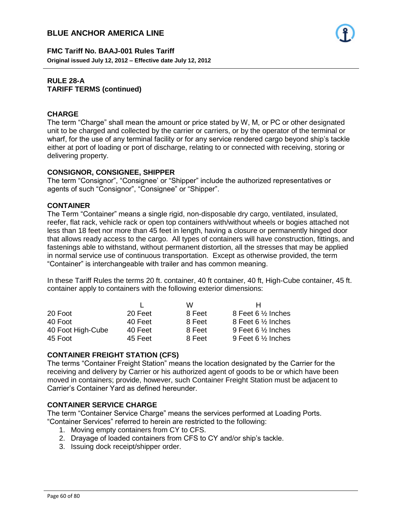**FMC Tariff No. BAAJ-001 Rules Tariff Original issued July 12, 2012 – Effective date July 12, 2012**

#### **RULE 28-A TARIFF TERMS (continued)**

### **CHARGE**

The term "Charge" shall mean the amount or price stated by W, M, or PC or other designated unit to be charged and collected by the carrier or carriers, or by the operator of the terminal or wharf, for the use of any terminal facility or for any service rendered cargo beyond ship's tackle either at port of loading or port of discharge, relating to or connected with receiving, storing or delivering property.

- 60 -

### **CONSIGNOR, CONSIGNEE, SHIPPER**

The term "Consignor", "Consignee' or "Shipper" include the authorized representatives or agents of such "Consignor", "Consignee" or "Shipper".

### **CONTAINER**

The Term "Container" means a single rigid, non-disposable dry cargo, ventilated, insulated, reefer, flat rack, vehicle rack or open top containers with/without wheels or bogies attached not less than 18 feet nor more than 45 feet in length, having a closure or permanently hinged door that allows ready access to the cargo. All types of containers will have construction, fittings, and fastenings able to withstand, without permanent distortion, all the stresses that may be applied in normal service use of continuous transportation. Except as otherwise provided, the term "Container" is interchangeable with trailer and has common meaning.

In these Tariff Rules the terms 20 ft. container, 40 ft container, 40 ft, High-Cube container, 45 ft. container apply to containers with the following exterior dimensions:

|                   |         | w      | н                             |
|-------------------|---------|--------|-------------------------------|
| 20 Foot           | 20 Feet | 8 Feet | 8 Feet 6 $\frac{1}{2}$ Inches |
| 40 Foot           | 40 Feet | 8 Feet | 8 Feet 6 1/2 Inches           |
| 40 Foot High-Cube | 40 Feet | 8 Feet | 9 Feet 6 $\frac{1}{2}$ Inches |
| 45 Foot           | 45 Feet | 8 Feet | 9 Feet 6 $\frac{1}{2}$ Inches |

### **CONTAINER FREIGHT STATION (CFS)**

The terms "Container Freight Station" means the location designated by the Carrier for the receiving and delivery by Carrier or his authorized agent of goods to be or which have been moved in containers; provide, however, such Container Freight Station must be adjacent to Carrier's Container Yard as defined hereunder.

### **CONTAINER SERVICE CHARGE**

The term "Container Service Charge" means the services performed at Loading Ports. "Container Services" referred to herein are restricted to the following:

- 1. Moving empty containers from CY to CFS.
- 2. Drayage of loaded containers from CFS to CY and/or ship's tackle.
- 3. Issuing dock receipt/shipper order.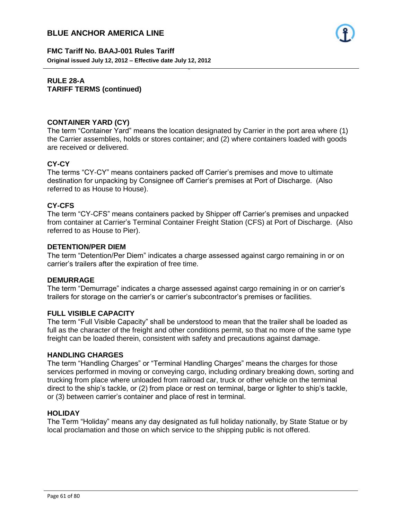

**FMC Tariff No. BAAJ-001 Rules Tariff Original issued July 12, 2012 – Effective date July 12, 2012**

### **RULE 28-A TARIFF TERMS (continued)**

### **CONTAINER YARD (CY)**

The term "Container Yard" means the location designated by Carrier in the port area where (1) the Carrier assemblies, holds or stores container; and (2) where containers loaded with goods are received or delivered.

- 61 -

### **CY-CY**

The terms "CY-CY" means containers packed off Carrier's premises and move to ultimate destination for unpacking by Consignee off Carrier's premises at Port of Discharge. (Also referred to as House to House).

### **CY-CFS**

The term "CY-CFS" means containers packed by Shipper off Carrier's premises and unpacked from container at Carrier's Terminal Container Freight Station (CFS) at Port of Discharge. (Also referred to as House to Pier).

#### **DETENTION/PER DIEM**

The term "Detention/Per Diem" indicates a charge assessed against cargo remaining in or on carrier's trailers after the expiration of free time.

#### **DEMURRAGE**

The term "Demurrage" indicates a charge assessed against cargo remaining in or on carrier's trailers for storage on the carrier's or carrier's subcontractor's premises or facilities.

#### **FULL VISIBLE CAPACITY**

The term "Full Visible Capacity" shall be understood to mean that the trailer shall be loaded as full as the character of the freight and other conditions permit, so that no more of the same type freight can be loaded therein, consistent with safety and precautions against damage.

#### **HANDLING CHARGES**

The term "Handling Charges" or "Terminal Handling Charges" means the charges for those services performed in moving or conveying cargo, including ordinary breaking down, sorting and trucking from place where unloaded from railroad car, truck or other vehicle on the terminal direct to the ship's tackle, or (2) from place or rest on terminal, barge or lighter to ship's tackle, or (3) between carrier's container and place of rest in terminal.

#### **HOLIDAY**

The Term "Holiday" means any day designated as full holiday nationally, by State Statue or by local proclamation and those on which service to the shipping public is not offered.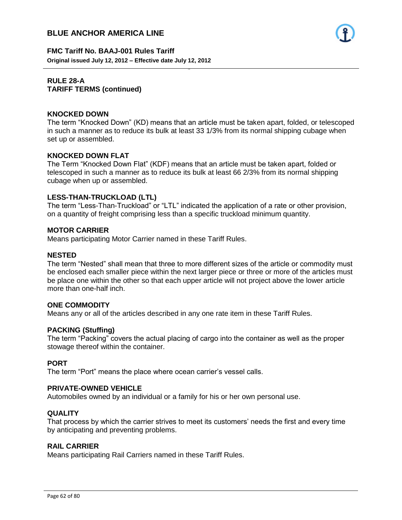

**FMC Tariff No. BAAJ-001 Rules Tariff Original issued July 12, 2012 – Effective date July 12, 2012**

#### **RULE 28-A TARIFF TERMS (continued)**

#### **KNOCKED DOWN**

The term "Knocked Down" (KD) means that an article must be taken apart, folded, or telescoped in such a manner as to reduce its bulk at least 33 1/3% from its normal shipping cubage when set up or assembled.

- 62 -

#### **KNOCKED DOWN FLAT**

The Term "Knocked Down Flat" (KDF) means that an article must be taken apart, folded or telescoped in such a manner as to reduce its bulk at least 66 2/3% from its normal shipping cubage when up or assembled.

#### **LESS-THAN-TRUCKLOAD (LTL)**

The term "Less-Than-Truckload" or "LTL" indicated the application of a rate or other provision, on a quantity of freight comprising less than a specific truckload minimum quantity.

#### **MOTOR CARRIER**

Means participating Motor Carrier named in these Tariff Rules.

#### **NESTED**

The term "Nested" shall mean that three to more different sizes of the article or commodity must be enclosed each smaller piece within the next larger piece or three or more of the articles must be place one within the other so that each upper article will not project above the lower article more than one-half inch.

#### **ONE COMMODITY**

Means any or all of the articles described in any one rate item in these Tariff Rules.

#### **PACKING (Stuffing)**

The term "Packing" covers the actual placing of cargo into the container as well as the proper stowage thereof within the container.

#### **PORT**

The term "Port" means the place where ocean carrier's vessel calls.

#### **PRIVATE-OWNED VEHICLE**

Automobiles owned by an individual or a family for his or her own personal use.

#### **QUALITY**

That process by which the carrier strives to meet its customers' needs the first and every time by anticipating and preventing problems.

#### **RAIL CARRIER**

Means participating Rail Carriers named in these Tariff Rules.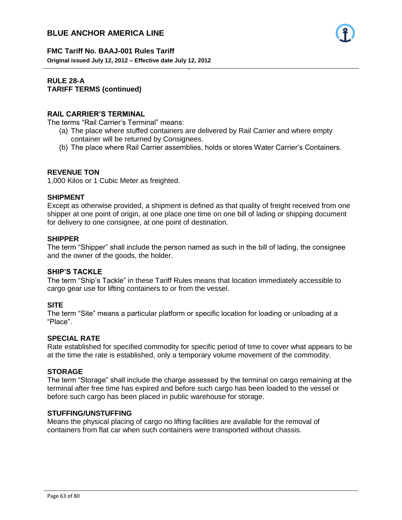

## **FMC Tariff No. BAAJ-001 Rules Tariff**

**Original issued July 12, 2012 – Effective date July 12, 2012**

### **RULE 28-A TARIFF TERMS (continued)**

### **RAIL CARRIER'S TERMINAL**

The terms "Rail Carrier's Terminal" means:

(a) The place where stuffed containers are delivered by Rail Carrier and where empty container will be returned by Consignees.

- 63 -

(b) The place where Rail Carrier assemblies, holds or stores Water Carrier's Containers.

### **REVENUE TON**

1,000 Kilos or 1 Cubic Meter as freighted.

#### **SHIPMENT**

Except as otherwise provided, a shipment is defined as that quality of freight received from one shipper at one point of origin, at one place one time on one bill of lading or shipping document for delivery to one consignee, at one point of destination.

#### **SHIPPER**

The term "Shipper" shall include the person named as such in the bill of lading, the consignee and the owner of the goods, the holder.

#### **SHIP'S TACKLE**

The term "Ship's Tackle" in these Tariff Rules means that location immediately accessible to cargo gear use for lifting containers to or from the vessel.

### **SITE**

The term "Site" means a particular platform or specific location for loading or unloading at a "Place".

#### **SPECIAL RATE**

Rate established for specified commodity for specific period of time to cover what appears to be at the time the rate is established, only a temporary volume movement of the commodity.

### **STORAGE**

The term "Storage" shall include the charge assessed by the terminal on cargo remaining at the terminal after free time has expired and before such cargo has been loaded to the vessel or before such cargo has been placed in public warehouse for storage.

#### **STUFFING/UNSTUFFING**

Means the physical placing of cargo no lifting facilities are available for the removal of containers from flat car when such containers were transported without chassis.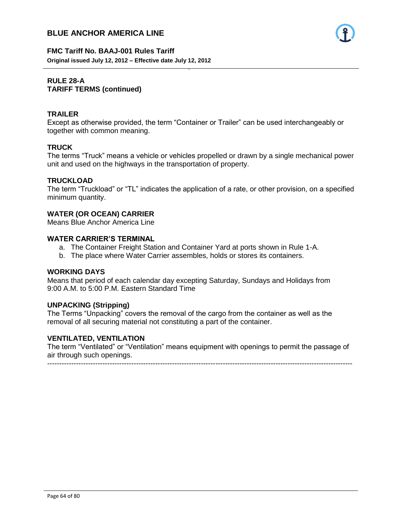

#### **FMC Tariff No. BAAJ-001 Rules Tariff Original issued July 12, 2012 – Effective date July 12, 2012**

### **RULE 28-A TARIFF TERMS (continued)**

### **TRAILER**

Except as otherwise provided, the term "Container or Trailer" can be used interchangeably or together with common meaning.

- 64 -

### **TRUCK**

The terms "Truck" means a vehicle or vehicles propelled or drawn by a single mechanical power unit and used on the highways in the transportation of property.

### **TRUCKLOAD**

The term "Truckload" or "TL" indicates the application of a rate, or other provision, on a specified minimum quantity.

#### **WATER (OR OCEAN) CARRIER**

Means Blue Anchor America Line

### **WATER CARRIER'S TERMINAL**

- a. The Container Freight Station and Container Yard at ports shown in Rule 1-A.
- b. The place where Water Carrier assembles, holds or stores its containers.

#### **WORKING DAYS**

Means that period of each calendar day excepting Saturday, Sundays and Holidays from 9:00 A.M. to 5:00 P.M. Eastern Standard Time

### **UNPACKING (Stripping)**

The Terms "Unpacking" covers the removal of the cargo from the container as well as the removal of all securing material not constituting a part of the container.

#### **VENTILATED, VENTILATION**

The term "Ventilated" or "Ventilation" means equipment with openings to permit the passage of air through such openings.

-------------------------------------------------------------------------------------------------------------------------------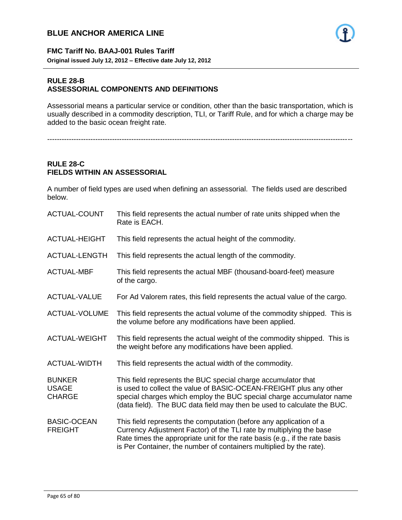

#### **FMC Tariff No. BAAJ-001 Rules Tariff Original issued July 12, 2012 – Effective date July 12, 2012**

#### **RULE 28-B ASSESSORIAL COMPONENTS AND DEFINITIONS**

Assessorial means a particular service or condition, other than the basic transportation, which is usually described in a commodity description, TLI, or Tariff Rule, and for which a charge may be added to the basic ocean freight rate.

- 65 -

-------------------------------------------------------------------------------------------------------------------------------

### **RULE 28-C FIELDS WITHIN AN ASSESSORIAL**

A number of field types are used when defining an assessorial. The fields used are described below.

| ACTUAL-COUNT                                   | This field represents the actual number of rate units shipped when the<br>Rate is EACH.                                                                                                                                                                                                         |
|------------------------------------------------|-------------------------------------------------------------------------------------------------------------------------------------------------------------------------------------------------------------------------------------------------------------------------------------------------|
| ACTUAL-HEIGHT                                  | This field represents the actual height of the commodity.                                                                                                                                                                                                                                       |
| ACTUAL-LENGTH                                  | This field represents the actual length of the commodity.                                                                                                                                                                                                                                       |
| <b>ACTUAL-MBF</b>                              | This field represents the actual MBF (thousand-board-feet) measure<br>of the cargo.                                                                                                                                                                                                             |
| <b>ACTUAL-VALUE</b>                            | For Ad Valorem rates, this field represents the actual value of the cargo.                                                                                                                                                                                                                      |
| ACTUAL-VOLUME                                  | This field represents the actual volume of the commodity shipped. This is<br>the volume before any modifications have been applied.                                                                                                                                                             |
| <b>ACTUAL-WEIGHT</b>                           | This field represents the actual weight of the commodity shipped. This is<br>the weight before any modifications have been applied.                                                                                                                                                             |
| <b>ACTUAL-WIDTH</b>                            | This field represents the actual width of the commodity.                                                                                                                                                                                                                                        |
| <b>BUNKER</b><br><b>USAGE</b><br><b>CHARGE</b> | This field represents the BUC special charge accumulator that<br>is used to collect the value of BASIC-OCEAN-FREIGHT plus any other<br>special charges which employ the BUC special charge accumulator name<br>(data field). The BUC data field may then be used to calculate the BUC.          |
| <b>BASIC-OCEAN</b><br><b>FREIGHT</b>           | This field represents the computation (before any application of a<br>Currency Adjustment Factor) of the TLI rate by multiplying the base<br>Rate times the appropriate unit for the rate basis (e.g., if the rate basis<br>is Per Container, the number of containers multiplied by the rate). |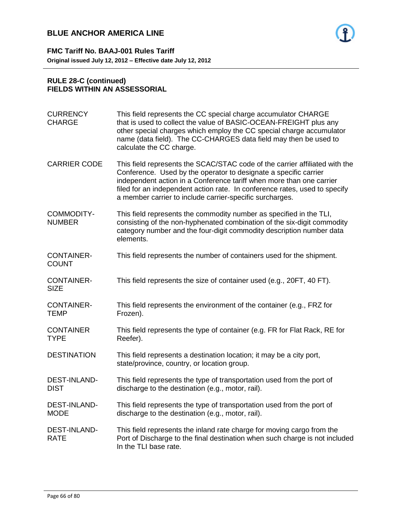

**FMC Tariff No. BAAJ-001 Rules Tariff Original issued July 12, 2012 – Effective date July 12, 2012**

#### **RULE 28-C (continued) FIELDS WITHIN AN ASSESSORIAL**

| <b>CURRENCY</b><br><b>CHARGE</b>   | This field represents the CC special charge accumulator CHARGE<br>that is used to collect the value of BASIC-OCEAN-FREIGHT plus any<br>other special charges which employ the CC special charge accumulator<br>name (data field). The CC-CHARGES data field may then be used to<br>calculate the CC charge.                                                       |
|------------------------------------|-------------------------------------------------------------------------------------------------------------------------------------------------------------------------------------------------------------------------------------------------------------------------------------------------------------------------------------------------------------------|
| <b>CARRIER CODE</b>                | This field represents the SCAC/STAC code of the carrier affiliated with the<br>Conference. Used by the operator to designate a specific carrier<br>independent action in a Conference tariff when more than one carrier<br>filed for an independent action rate. In conference rates, used to specify<br>a member carrier to include carrier-specific surcharges. |
| <b>COMMODITY-</b><br><b>NUMBER</b> | This field represents the commodity number as specified in the TLI,<br>consisting of the non-hyphenated combination of the six-digit commodity<br>category number and the four-digit commodity description number data<br>elements.                                                                                                                               |
| <b>CONTAINER-</b><br><b>COUNT</b>  | This field represents the number of containers used for the shipment.                                                                                                                                                                                                                                                                                             |
| <b>CONTAINER-</b><br><b>SIZE</b>   | This field represents the size of container used (e.g., 20FT, 40 FT).                                                                                                                                                                                                                                                                                             |
| <b>CONTAINER-</b><br><b>TEMP</b>   | This field represents the environment of the container (e.g., FRZ for<br>Frozen).                                                                                                                                                                                                                                                                                 |
| <b>CONTAINER</b><br><b>TYPE</b>    | This field represents the type of container (e.g. FR for Flat Rack, RE for<br>Reefer).                                                                                                                                                                                                                                                                            |
| <b>DESTINATION</b>                 | This field represents a destination location; it may be a city port,<br>state/province, country, or location group.                                                                                                                                                                                                                                               |
| <b>DEST-INLAND-</b><br><b>DIST</b> | This field represents the type of transportation used from the port of<br>discharge to the destination (e.g., motor, rail).                                                                                                                                                                                                                                       |
| <b>DEST-INLAND-</b><br><b>MODE</b> | This field represents the type of transportation used from the port of<br>discharge to the destination (e.g., motor, rail).                                                                                                                                                                                                                                       |
| <b>DEST-INLAND-</b><br><b>RATE</b> | This field represents the inland rate charge for moving cargo from the<br>Port of Discharge to the final destination when such charge is not included<br>In the TLI base rate.                                                                                                                                                                                    |

- 66 -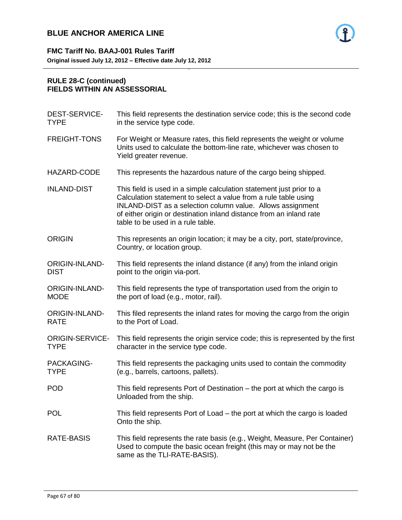

### **RULE 28-C (continued) FIELDS WITHIN AN ASSESSORIAL**

| This field represents the destination service code; this is the second code<br>in the service type code.                                                                                                                                                                                                          |
|-------------------------------------------------------------------------------------------------------------------------------------------------------------------------------------------------------------------------------------------------------------------------------------------------------------------|
| For Weight or Measure rates, this field represents the weight or volume<br>Units used to calculate the bottom-line rate, whichever was chosen to<br>Yield greater revenue.                                                                                                                                        |
| This represents the hazardous nature of the cargo being shipped.                                                                                                                                                                                                                                                  |
| This field is used in a simple calculation statement just prior to a<br>Calculation statement to select a value from a rule table using<br>INLAND-DIST as a selection column value. Allows assignment<br>of either origin or destination inland distance from an inland rate<br>table to be used in a rule table. |
| This represents an origin location; it may be a city, port, state/province,<br>Country, or location group.                                                                                                                                                                                                        |
| This field represents the inland distance (if any) from the inland origin<br>point to the origin via-port.                                                                                                                                                                                                        |
| This field represents the type of transportation used from the origin to<br>the port of load (e.g., motor, rail).                                                                                                                                                                                                 |
| This filed represents the inland rates for moving the cargo from the origin<br>to the Port of Load.                                                                                                                                                                                                               |
| This field represents the origin service code; this is represented by the first<br>character in the service type code.                                                                                                                                                                                            |
| This field represents the packaging units used to contain the commodity<br>(e.g., barrels, cartoons, pallets).                                                                                                                                                                                                    |
| This field represents Port of Destination – the port at which the cargo is<br>Unloaded from the ship.                                                                                                                                                                                                             |
| This field represents Port of Load – the port at which the cargo is loaded<br>Onto the ship.                                                                                                                                                                                                                      |
| This field represents the rate basis (e.g., Weight, Measure, Per Container)<br>Used to compute the basic ocean freight (this may or may not be the<br>same as the TLI-RATE-BASIS).                                                                                                                                |
|                                                                                                                                                                                                                                                                                                                   |

- 67 -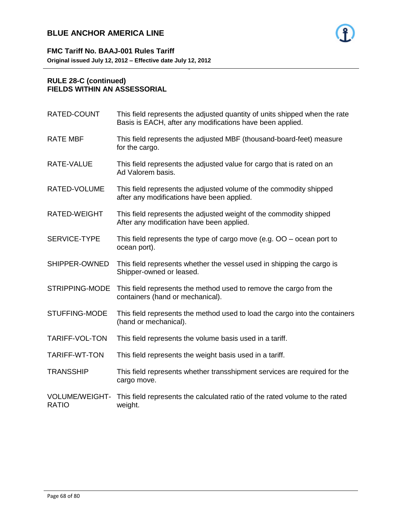

### **RULE 28-C (continued) FIELDS WITHIN AN ASSESSORIAL**

| RATED-COUNT                    | This field represents the adjusted quantity of units shipped when the rate<br>Basis is EACH, after any modifications have been applied. |
|--------------------------------|-----------------------------------------------------------------------------------------------------------------------------------------|
| <b>RATE MBF</b>                | This field represents the adjusted MBF (thousand-board-feet) measure<br>for the cargo.                                                  |
| RATE-VALUE                     | This field represents the adjusted value for cargo that is rated on an<br>Ad Valorem basis.                                             |
| RATED-VOLUME                   | This field represents the adjusted volume of the commodity shipped<br>after any modifications have been applied.                        |
| RATED-WEIGHT                   | This field represents the adjusted weight of the commodity shipped<br>After any modification have been applied.                         |
| SERVICE-TYPE                   | This field represents the type of cargo move (e.g. $OO$ – ocean port to<br>ocean port).                                                 |
| SHIPPER-OWNED                  | This field represents whether the vessel used in shipping the cargo is<br>Shipper-owned or leased.                                      |
| STRIPPING-MODE                 | This field represents the method used to remove the cargo from the<br>containers (hand or mechanical).                                  |
| <b>STUFFING-MODE</b>           | This field represents the method used to load the cargo into the containers<br>(hand or mechanical).                                    |
| TARIFF-VOL-TON                 | This field represents the volume basis used in a tariff.                                                                                |
| TARIFF-WT-TON                  | This field represents the weight basis used in a tariff.                                                                                |
| TRANSSHIP                      | This field represents whether transshipment services are required for the<br>cargo move.                                                |
| VOLUME/WEIGHT-<br><b>RATIO</b> | This field represents the calculated ratio of the rated volume to the rated<br>weight.                                                  |
|                                |                                                                                                                                         |

- 68 -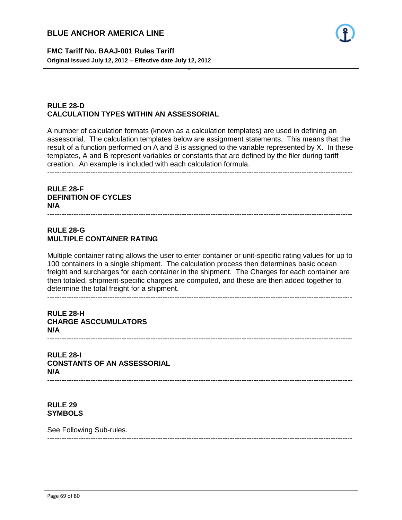

**FMC Tariff No. BAAJ-001 Rules Tariff Original issued July 12, 2012 – Effective date July 12, 2012**

### **RULE 28-D CALCULATION TYPES WITHIN AN ASSESSORIAL**

A number of calculation formats (known as a calculation templates) are used in defining an assessorial. The calculation templates below are assignment statements. This means that the result of a function performed on A and B is assigned to the variable represented by X. In these templates, A and B represent variables or constants that are defined by the filer during tariff creation. An example is included with each calculation formula. -------------------------------------------------------------------------------------------------------------------------------

- 69 -

### **RULE 28-F DEFINITION OF CYCLES N/A**

#### **RULE 28-G MULTIPLE CONTAINER RATING**

Multiple container rating allows the user to enter container or unit-specific rating values for up to 100 containers in a single shipment. The calculation process then determines basic ocean freight and surcharges for each container in the shipment. The Charges for each container are then totaled, shipment-specific charges are computed, and these are then added together to determine the total freight for a shipment. -------------------------------------------------------------------------------------------------------------------------------

-------------------------------------------------------------------------------------------------------------------------------

### **RULE 28-H CHARGE ASCCUMULATORS N/A**

-------------------------------------------------------------------------------------------------------------------------------

-------------------------------------------------------------------------------------------------------------------------------

**RULE 28-I CONSTANTS OF AN ASSESSORIAL N/A** -------------------------------------------------------------------------------------------------------------------------------

**RULE 29 SYMBOLS**

See Following Sub-rules.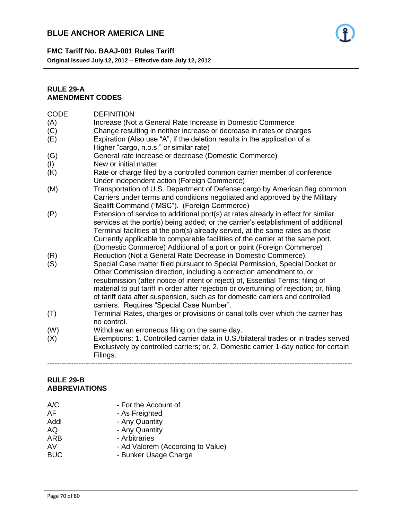

#### **FMC Tariff No. BAAJ-001 Rules Tariff**

**Original issued July 12, 2012 – Effective date July 12, 2012**

### **RULE 29-A AMENDMENT CODES**

| <b>CODE</b> | <b>DEFINITION</b>                                                                       |
|-------------|-----------------------------------------------------------------------------------------|
| (A)         | Increase (Not a General Rate Increase in Domestic Commerce                              |
| (C)         | Change resulting in neither increase or decrease in rates or charges                    |
| (E)         | Expiration (Also use "A", if the deletion results in the application of a               |
|             | Higher "cargo, n.o.s." or similar rate)                                                 |
| (G)         | General rate increase or decrease (Domestic Commerce)                                   |
| (1)         | New or initial matter                                                                   |
| (K)         | Rate or charge filed by a controlled common carrier member of conference                |
|             | Under independent action (Foreign Commerce)                                             |
| (M)         | Transportation of U.S. Department of Defense cargo by American flag common              |
|             | Carriers under terms and conditions negotiated and approved by the Military             |
|             | Sealift Command ("MSC"). (Foreign Commerce)                                             |
| (P)         | Extension of service to additional port(s) at rates already in effect for similar       |
|             | services at the port(s) being added; or the carrier's establishment of additional       |
|             | Terminal facilities at the port(s) already served, at the same rates as those           |
|             | Currently applicable to comparable facilities of the carrier at the same port.          |
|             | (Domestic Commerce) Additional of a port or point (Foreign Commerce)                    |
| (R)         | Reduction (Not a General Rate Decrease in Domestic Commerce).                           |
| (S)         | Special Case matter filed pursuant to Special Permission, Special Docket or             |
|             | Other Commission direction, including a correction amendment to, or                     |
|             | resubmission (after notice of intent or reject) of, Essential Terms; filing of          |
|             | material to put tariff in order after rejection or overturning of rejection; or, filing |
|             | of tariff data after suspension, such as for domestic carriers and controlled           |
|             | carriers. Requires "Special Case Number".                                               |
| (T)         | Terminal Rates, charges or provisions or canal tolls over which the carrier has         |
|             | no control.                                                                             |
| (W)         | Withdraw an erroneous filing on the same day.                                           |
| (X)         | Exemptions: 1. Controlled carrier data in U.S./bilateral trades or in trades served     |
|             | Exclusively by controlled carriers; or, 2. Domestic carrier 1-day notice for certain    |
|             | Filings.                                                                                |

- 70 -

-------------------------------------------------------------------------------------------------------------------------------

### **RULE 29-B ABBREVIATIONS**

- A/C For the Account of Form the Account of AF As Freighted
- As Freighted
- Addl **Any Quantity**
- AQ Any Quantity
- ARB Arbitraries
- AV Ad Valorem (According to Value)
- BUC Bunker Usage Charge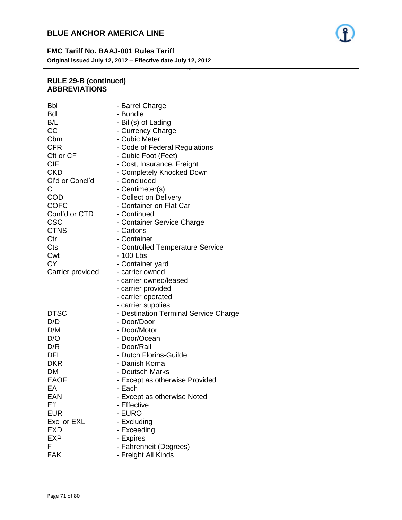

- 71 -

### **RULE 29-B (continued) ABBREVIATIONS**

| Bbl              | - Barrel Charge                       |
|------------------|---------------------------------------|
| Bdl              | - Bundle                              |
| B/L              | - Bill(s) of Lading                   |
| СC               | - Currency Charge                     |
| Cbm              | - Cubic Meter                         |
| <b>CFR</b>       | - Code of Federal Regulations         |
| Cft or CF        | - Cubic Foot (Feet)                   |
| <b>CIF</b>       | - Cost, Insurance, Freight            |
| <b>CKD</b>       | - Completely Knocked Down             |
| Cl'd or Concl'd  | - Concluded                           |
| С                | - Centimeter(s)                       |
| COD              | - Collect on Delivery                 |
| <b>COFC</b>      | - Container on Flat Car               |
| Cont'd or CTD    | - Continued                           |
| <b>CSC</b>       | - Container Service Charge            |
| <b>CTNS</b>      | - Cartons                             |
| Ctr              | - Container                           |
| Cts              | - Controlled Temperature Service      |
| Cwt              | - 100 Lbs                             |
| СY               | - Container yard                      |
| Carrier provided | - carrier owned                       |
|                  | - carrier owned/leased                |
|                  | - carrier provided                    |
|                  | - carrier operated                    |
|                  | - carrier supplies                    |
| DTSC             | - Destination Terminal Service Charge |
| D/D              | - Door/Door                           |
| D/M              | - Door/Motor                          |
| D/O              | - Door/Ocean                          |
| D/R              | - Door/Rail                           |
| <b>DFL</b>       | - Dutch Florins-Guilde                |
| <b>DKR</b>       | - Danish Korna                        |
| DM               | - Deutsch Marks                       |
| <b>EAOF</b>      | - Except as otherwise Provided        |
| EA               | - Each                                |
| EAN              | - Except as otherwise Noted           |
| Eff              | - Effective                           |
| <b>EUR</b>       | - EURO                                |
| Excl or EXL      | - Excluding                           |
| <b>EXD</b>       | - Exceeding                           |
| <b>EXP</b>       | - Expires                             |
| F                | - Fahrenheit (Degrees)                |
| <b>FAK</b>       | - Freight All Kinds                   |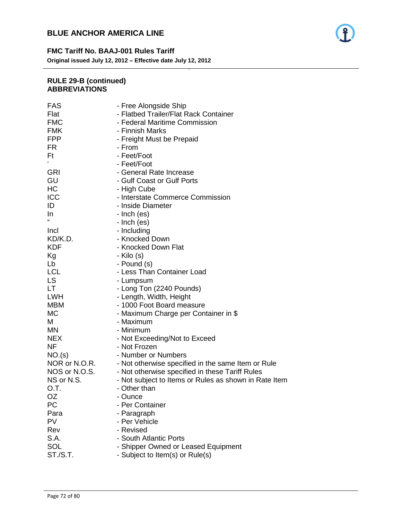

### **FMC Tariff No. BAAJ-001 Rules Tariff**

**Original issued July 12, 2012 – Effective date July 12, 2012**

### **RULE 29-B (continued) ABBREVIATIONS**

| <b>FAS</b>                     | - Free Alongside Ship                                                 |
|--------------------------------|-----------------------------------------------------------------------|
| Flat                           | - Flatbed Trailer/Flat Rack Container                                 |
| <b>FMC</b>                     | - Federal Maritime Commission                                         |
| <b>FMK</b>                     | - Finnish Marks                                                       |
| <b>FPP</b>                     | - Freight Must be Prepaid                                             |
| FR.                            | - From                                                                |
| Ft                             | - Feet/Foot                                                           |
| $\pmb{\epsilon}$               | - Feet/Foot                                                           |
| <b>GRI</b>                     | - General Rate Increase                                               |
| GU                             | - Gulf Coast or Gulf Ports                                            |
| HC                             | - High Cube                                                           |
| ICC                            | - Interstate Commerce Commission                                      |
| ID                             | - Inside Diameter                                                     |
| In                             | - Inch (es)                                                           |
| $\mathbf{G}$                   | - Inch (es)                                                           |
| Incl                           | - Including                                                           |
| KD/K.D.                        | - Knocked Down                                                        |
| <b>KDF</b>                     | - Knocked Down Flat                                                   |
| Кg                             | - Kilo (s)                                                            |
| Lb                             | - Pound (s)                                                           |
| LCL                            | - Less Than Container Load                                            |
| LS                             | - Lumpsum                                                             |
| LT                             | - Long Ton (2240 Pounds)                                              |
| <b>LWH</b>                     | - Length, Width, Height                                               |
| <b>MBM</b>                     | - 1000 Foot Board measure                                             |
| МC                             | - Maximum Charge per Container in \$                                  |
| М                              | - Maximum                                                             |
| <b>MN</b>                      | - Minimum                                                             |
| <b>NEX</b>                     | - Not Exceeding/Not to Exceed                                         |
| ΝF                             | - Not Frozen                                                          |
| NO.(s)                         | - Number or Numbers                                                   |
|                                | - Not otherwise specified in the same Item or Rule                    |
| NOR or N.O.R.<br>NOS or N.O.S. |                                                                       |
| NS or N.S.                     | - Not otherwise specified in these Tariff Rules                       |
| O.T.                           | - Not subject to Items or Rules as shown in Rate Item<br>- Other than |
|                                | - Ounce                                                               |
| OZ<br>РC                       | - Per Container                                                       |
|                                |                                                                       |
| Para<br>PV                     | - Paragraph                                                           |
|                                | - Per Vehicle                                                         |
| Rev                            | - Revised                                                             |
| S.A.                           | - South Atlantic Ports                                                |
| <b>SOL</b>                     | - Shipper Owned or Leased Equipment                                   |
| ST./S.T.                       | - Subject to Item(s) or Rule(s)                                       |
|                                |                                                                       |

- 72 -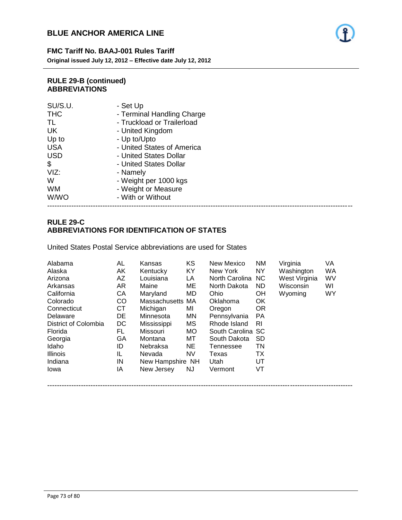

**FMC Tariff No. BAAJ-001 Rules Tariff Original issued July 12, 2012 – Effective date July 12, 2012**

#### **RULE 29-B (continued) ABBREVIATIONS**

| SU/S.U.     | - Set Up                   |
|-------------|----------------------------|
| <b>THC</b>  | - Terminal Handling Charge |
| TL          | - Truckload or Trailerload |
| <b>UK</b>   | - United Kingdom           |
| Up to       | - Up to/Upto               |
| <b>USA</b>  | - United States of America |
| <b>USD</b>  | - United States Dollar     |
| \$          | - United States Dollar     |
| VIZ:        | - Namely                   |
| W           | - Weight per 1000 kgs      |
| <b>WM</b>   | - Weight or Measure        |
| <b>W/WO</b> | - With or Without          |
|             |                            |

#### -------------------------------------------------------------------------------------------------------------------------------

- 73 -

## **RULE 29-C ABBREVIATIONS FOR IDENTIFICATION OF STATES**

United States Postal Service abbreviations are used for States

| Alabama              | AL | Kansas           | <b>KS</b> | New Mexico        | <b>NM</b> | Virginia      | VA |
|----------------------|----|------------------|-----------|-------------------|-----------|---------------|----|
| Alaska               | AK | Kentucky         | KY        | New York          | <b>NY</b> | Washington    | WA |
| Arizona              | AZ | Louisiana        | LA        | North Carolina    | NC.       | West Virginia | WV |
| Arkansas             | AR | Maine            | ME        | North Dakota      | ND.       | Wisconsin     | WI |
| California           | CA | Maryland         | MD.       | Ohio              | <b>OH</b> | Wyoming       | WY |
| Colorado             | CO | Massachusetts MA |           | Oklahoma          | <b>OK</b> |               |    |
| Connecticut          | СT | Michigan         | MI        | Oregon            | <b>OR</b> |               |    |
| Delaware             | DE | Minnesota        | ΜN        | Pennsylvania      | <b>PA</b> |               |    |
| District of Colombia | DC | Mississippi      | МS        | Rhode Island      | RI.       |               |    |
| Florida              | FL | Missouri         | MO.       | South Carolina SC |           |               |    |
| Georgia              | GA | Montana          | МT        | South Dakota      | <b>SD</b> |               |    |
| Idaho                | ID | Nebraksa         | <b>NE</b> | Tennessee         | TN        |               |    |
| <b>Illinois</b>      | IL | Nevada           | NV.       | Texas             | TX        |               |    |
| Indiana              | IN | New Hampshire NH |           | Utah              | UT        |               |    |
| Iowa                 | IA | New Jersey       | NJ.       | Vermont           | VT        |               |    |
|                      |    |                  |           |                   |           |               |    |

-------------------------------------------------------------------------------------------------------------------------------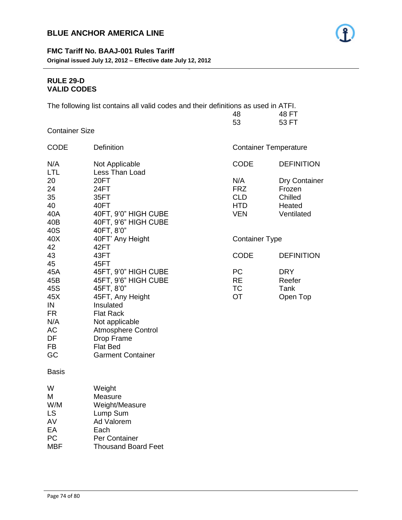## **FMC Tariff No. BAAJ-001 Rules Tariff Original issued July 12, 2012 – Effective date July 12, 2012**

## **RULE 29-D VALID CODES**

The following list contains all valid codes and their definitions as used in ATFI.

- 74 -

| 48 |  |  | 48 FT |
|----|--|--|-------|
| 53 |  |  | 53 FT |

Container Size

| <b>CODE</b>                                                                       | <b>Definition</b>                                                                                                                                                                                                           | <b>Container Temperature</b>                                |                                                            |
|-----------------------------------------------------------------------------------|-----------------------------------------------------------------------------------------------------------------------------------------------------------------------------------------------------------------------------|-------------------------------------------------------------|------------------------------------------------------------|
| N/A<br><b>LTL</b>                                                                 | Not Applicable<br>Less Than Load                                                                                                                                                                                            | <b>CODE</b>                                                 | <b>DEFINITION</b>                                          |
| 20<br>24<br>35<br>40<br>40A<br>40B<br>40S                                         | 20FT<br>24FT<br>35FT<br>40FT<br>40FT, 9'0" HIGH CUBE<br>40FT, 9'6" HIGH CUBE<br>40FT, 8'0"                                                                                                                                  | N/A<br><b>FRZ</b><br><b>CLD</b><br><b>HTD</b><br><b>VEN</b> | Dry Container<br>Frozen<br>Chilled<br>Heated<br>Ventilated |
| 40X<br>42                                                                         | 40FT' Any Height<br>42FT                                                                                                                                                                                                    | <b>Container Type</b>                                       |                                                            |
| 43<br>45                                                                          | 43FT<br>45FT                                                                                                                                                                                                                | <b>CODE</b>                                                 | <b>DEFINITION</b>                                          |
| 45A<br>45B<br>45S<br>45X<br>IN<br><b>FR</b><br>N/A<br>AC<br>DF<br><b>FB</b><br>GC | 45FT, 9'0" HIGH CUBE<br>45FT, 9'6" HIGH CUBE<br>45FT, 8'0"<br>45FT, Any Height<br>Insulated<br><b>Flat Rack</b><br>Not applicable<br><b>Atmosphere Control</b><br>Drop Frame<br><b>Flat Bed</b><br><b>Garment Container</b> | <b>PC</b><br><b>RE</b><br><b>TC</b><br><b>OT</b>            | <b>DRY</b><br>Reefer<br>Tank<br>Open Top                   |
| <b>Basis</b>                                                                      |                                                                                                                                                                                                                             |                                                             |                                                            |
| W<br>M<br>W/M<br><b>LS</b><br>AV<br>EA<br>PC<br><b>MBF</b>                        | Weight<br>Measure<br>Weight/Measure<br>Lump Sum<br>Ad Valorem<br>Each<br>Per Container<br><b>Thousand Board Feet</b>                                                                                                        |                                                             |                                                            |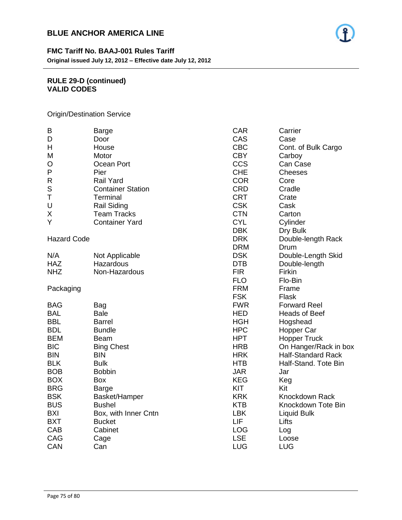

**FMC Tariff No. BAAJ-001 Rules Tariff Original issued July 12, 2012 – Effective date July 12, 2012**

#### **RULE 29-D (continued) VALID CODES**

Origin/Destination Service

| B                  | <b>Barge</b>             | <b>CAR</b> | Carrier                   |
|--------------------|--------------------------|------------|---------------------------|
| D                  | Door                     | CAS        | Case                      |
| Н                  | House                    | <b>CBC</b> | Cont. of Bulk Cargo       |
| M                  | Motor                    | <b>CBY</b> | Carboy                    |
| O                  | Ocean Port               | <b>CCS</b> | Can Case                  |
| P                  | Pier                     | <b>CHE</b> | <b>Cheeses</b>            |
| $\mathsf{R}$       | <b>Rail Yard</b>         | <b>COR</b> | Core                      |
| S                  | <b>Container Station</b> | <b>CRD</b> | Cradle                    |
| T                  | Terminal                 | <b>CRT</b> | Crate                     |
| U                  | <b>Rail Siding</b>       | <b>CSK</b> | Cask                      |
| X                  | <b>Team Tracks</b>       | <b>CTN</b> | Carton                    |
| Y                  | <b>Container Yard</b>    | <b>CYL</b> | Cylinder                  |
|                    |                          | <b>DBK</b> | Dry Bulk                  |
| <b>Hazard Code</b> |                          | <b>DRK</b> | Double-length Rack        |
|                    |                          | <b>DRM</b> | Drum                      |
| N/A                | Not Applicable           | <b>DSK</b> | Double-Length Skid        |
| <b>HAZ</b>         | Hazardous                | <b>DTB</b> | Double-length             |
| <b>NHZ</b>         | Non-Hazardous            | <b>FIR</b> | Firkin                    |
|                    |                          | <b>FLO</b> | Flo-Bin                   |
| Packaging          |                          | <b>FRM</b> | Frame                     |
|                    |                          | <b>FSK</b> | Flask                     |
| <b>BAG</b>         | Bag                      | <b>FWR</b> | <b>Forward Reel</b>       |
| <b>BAL</b>         | <b>Bale</b>              | <b>HED</b> | <b>Heads of Beef</b>      |
| <b>BBL</b>         | <b>Barrel</b>            | <b>HGH</b> | Hogshead                  |
| <b>BDL</b>         | <b>Bundle</b>            | <b>HPC</b> | Hopper Car                |
| <b>BEM</b>         | <b>Beam</b>              | <b>HPT</b> | <b>Hopper Truck</b>       |
| <b>BIC</b>         | <b>Bing Chest</b>        | <b>HRB</b> | On Hanger/Rack in box     |
| <b>BIN</b>         | <b>BIN</b>               | <b>HRK</b> | <b>Half-Standard Rack</b> |
| <b>BLK</b>         | <b>Bulk</b>              | <b>HTB</b> | Half-Stand. Tote Bin      |
| <b>BOB</b>         | <b>Bobbin</b>            | <b>JAR</b> | Jar                       |
| <b>BOX</b>         | <b>Box</b>               | <b>KEG</b> | Keg                       |
| <b>BRG</b>         | <b>Barge</b>             | <b>KIT</b> | Kit                       |
| <b>BSK</b>         | Basket/Hamper            | <b>KRK</b> | <b>Knockdown Rack</b>     |
| <b>BUS</b>         | <b>Bushel</b>            | <b>KTB</b> | Knockdown Tote Bin        |
| <b>BXI</b>         | Box, with Inner Cntn     | <b>LBK</b> | <b>Liquid Bulk</b>        |
| <b>BXT</b>         | <b>Bucket</b>            | LIF        | Lifts                     |
| CAB                | Cabinet                  | <b>LOG</b> | Log                       |
| CAG                | Cage                     | <b>LSE</b> | Loose                     |
| CAN                | Can                      | <b>LUG</b> | <b>LUG</b>                |

- 75 -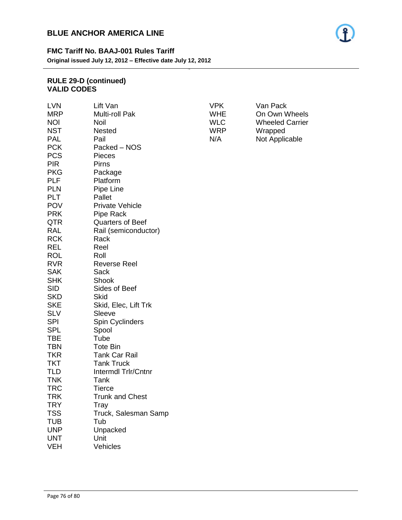## **FMC Tariff No. BAAJ-001 Rules Tariff**

**Original issued July 12, 2012 – Effective date July 12, 2012**

#### **RULE 29-D (continued) VALID CODES**

| <b>LVN</b> | Lift Van                | <b>VPK</b> | Van Pack               |
|------------|-------------------------|------------|------------------------|
| <b>MRP</b> | Multi-roll Pak          | <b>WHE</b> | On Own Wheels          |
| <b>NOI</b> | <b>Noil</b>             | <b>WLC</b> | <b>Wheeled Carrier</b> |
| <b>NST</b> | <b>Nested</b>           | <b>WRP</b> | Wrapped                |
| <b>PAL</b> | Pail                    | N/A        | Not Applicable         |
| <b>PCK</b> | Packed – NOS            |            |                        |
| <b>PCS</b> | Pieces                  |            |                        |
| <b>PIR</b> | Pirns                   |            |                        |
| <b>PKG</b> | Package                 |            |                        |
| <b>PLF</b> | Platform                |            |                        |
| <b>PLN</b> | Pipe Line               |            |                        |
| <b>PLT</b> | Pallet                  |            |                        |
| <b>POV</b> | <b>Private Vehicle</b>  |            |                        |
| <b>PRK</b> | Pipe Rack               |            |                        |
| <b>QTR</b> | <b>Quarters of Beef</b> |            |                        |
| RAL        | Rail (semiconductor)    |            |                        |
| <b>RCK</b> | Rack                    |            |                        |
|            |                         |            |                        |
| <b>REL</b> | Reel                    |            |                        |
| <b>ROL</b> | Roll                    |            |                        |
| <b>RVR</b> | <b>Reverse Reel</b>     |            |                        |
| <b>SAK</b> | Sack                    |            |                        |
| <b>SHK</b> | Shook                   |            |                        |
| <b>SID</b> | Sides of Beef           |            |                        |
| <b>SKD</b> | Skid                    |            |                        |
| <b>SKE</b> | Skid, Elec, Lift Trk    |            |                        |
| <b>SLV</b> | Sleeve                  |            |                        |
| <b>SPI</b> | Spin Cyclinders         |            |                        |
| <b>SPL</b> | Spool                   |            |                        |
| <b>TBE</b> | Tube                    |            |                        |
| <b>TBN</b> | <b>Tote Bin</b>         |            |                        |
| <b>TKR</b> | <b>Tank Car Rail</b>    |            |                        |
| <b>TKT</b> | <b>Tank Truck</b>       |            |                        |
| <b>TLD</b> | Intermdl Trlr/Cntnr     |            |                        |
| <b>TNK</b> | Tank                    |            |                        |
| <b>TRC</b> | <b>Tierce</b>           |            |                        |
| <b>TRK</b> | <b>Trunk and Chest</b>  |            |                        |
| <b>TRY</b> | Tray                    |            |                        |
| <b>TSS</b> | Truck, Salesman Samp    |            |                        |
| <b>TUB</b> | Tub                     |            |                        |
| <b>UNP</b> | Unpacked                |            |                        |
| <b>UNT</b> | Unit                    |            |                        |
| <b>VEH</b> | Vehicles                |            |                        |

- 76 -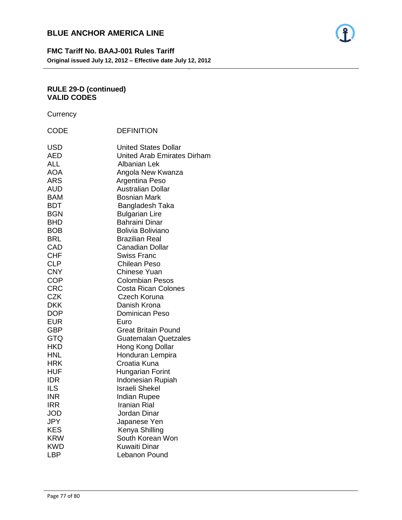

## **FMC Tariff No. BAAJ-001 Rules Tariff Original issued July 12, 2012 – Effective date July 12, 2012**

- 77 -

## **RULE 29-D (continued) VALID CODES**

**Currency** 

|                                                                                                                                                                                                                                                                                                                                                      | <b>DEFINITION</b>                                                                                                                                                                                                                                                                                                                                                                                                                                                                                                                                                                                                                 |
|------------------------------------------------------------------------------------------------------------------------------------------------------------------------------------------------------------------------------------------------------------------------------------------------------------------------------------------------------|-----------------------------------------------------------------------------------------------------------------------------------------------------------------------------------------------------------------------------------------------------------------------------------------------------------------------------------------------------------------------------------------------------------------------------------------------------------------------------------------------------------------------------------------------------------------------------------------------------------------------------------|
| CODE<br><b>USD</b><br><b>AED</b><br>ALL<br><b>AOA</b><br><b>ARS</b><br><b>AUD</b><br><b>BAM</b><br><b>BDT</b><br><b>BGN</b><br><b>BHD</b><br><b>BOB</b><br><b>BRL</b><br>CAD<br><b>CHF</b><br><b>CLP</b><br><b>CNY</b><br><b>COP</b><br><b>CRC</b><br><b>CZK</b><br>DKK<br><b>DOP</b><br><b>EUR</b><br><b>GBP</b><br><b>GTQ</b><br><b>HKD</b><br>HNL | <b>United States Dollar</b><br><b>United Arab Emirates Dirham</b><br><b>Albanian Lek</b><br>Angola New Kwanza<br>Argentina Peso<br><b>Australian Dollar</b><br><b>Bosnian Mark</b><br>Bangladesh Taka<br><b>Bulgarian Lire</b><br><b>Bahraini Dinar</b><br><b>Bolivia Boliviano</b><br><b>Brazilian Real</b><br><b>Canadian Dollar</b><br><b>Swiss Franc</b><br><b>Chilean Peso</b><br><b>Chinese Yuan</b><br><b>Colombian Pesos</b><br><b>Costa Rican Colones</b><br>Czech Koruna<br>Danish Krona<br>Dominican Peso<br>Euro<br><b>Great Britain Pound</b><br><b>Guatemalan Quetzales</b><br>Hong Kong Dollar<br>Honduran Lempira |
| <b>HRK</b>                                                                                                                                                                                                                                                                                                                                           | Croatia Kuna                                                                                                                                                                                                                                                                                                                                                                                                                                                                                                                                                                                                                      |
| <b>HUF</b><br><b>IDR</b><br><b>ILS</b>                                                                                                                                                                                                                                                                                                               | <b>Hungarian Forint</b><br>Indonesian Rupiah<br><b>Israeli Shekel</b>                                                                                                                                                                                                                                                                                                                                                                                                                                                                                                                                                             |
| <b>INR</b>                                                                                                                                                                                                                                                                                                                                           | <b>Indian Rupee</b>                                                                                                                                                                                                                                                                                                                                                                                                                                                                                                                                                                                                               |
| IRR<br>JOD                                                                                                                                                                                                                                                                                                                                           | <b>Iranian Rial</b><br>Jordan Dinar                                                                                                                                                                                                                                                                                                                                                                                                                                                                                                                                                                                               |
| <b>JPY</b>                                                                                                                                                                                                                                                                                                                                           | Japanese Yen                                                                                                                                                                                                                                                                                                                                                                                                                                                                                                                                                                                                                      |
| <b>KES</b>                                                                                                                                                                                                                                                                                                                                           | Kenya Shilling                                                                                                                                                                                                                                                                                                                                                                                                                                                                                                                                                                                                                    |
| <b>KRW</b>                                                                                                                                                                                                                                                                                                                                           | South Korean Won                                                                                                                                                                                                                                                                                                                                                                                                                                                                                                                                                                                                                  |
| <b>KWD</b>                                                                                                                                                                                                                                                                                                                                           | Kuwaiti Dinar                                                                                                                                                                                                                                                                                                                                                                                                                                                                                                                                                                                                                     |
| LBP                                                                                                                                                                                                                                                                                                                                                  | Lebanon Pound                                                                                                                                                                                                                                                                                                                                                                                                                                                                                                                                                                                                                     |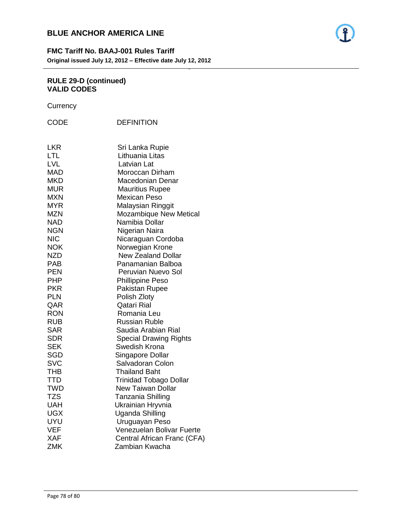

- 78 -

#### **RULE 29-D (continued) VALID CODES**

**Currency** 

| <b>CODE</b>              | <b>DEFINITION</b>                               |
|--------------------------|-------------------------------------------------|
| <b>LKR</b><br>LTL        | Sri Lanka Rupie<br>Lithuania Litas              |
| <b>LVL</b>               | Latvian Lat                                     |
| <b>MAD</b>               | Moroccan Dirham                                 |
| <b>MKD</b>               | Macedonian Denar                                |
| <b>MUR</b>               | <b>Mauritius Rupee</b>                          |
| MXN                      | <b>Mexican Peso</b>                             |
| <b>MYR</b>               | Malaysian Ringgit                               |
| <b>MZN</b>               | <b>Mozambique New Metical</b><br>Namibia Dollar |
| <b>NAD</b><br><b>NGN</b> | Nigerian Naira                                  |
| <b>NIC</b>               | Nicaraguan Cordoba                              |
| <b>NOK</b>               | Norwegian Krone                                 |
| <b>NZD</b>               | <b>New Zealand Dollar</b>                       |
| PAB                      | Panamanian Balboa                               |
| <b>PEN</b>               | Peruvian Nuevo Sol                              |
| <b>PHP</b>               | <b>Phillippine Peso</b>                         |
| <b>PKR</b>               | Pakistan Rupee                                  |
| <b>PLN</b>               | Polish Zloty                                    |
| QAR                      | <b>Qatari Rial</b>                              |
| <b>RON</b>               | Romania Leu                                     |
| <b>RUB</b>               | Russian Ruble                                   |
| SAR                      | Saudia Arabian Rial                             |
| SDR                      | <b>Special Drawing Rights</b>                   |
| SEK                      | Swedish Krona                                   |
| SGD                      | Singapore Dollar                                |
| <b>SVC</b>               | Salvadoran Colon                                |
| <b>THB</b>               | <b>Thailand Baht</b>                            |
| <b>TTD</b>               | <b>Trinidad Tobago Dollar</b>                   |
| <b>TWD</b>               | <b>New Taiwan Dollar</b>                        |
| <b>TZS</b>               | Tanzania Shilling                               |
| UAH                      | Ukrainian Hryvnia                               |
| <b>UGX</b>               | <b>Uganda Shilling</b>                          |
| UYU                      | Uruguayan Peso                                  |
| <b>VEF</b>               | Venezuelan Bolivar Fuerte                       |
| <b>XAF</b>               | Central African Franc (CFA)                     |
| <b>ZMK</b>               | Zambian Kwacha                                  |

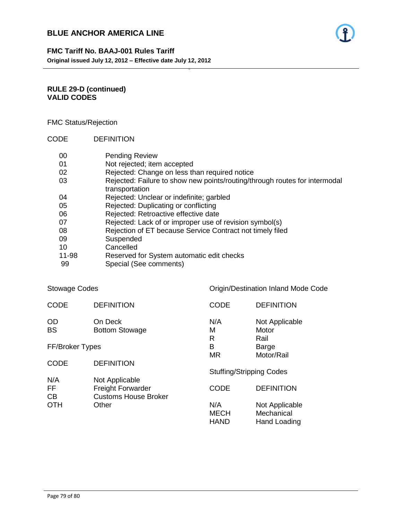

## **FMC Tariff No. BAAJ-001 Rules Tariff Original issued July 12, 2012 – Effective date July 12, 2012**

## **RULE 29-D (continued) VALID CODES**

## FMC Status/Rejection

CODE DEFINITION

| 00    | <b>Pending Review</b>                                                                        |
|-------|----------------------------------------------------------------------------------------------|
| 01    | Not rejected; item accepted                                                                  |
| 02    | Rejected: Change on less than required notice                                                |
| 03    | Rejected: Failure to show new points/routing/through routes for intermodal<br>transportation |
| 04    | Rejected: Unclear or indefinite; garbled                                                     |
| 05    | Rejected: Duplicating or conflicting                                                         |
| 06    | Rejected: Retroactive effective date                                                         |
| 07    | Rejected: Lack of or improper use of revision symbol(s)                                      |
| 08    | Rejection of ET because Service Contract not timely filed                                    |
| 09    | Suspended                                                                                    |
| 10    | Cancelled                                                                                    |
| 11-98 | Reserved for System automatic edit checks                                                    |
| ٩Q    | Special (See comments)                                                                       |

- 79 -

99 Special (See comments)

| Stowage Codes   |                                                         | Origin/Destination Inland Mode Code |                                              |  |
|-----------------|---------------------------------------------------------|-------------------------------------|----------------------------------------------|--|
| <b>CODE</b>     | <b>DEFINITION</b>                                       | <b>CODE</b>                         | <b>DEFINITION</b>                            |  |
| OD<br>BS        | On Deck<br><b>Bottom Stowage</b>                        | N/A<br>M<br>R                       | Not Applicable<br>Motor<br>Rail              |  |
| FF/Broker Types |                                                         | В<br><b>MR</b>                      | Barge<br>Motor/Rail                          |  |
| CODE            | <b>DEFINITION</b>                                       |                                     |                                              |  |
| N/A             | Not Applicable                                          | <b>Stuffing/Stripping Codes</b>     |                                              |  |
| FF<br>CВ        | <b>Freight Forwarder</b><br><b>Customs House Broker</b> | <b>CODE</b>                         | <b>DEFINITION</b>                            |  |
| OTH             | Other                                                   | N/A<br><b>MECH</b><br><b>HAND</b>   | Not Applicable<br>Mechanical<br>Hand Loading |  |